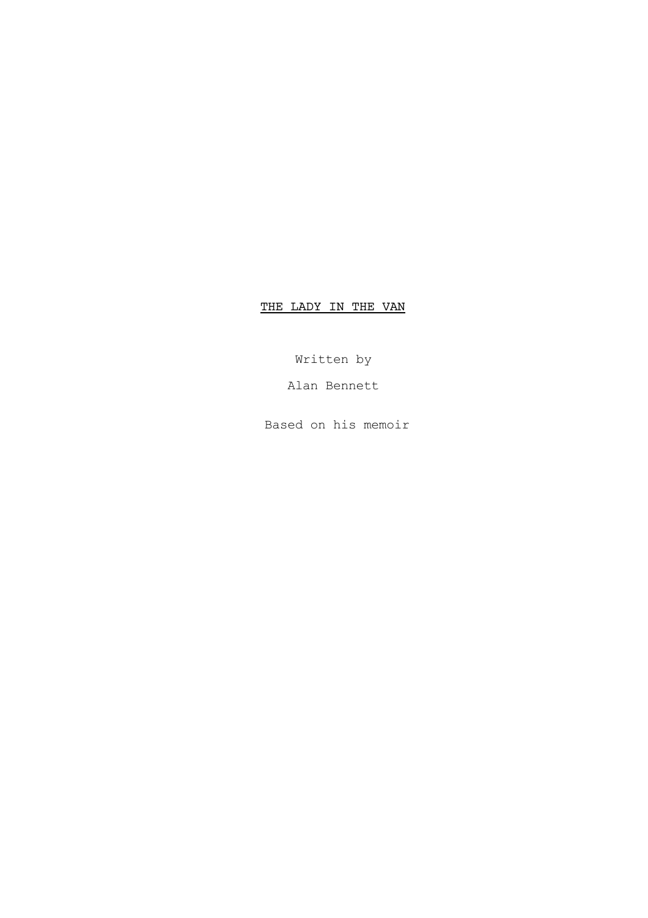# THE LADY IN THE VAN

Written by

Alan Bennett

Based on his memoir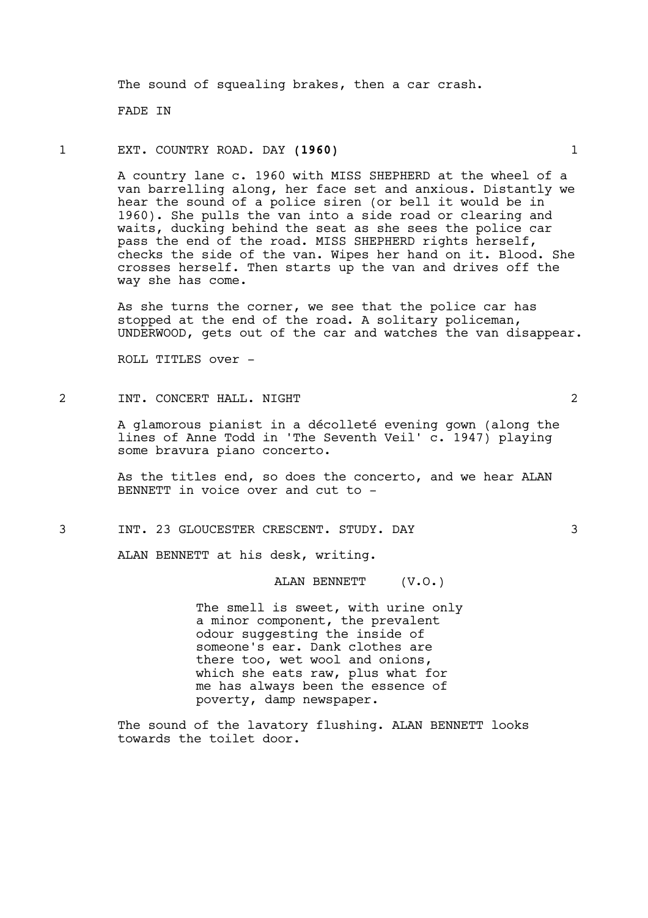The sound of squealing brakes, then a car crash.

FADE IN

### 1 EXT. COUNTRY ROAD. DAY **(1960)** 1

A country lane c. 1960 with MISS SHEPHERD at the wheel of a van barrelling along, her face set and anxious. Distantly we hear the sound of a police siren (or bell it would be in 1960). She pulls the van into a side road or clearing and waits, ducking behind the seat as she sees the police car pass the end of the road. MISS SHEPHERD rights herself, checks the side of the van. Wipes her hand on it. Blood. She crosses herself. Then starts up the van and drives off the way she has come.

As she turns the corner, we see that the police car has stopped at the end of the road. A solitary policeman, UNDERWOOD, gets out of the car and watches the van disappear.

ROLL TITLES over -

#### 2 INT. CONCERT HALL. NIGHT 2

A glamorous pianist in a décolleté evening gown (along the lines of Anne Todd in 'The Seventh Veil' c. 1947) playing some bravura piano concerto.

As the titles end, so does the concerto, and we hear ALAN BENNETT in voice over and cut to -

3 INT. 23 GLOUCESTER CRESCENT. STUDY. DAY 3

ALAN BENNETT at his desk, writing.

### ALAN BENNETT (V.O.)

The smell is sweet, with urine only a minor component, the prevalent odour suggesting the inside of someone's ear. Dank clothes are there too, wet wool and onions, which she eats raw, plus what for me has always been the essence of poverty, damp newspaper.

The sound of the lavatory flushing. ALAN BENNETT looks towards the toilet door.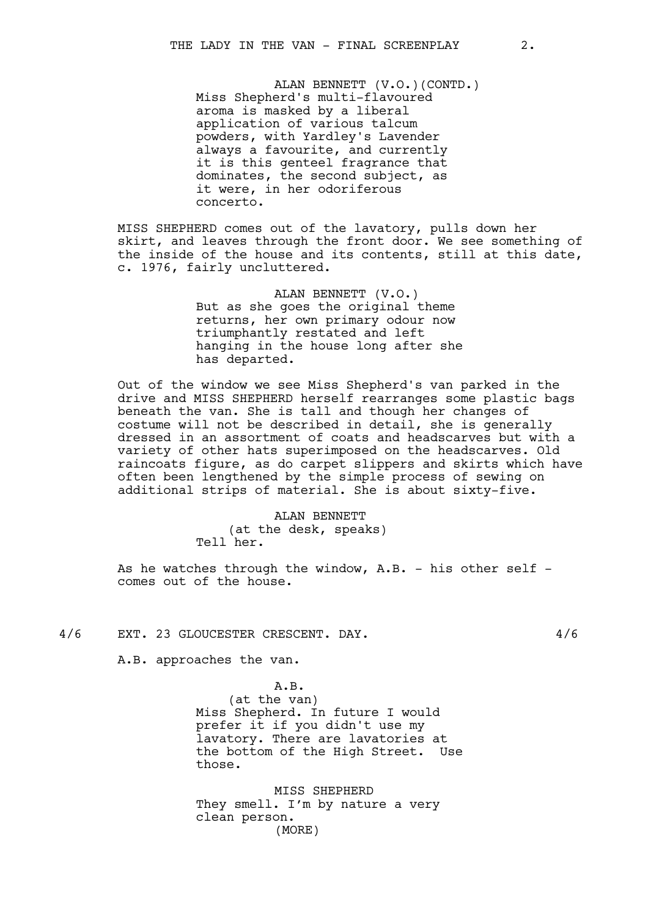ALAN BENNETT (V.O.)(CONTD.) Miss Shepherd's multi-flavoured aroma is masked by a liberal application of various talcum powders, with Yardley's Lavender always a favourite, and currently it is this genteel fragrance that dominates, the second subject, as it were, in her odoriferous concerto.

MISS SHEPHERD comes out of the lavatory, pulls down her skirt, and leaves through the front door. We see something of the inside of the house and its contents, still at this date, c. 1976, fairly uncluttered.

> ALAN BENNETT (V.O.) But as she goes the original theme returns, her own primary odour now triumphantly restated and left hanging in the house long after she has departed.

Out of the window we see Miss Shepherd's van parked in the drive and MISS SHEPHERD herself rearranges some plastic bags beneath the van. She is tall and though her changes of costume will not be described in detail, she is generally dressed in an assortment of coats and headscarves but with a variety of other hats superimposed on the headscarves. Old raincoats figure, as do carpet slippers and skirts which have often been lengthened by the simple process of sewing on additional strips of material. She is about sixty-five.

### ALAN BENNETT (at the desk, speaks) Tell her.

As he watches through the window,  $A.B. - his other self$ comes out of the house.

4/6 EXT. 23 GLOUCESTER CRESCENT. DAY. 4/6

A.B. approaches the van.

A.B. (at the van) Miss Shepherd. In future I would prefer it if you didn't use my lavatory. There are lavatories at the bottom of the High Street. Use those.

MISS SHEPHERD They smell. I'm by nature a very clean person. (MORE)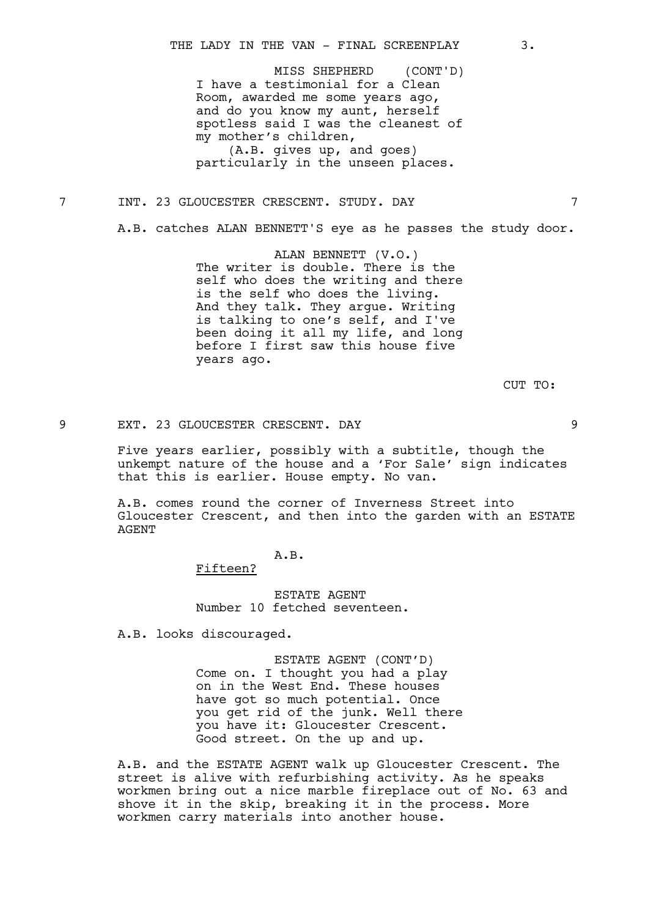I have a testimonial for a Clean Room, awarded me some years ago, and do you know my aunt, herself spotless said I was the cleanest of my mother's children, (A.B. gives up, and goes) particularly in the unseen places. MISS SHEPHERD (CONT'D)

# 7 INT. 23 GLOUCESTER CRESCENT. STUDY. DAY 7

A.B. catches ALAN BENNETT'S eye as he passes the study door.

ALAN BENNETT (V.O.) The writer is double. There is the self who does the writing and there is the self who does the living. And they talk. They argue. Writing is talking to one's self, and I've been doing it all my life, and long before I first saw this house five years ago.

CUT TO:

# 9 EXT. 23 GLOUCESTER CRESCENT. DAY 9

Five years earlier, possibly with a subtitle, though the unkempt nature of the house and a 'For Sale' sign indicates that this is earlier. House empty. No van.

A.B. comes round the corner of Inverness Street into Gloucester Crescent, and then into the garden with an ESTATE AGENT

A.B.

Fifteen?

ESTATE AGENT Number 10 fetched seventeen.

A.B. looks discouraged.

ESTATE AGENT (CONT'D) Come on. I thought you had a play on in the West End. These houses have got so much potential. Once you get rid of the junk. Well there you have it: Gloucester Crescent. Good street. On the up and up.

A.B. and the ESTATE AGENT walk up Gloucester Crescent. The street is alive with refurbishing activity. As he speaks workmen bring out a nice marble fireplace out of No. 63 and shove it in the skip, breaking it in the process. More workmen carry materials into another house.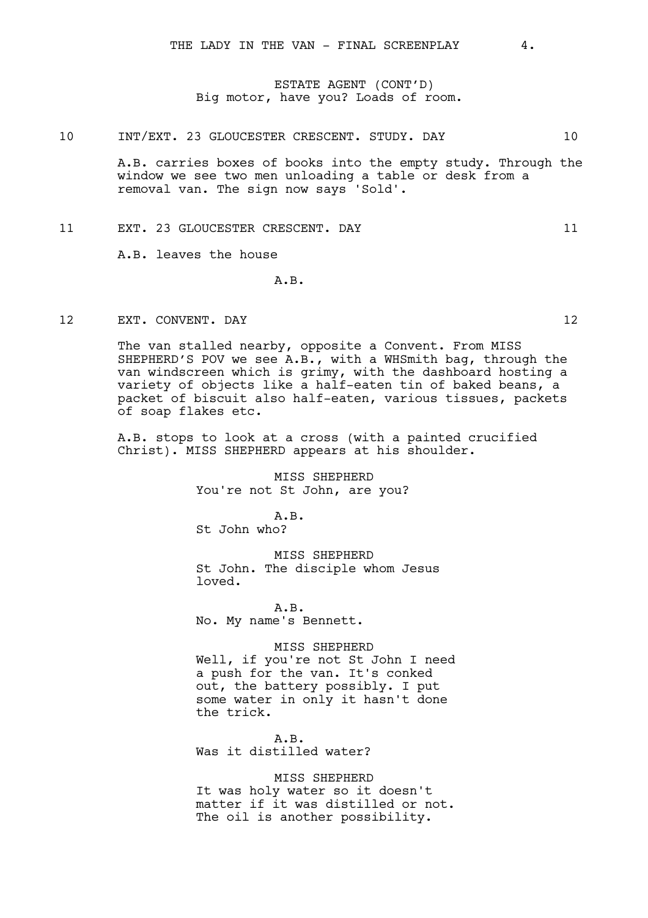ESTATE AGENT (CONT'D) Big motor, have you? Loads of room.

### 10 INT/EXT. 23 GLOUCESTER CRESCENT. STUDY. DAY 10

A.B. carries boxes of books into the empty study. Through the window we see two men unloading a table or desk from a removal van. The sign now says 'Sold'.

### 11 EXT. 23 GLOUCESTER CRESCENT. DAY 11

A.B. leaves the house

# A.B.

12 EXT. CONVENT. DAY 12

The van stalled nearby, opposite a Convent. From MISS SHEPHERD'S POV we see A.B., with a WHSmith bag, through the van windscreen which is grimy, with the dashboard hosting a variety of objects like a half-eaten tin of baked beans, a packet of biscuit also half-eaten, various tissues, packets of soap flakes etc.

A.B. stops to look at a cross (with a painted crucified Christ). MISS SHEPHERD appears at his shoulder.

> MISS SHEPHERD You're not St John, are you?

A.B. St John who?

MISS SHEPHERD St John. The disciple whom Jesus loved.

A.B. No. My name's Bennett.

#### MISS SHEPHERD

Well, if you're not St John I need a push for the van. It's conked out, the battery possibly. I put some water in only it hasn't done the trick.

A.B. Was it distilled water?

MISS SHEPHERD It was holy water so it doesn't matter if it was distilled or not. The oil is another possibility.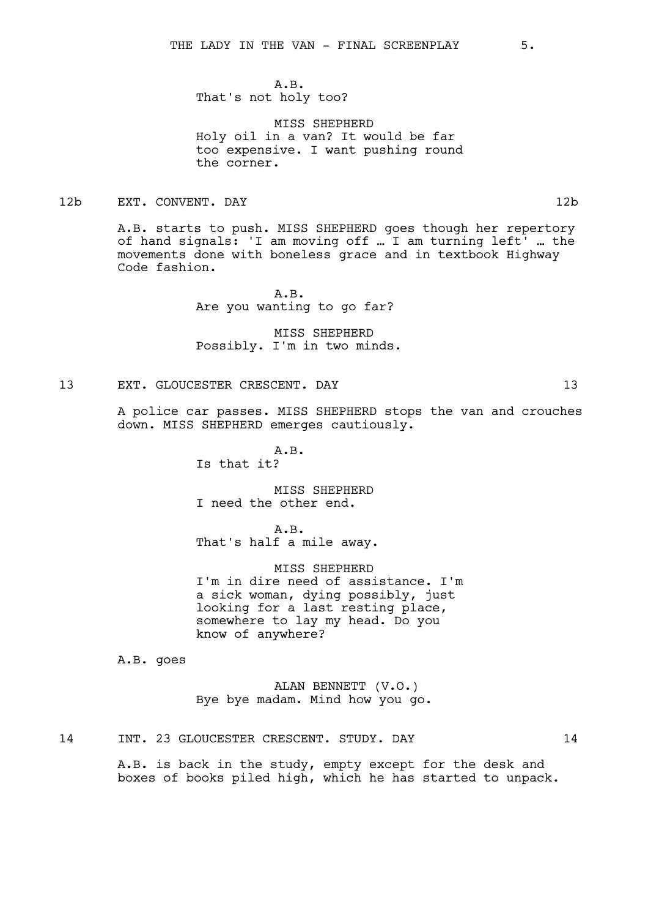A.B. That's not holy too?

MISS SHEPHERD Holy oil in a van? It would be far too expensive. I want pushing round the corner.

12b EXT. CONVENT. DAY 12b

A.B. starts to push. MISS SHEPHERD goes though her repertory of hand signals: 'I am moving off … I am turning left' … the movements done with boneless grace and in textbook Highway Code fashion.

> A.B. Are you wanting to go far?

MISS SHEPHERD Possibly. I'm in two minds.

13 EXT. GLOUCESTER CRESCENT. DAY 13

A police car passes. MISS SHEPHERD stops the van and crouches down. MISS SHEPHERD emerges cautiously.

> A.B. Is that it?

MISS SHEPHERD I need the other end.

A.B. That's half a mile away.

MISS SHEPHERD I'm in dire need of assistance. I'm a sick woman, dying possibly, just looking for a last resting place, somewhere to lay my head. Do you know of anywhere?

A.B. goes

ALAN BENNETT (V.O.) Bye bye madam. Mind how you go.

14 INT. 23 GLOUCESTER CRESCENT. STUDY. DAY 14

A.B. is back in the study, empty except for the desk and boxes of books piled high, which he has started to unpack.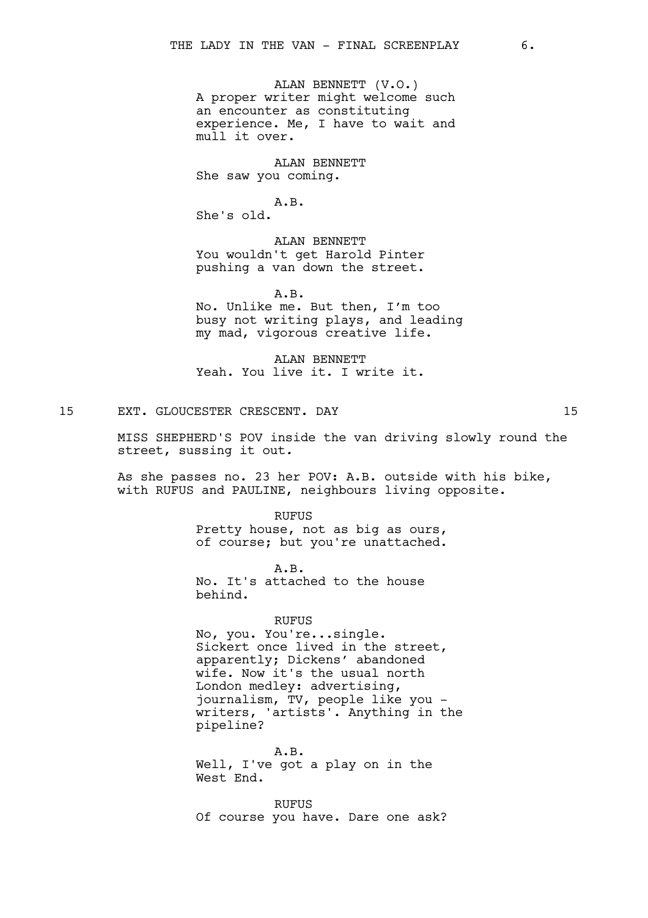ALAN BENNETT (V.O.) A proper writer might welcome such an encounter as constituting experience. Me, I have to wait and mull it over.

ALAN BENNETT She saw you coming.

A.B. She's old.

ALAN BENNETT You wouldn't get Harold Pinter pushing a van down the street.

A.B. No. Unlike me. But then, I'm too busy not writing plays, and leading my mad, vigorous creative life.

ALAN BENNETT Yeah. You live it. I write it.

# 15 EXT. GLOUCESTER CRESCENT. DAY 15

MISS SHEPHERD'S POV inside the van driving slowly round the street, sussing it out*.* 

As she passes no. 23 her POV: A.B. outside with his bike, with RUFUS and PAULINE, neighbours living opposite.

RUFUS

Pretty house, not as big as ours, of course; but you're unattached.

A.B. No. It's attached to the house behind.

#### RUFUS

No, you. You're...single. Sickert once lived in the street, apparently; Dickens' abandoned wife. Now it's the usual north London medley: advertising, journalism, TV, people like you writers, 'artists'. Anything in the pipeline?

A.B. Well, I've got a play on in the West End.

RUFUS Of course you have. Dare one ask?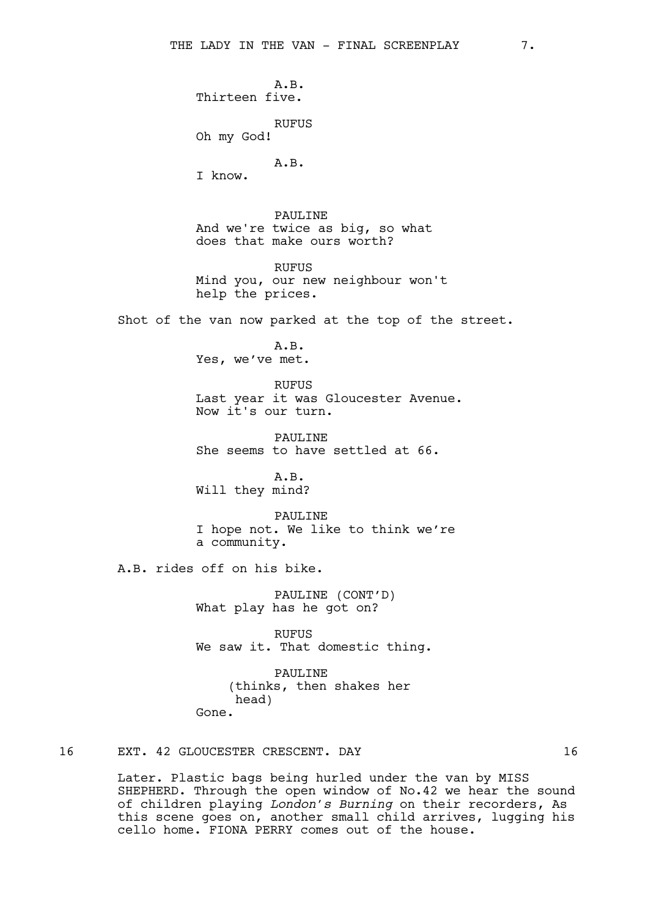A.B. Thirteen five. RUFUS Oh my God!

A.B.

I know.

PAULINE And we're twice as big, so what does that make ours worth?

RUFUS Mind you, our new neighbour won't help the prices.

Shot of the van now parked at the top of the street.

A.B. Yes, we've met.

RUFUS Last year it was Gloucester Avenue. Now it's our turn.

PAULINE She seems to have settled at 66.

A.B. Will they mind?

PAULINE I hope not. We like to think we're a community.

A.B. rides off on his bike.

PAULINE (CONT'D) What play has he got on?

RUFUS We saw it. That domestic thing.

PAULINE (thinks, then shakes her head) Gone.

# 16 EXT. 42 GLOUCESTER CRESCENT. DAY 16

Later. Plastic bags being hurled under the van by MISS SHEPHERD. Through the open window of No.42 we hear the sound of children playing *London's Burning* on their recorders, As this scene goes on, another small child arrives, lugging his cello home. FIONA PERRY comes out of the house.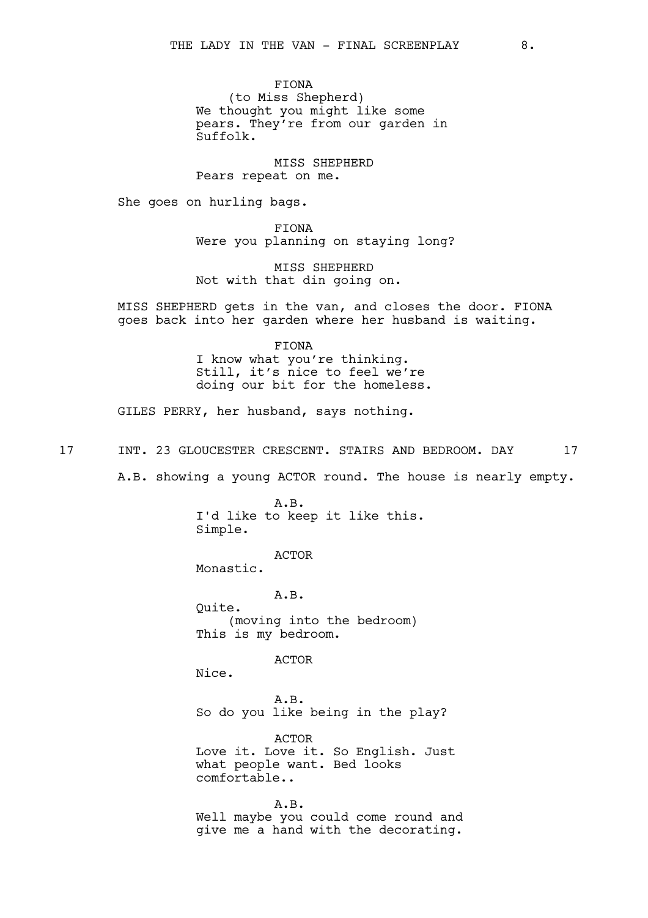FIONA (to Miss Shepherd) We thought you might like some pears. They're from our garden in Suffolk.

MISS SHEPHERD Pears repeat on me.

She goes on hurling bags.

FIONA Were you planning on staying long?

MISS SHEPHERD Not with that din going on.

MISS SHEPHERD gets in the van, and closes the door. FIONA goes back into her garden where her husband is waiting.

> FIONA I know what you're thinking. Still, it's nice to feel we're doing our bit for the homeless.

GILES PERRY, her husband, says nothing.

17 INT. 23 GLOUCESTER CRESCENT. STAIRS AND BEDROOM. DAY 17

A.B. showing a young ACTOR round. The house is nearly empty.

A.B. I'd like to keep it like this. Simple.

ACTOR

Monastic.

A.B. Quite. (moving into the bedroom) This is my bedroom.

ACTOR

Nice.

A.B. So do you like being in the play?

ACTOR Love it. Love it. So English. Just what people want. Bed looks comfortable..

A.B. Well maybe you could come round and give me a hand with the decorating.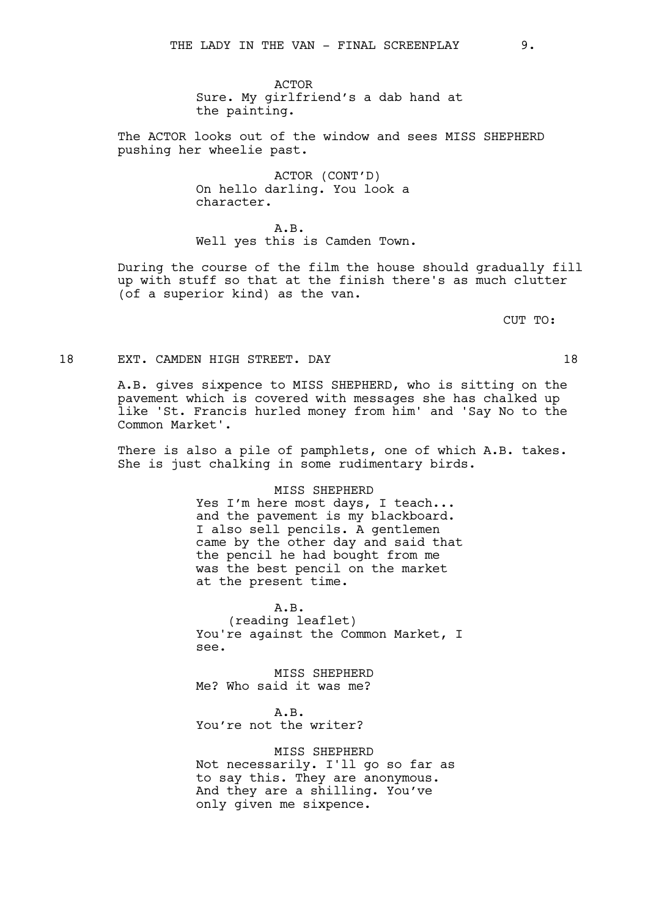ACTOR Sure. My girlfriend's a dab hand at the painting.

The ACTOR looks out of the window and sees MISS SHEPHERD pushing her wheelie past.

> ACTOR (CONT'D) On hello darling. You look a character.

A.B. Well yes this is Camden Town.

During the course of the film the house should gradually fill up with stuff so that at the finish there's as much clutter (of a superior kind) as the van.

CUT TO:

18 EXT. CAMDEN HIGH STREET. DAY 18

A.B. gives sixpence to MISS SHEPHERD, who is sitting on the pavement which is covered with messages she has chalked up like 'St. Francis hurled money from him' and 'Say No to the Common Market'.

There is also a pile of pamphlets, one of which A.B. takes. She is just chalking in some rudimentary birds.

> MISS SHEPHERD Yes I'm here most days, I teach... and the pavement is my blackboard. I also sell pencils. A gentlemen came by the other day and said that the pencil he had bought from me was the best pencil on the market at the present time.

> A.B. (reading leaflet) You're against the Common Market, I see.

MISS SHEPHERD Me? Who said it was me?

A.B. You're not the writer?

MISS SHEPHERD Not necessarily. I'll go so far as to say this. They are anonymous. And they are a shilling. You've only given me sixpence.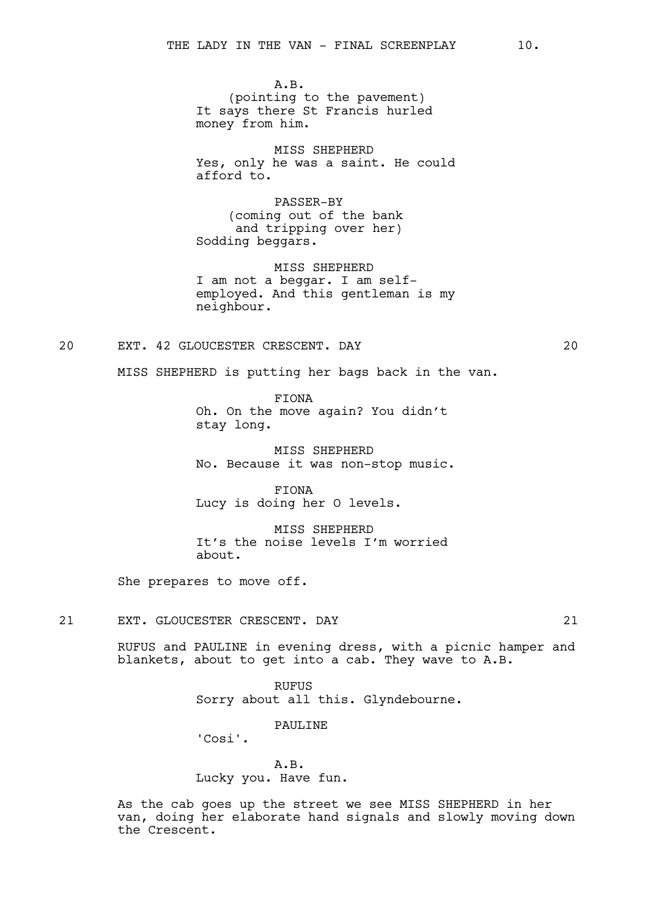A.B. (pointing to the pavement) It says there St Francis hurled money from him.

MISS SHEPHERD Yes, only he was a saint. He could afford to.

PASSER-BY (coming out of the bank and tripping over her) Sodding beggars.

MISS SHEPHERD I am not a beggar. I am selfemployed. And this gentleman is my neighbour.

20 EXT. 42 GLOUCESTER CRESCENT. DAY 20

MISS SHEPHERD is putting her bags back in the van.

FIONA

Oh. On the move again? You didn't stay long.

MISS SHEPHERD No. Because it was non-stop music.

FIONA Lucy is doing her O levels.

MISS SHEPHERD It's the noise levels I'm worried about.

She prepares to move off.

21 EXT. GLOUCESTER CRESCENT. DAY 21

RUFUS and PAULINE in evening dress, with a picnic hamper and blankets, about to get into a cab. They wave to A.B.

> RUFUS Sorry about all this. Glyndebourne.

> > PAULTNE

'Cosi'.

A.B.

Lucky you. Have fun.

As the cab goes up the street we see MISS SHEPHERD in her van, doing her elaborate hand signals and slowly moving down the Crescent.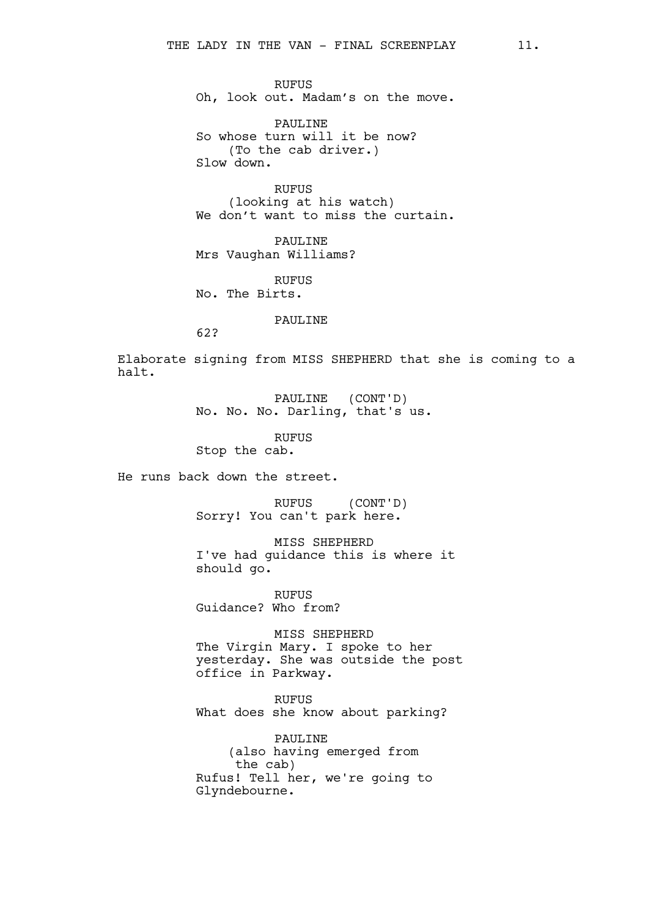RUFUS Oh, look out. Madam's on the move.

PAULINE So whose turn will it be now? (To the cab driver.) Slow down.

RUFUS (looking at his watch) We don't want to miss the curtain.

PAULINE Mrs Vaughan Williams?

RUFUS No. The Birts.

PAULINE

62?

Elaborate signing from MISS SHEPHERD that she is coming to a halt.

> PAULINE (CONT'D) No. No. No. Darling, that's us.

> > RUFUS

Stop the cab.

He runs back down the street.

RUFUS (CONT'D) Sorry! You can't park here.

MISS SHEPHERD I've had guidance this is where it should go.

RUFUS Guidance? Who from?

MISS SHEPHERD The Virgin Mary. I spoke to her yesterday. She was outside the post office in Parkway.

RUFUS What does she know about parking?

PAULINE (also having emerged from the cab) Rufus! Tell her, we're going to Glyndebourne.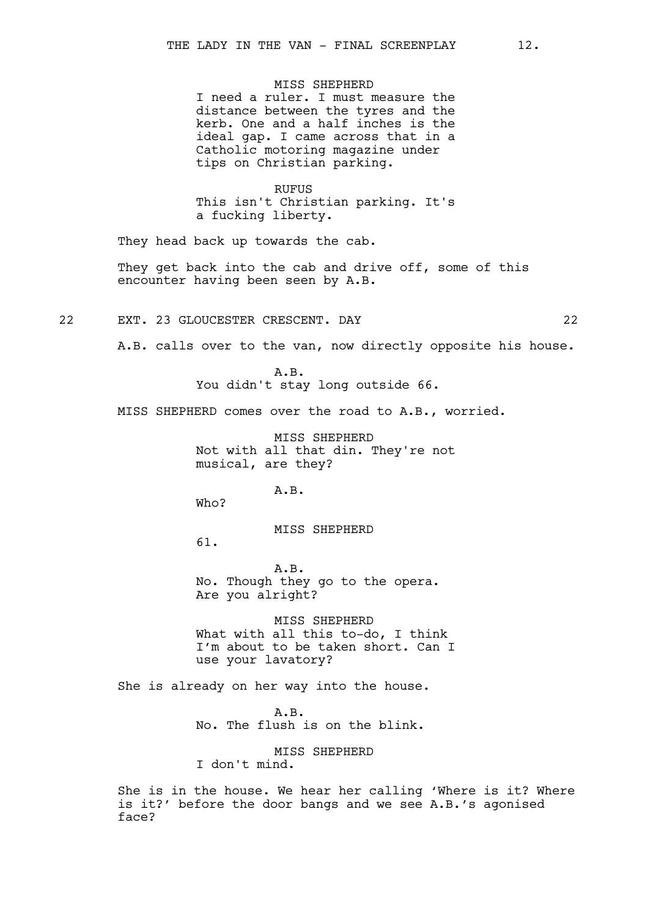MISS SHEPHERD

I need a ruler. I must measure the distance between the tyres and the kerb. One and a half inches is the ideal gap. I came across that in a Catholic motoring magazine under tips on Christian parking.

RUFUS This isn't Christian parking. It's a fucking liberty.

They head back up towards the cab.

They get back into the cab and drive off, some of this encounter having been seen by A.B.

22 EXT. 23 GLOUCESTER CRESCENT. DAY 22

A.B. calls over to the van, now directly opposite his house.

A.B. You didn't stay long outside 66.

MISS SHEPHERD comes over the road to A.B., worried.

MISS SHEPHERD Not with all that din. They're not musical, are they?

A.B.

Who?

MISS SHEPHERD

61.

A.B. No. Though they go to the opera. Are you alright?

MISS SHEPHERD What with all this to-do, I think I'm about to be taken short. Can I use your lavatory?

She is already on her way into the house.

A.B. No. The flush is on the blink.

MISS SHEPHERD I don't mind.

She is in the house. We hear her calling 'Where is it? Where is it?' before the door bangs and we see A.B.'s agonised face?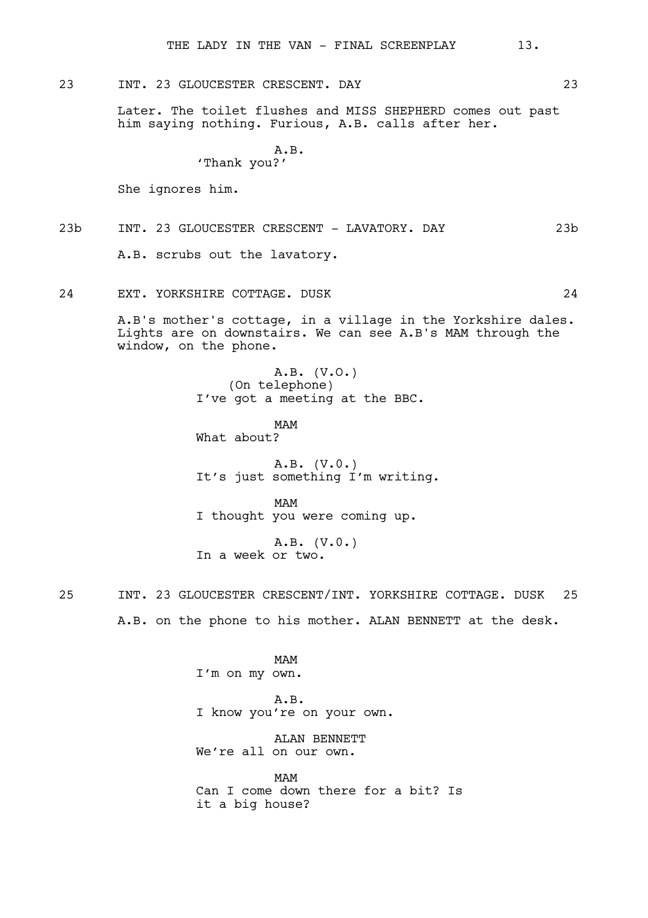23 INT. 23 GLOUCESTER CRESCENT. DAY 23

Later. The toilet flushes and MISS SHEPHERD comes out past him saying nothing. Furious, A.B. calls after her.

> A.B. 'Thank you?'

She ignores him.

23b INT. 23 GLOUCESTER CRESCENT - LAVATORY. DAY 23b

A.B. scrubs out the lavatory.

24 EXT. YORKSHIRE COTTAGE. DUSK 24

A.B's mother's cottage, in a village in the Yorkshire dales. Lights are on downstairs. We can see A.B's MAM through the window, on the phone.

> A.B. (V.O.) (On telephone) I've got a meeting at the BBC.

MAM What about?

A.B. (V.0.) It's just something I'm writing.

MAM I thought you were coming up.

A.B. (V.0.) In a week or two.

25 INT. 23 GLOUCESTER CRESCENT/INT. YORKSHIRE COTTAGE. DUSK 25

A.B. on the phone to his mother. ALAN BENNETT at the desk.

MAM I'm on my own.

A.B. I know you're on your own.

ALAN BENNETT We're all on our own.

MAM Can I come down there for a bit? Is it a big house?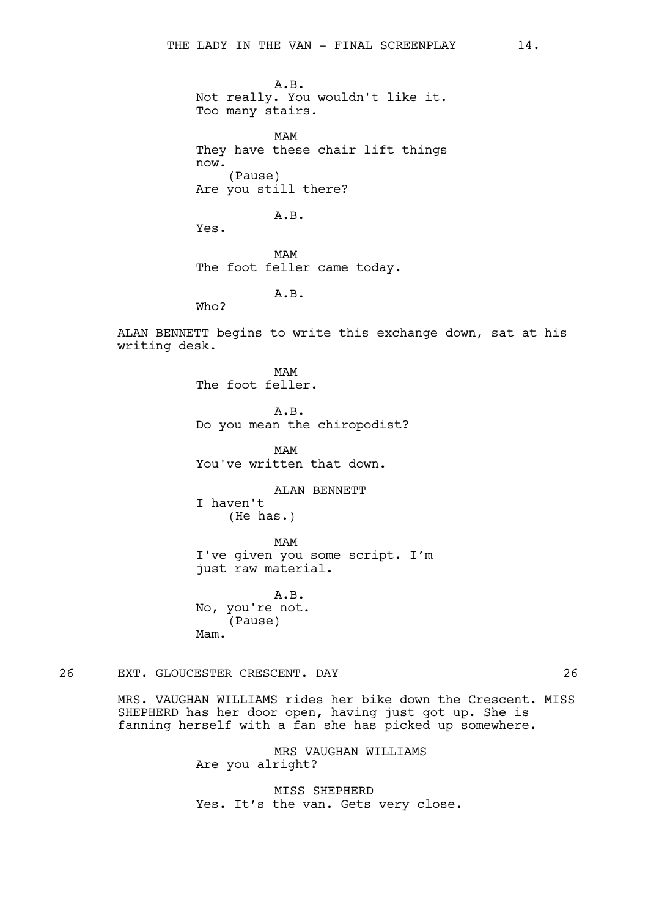A.B. Not really. You wouldn't like it. Too many stairs.

MAM They have these chair lift things now. (Pause) Are you still there?

A.B.

Yes.

 $Wh<sub>0</sub>$ ?

MAM The foot feller came today.

A.B.

ALAN BENNETT begins to write this exchange down, sat at his writing desk.

> MAM The foot feller.

A.B. Do you mean the chiropodist?

MAM You've written that down.

ALAN BENNETT

I haven't (He has.)

MAM I've given you some script. I'm just raw material.

A.B. No, you're not. (Pause) Mam.

# 26 EXT. GLOUCESTER CRESCENT. DAY 26

MRS. VAUGHAN WILLIAMS rides her bike down the Crescent. MISS SHEPHERD has her door open, having just got up. She is fanning herself with a fan she has picked up somewhere.

> MRS VAUGHAN WILLIAMS Are you alright?

MISS SHEPHERD Yes. It's the van. Gets very close.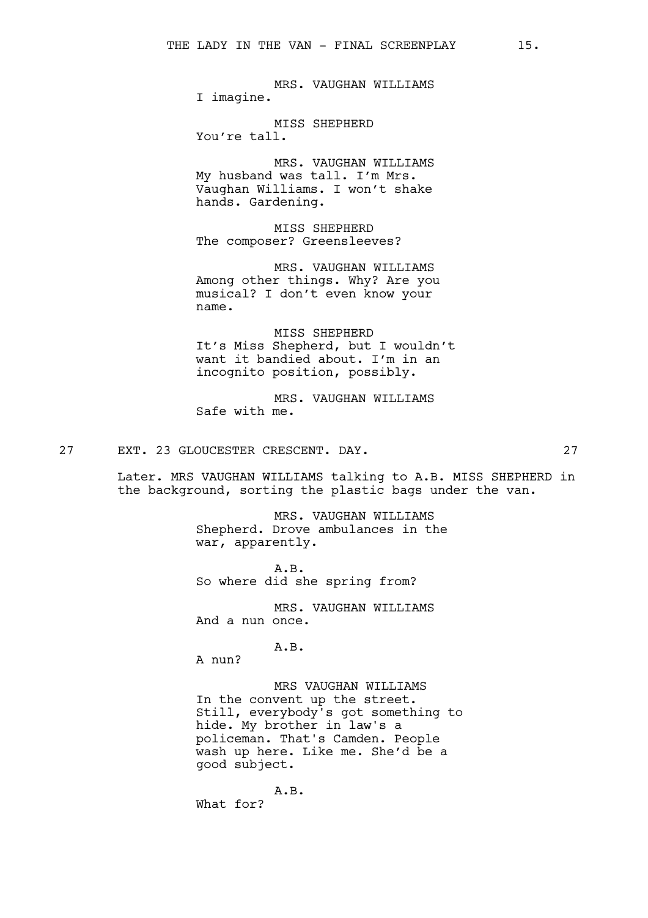MRS. VAUGHAN WILLIAMS I imagine.

MISS SHEPHERD You're tall.

MRS. VAUGHAN WILLIAMS My husband was tall. I'm Mrs. Vaughan Williams. I won't shake hands. Gardening.

MISS SHEPHERD The composer? Greensleeves?

MRS. VAUGHAN WILLIAMS Among other things. Why? Are you musical? I don't even know your name.

MISS SHEPHERD It's Miss Shepherd, but I wouldn't want it bandied about. I'm in an incognito position, possibly.

MRS. VAUGHAN WILLIAMS Safe with me.

27 EXT. 23 GLOUCESTER CRESCENT. DAY. 27

Later. MRS VAUGHAN WILLIAMS talking to A.B. MISS SHEPHERD in the background, sorting the plastic bags under the van.

> MRS. VAUGHAN WILLIAMS Shepherd. Drove ambulances in the war, apparently.

A.B. So where did she spring from?

MRS. VAUGHAN WILLIAMS And a nun once.

A.B.

A nun?

MRS VAUGHAN WILLIAMS In the convent up the street. Still, everybody's got something to hide. My brother in law's a policeman. That's Camden. People wash up here. Like me. She'd be a good subject.

A.B. What for?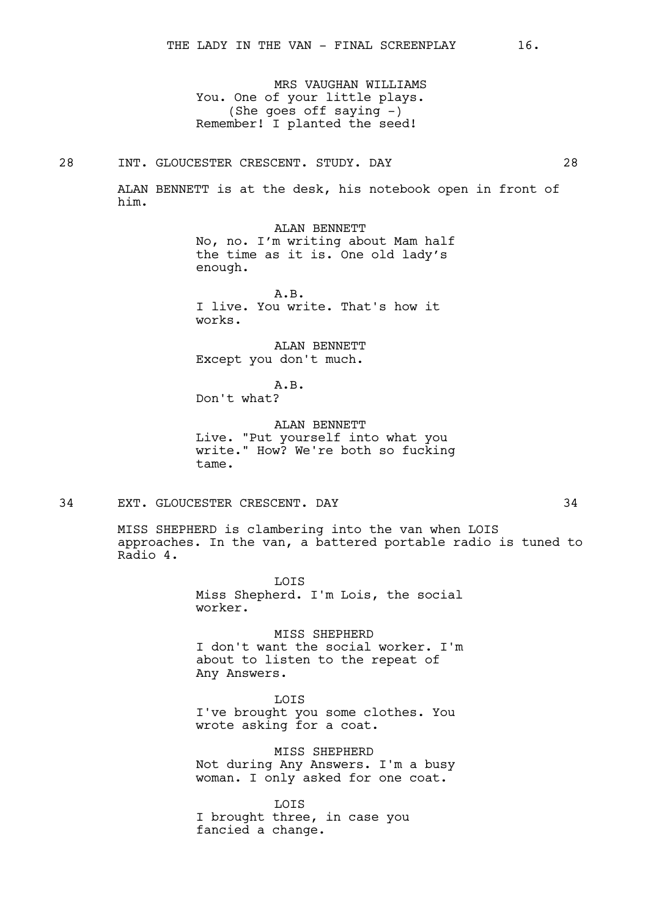MRS VAUGHAN WILLIAMS You. One of your little plays. (She goes off saying  $-$ ) Remember! I planted the seed!

28 INT. GLOUCESTER CRESCENT. STUDY. DAY 28

ALAN BENNETT is at the desk, his notebook open in front of him.

> ALAN BENNETT No, no. I'm writing about Mam half the time as it is. One old lady's enough.

A.B. I live. You write. That's how it works.

ALAN BENNETT Except you don't much.

A.B. Don't what?

ALAN BENNETT Live. "Put yourself into what you write." How? We're both so fucking tame.

34 EXT. GLOUCESTER CRESCENT. DAY 34

MISS SHEPHERD is clambering into the van when LOIS approaches. In the van, a battered portable radio is tuned to Radio 4.

> LOIS Miss Shepherd. I'm Lois, the social worker.

> MISS SHEPHERD I don't want the social worker. I'm about to listen to the repeat of Any Answers.

**LOTS** I've brought you some clothes. You wrote asking for a coat.

MISS SHEPHERD Not during Any Answers. I'm a busy woman. I only asked for one coat.

LOIS I brought three, in case you fancied a change.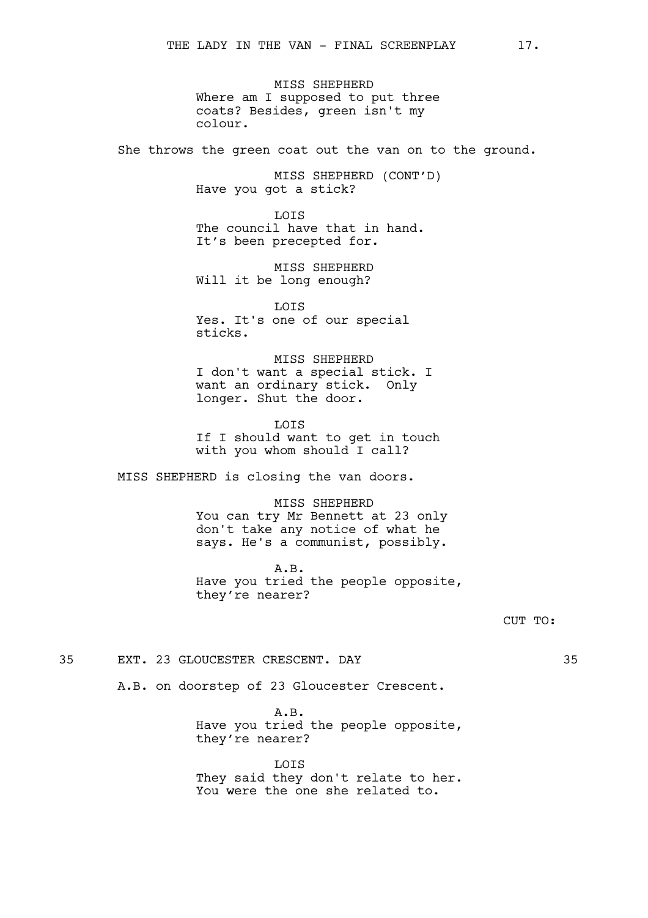MISS SHEPHERD Where am I supposed to put three coats? Besides, green isn't my colour.

She throws the green coat out the van on to the ground.

MISS SHEPHERD (CONT'D) Have you got a stick?

LOIS The council have that in hand. It's been precepted for.

MISS SHEPHERD Will it be long enough?

LOIS Yes. It's one of our special sticks.

MISS SHEPHERD I don't want a special stick. I want an ordinary stick. Only longer. Shut the door.

LOIS If I should want to get in touch with you whom should I call?

MISS SHEPHERD is closing the van doors.

MISS SHEPHERD You can try Mr Bennett at 23 only don't take any notice of what he says. He's a communist, possibly.

A.B. Have you tried the people opposite, they're nearer?

CUT TO:

35 EXT. 23 GLOUCESTER CRESCENT. DAY 35

A.B. on doorstep of 23 Gloucester Crescent.

A.B. Have you tried the people opposite, they're nearer?

LOIS They said they don't relate to her. You were the one she related to.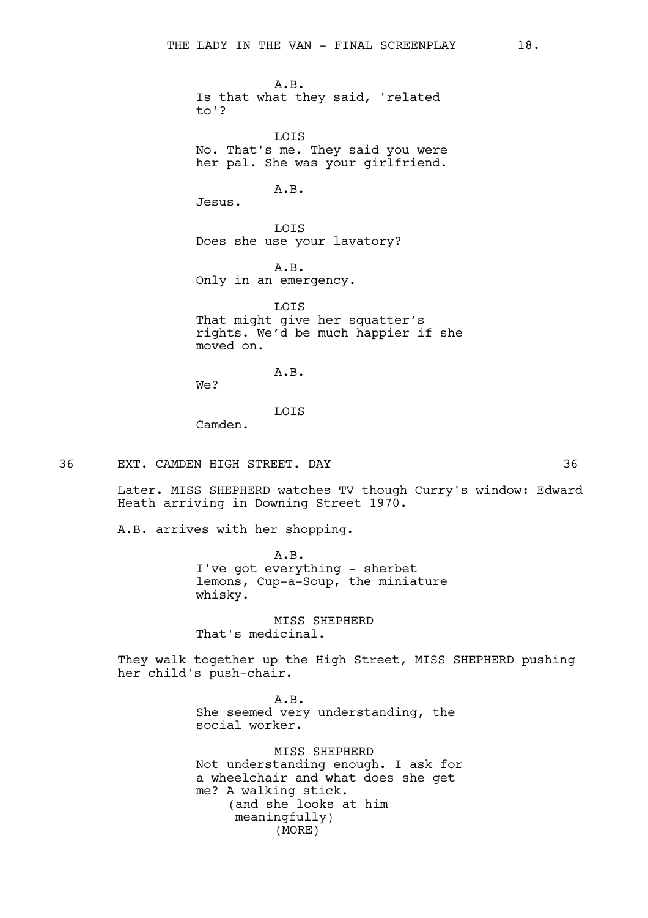A.B. Is that what they said, 'related to'?

LOIS No. That's me. They said you were her pal. She was your girlfriend.

A.B. Jesus.

LOIS Does she use your lavatory?

A.B. Only in an emergency.

LOIS That might give her squatter's rights. We'd be much happier if she moved on.

A.B.

We?

# LOIS

Camden.

36 EXT. CAMDEN HIGH STREET. DAY 36

Later. MISS SHEPHERD watches TV though Curry's window: Edward Heath arriving in Downing Street 1970.

A.B. arrives with her shopping.

A.B. I've got everything - sherbet lemons, Cup-a-Soup, the miniature whisky.

MISS SHEPHERD That's medicinal.

They walk together up the High Street, MISS SHEPHERD pushing her child's push-chair.

> A.B. She seemed very understanding, the social worker.

MISS SHEPHERD Not understanding enough. I ask for a wheelchair and what does she get me? A walking stick. (and she looks at him meaningfully) (MORE)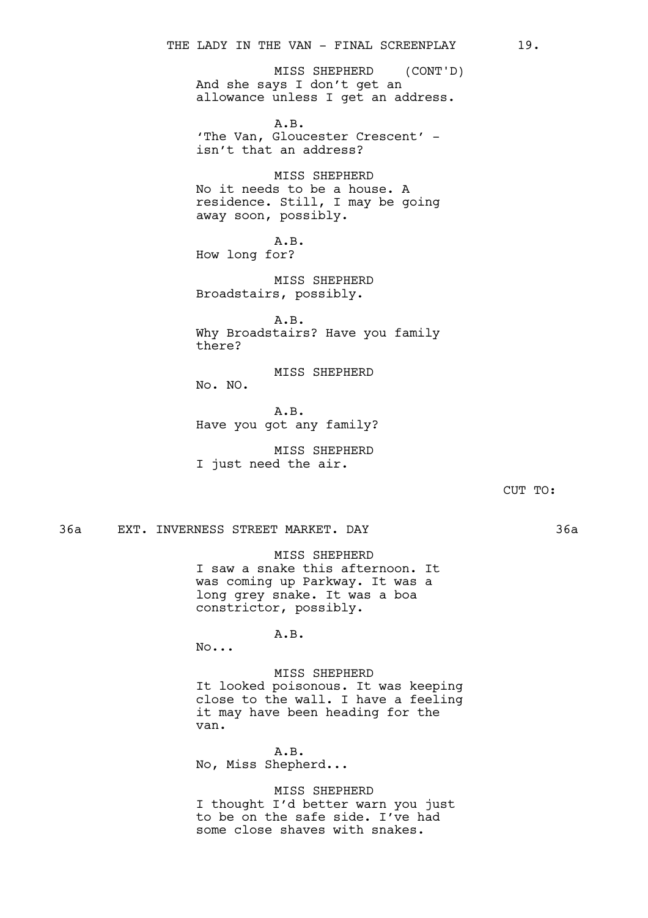And she says I don't get an allowance unless I get an address. MISS SHEPHERD (CONT'D)

A.B. 'The Van, Gloucester Crescent' isn't that an address?

MISS SHEPHERD No it needs to be a house. A residence. Still, I may be going away soon, possibly.

A.B. How long for?

MISS SHEPHERD Broadstairs, possibly.

A.B. Why Broadstairs? Have you family there?

MISS SHEPHERD No. NO.

A.B. Have you got any family?

MISS SHEPHERD I just need the air.

36a EXT. INVERNESS STREET MARKET. DAY 36a

MISS SHEPHERD I saw a snake this afternoon. It was coming up Parkway. It was a long grey snake. It was a boa constrictor, possibly.

A.B.

No...

MISS SHEPHERD It looked poisonous. It was keeping close to the wall. I have a feeling it may have been heading for the van.

A.B. No, Miss Shepherd...

MISS SHEPHERD I thought I'd better warn you just to be on the safe side. I've had some close shaves with snakes.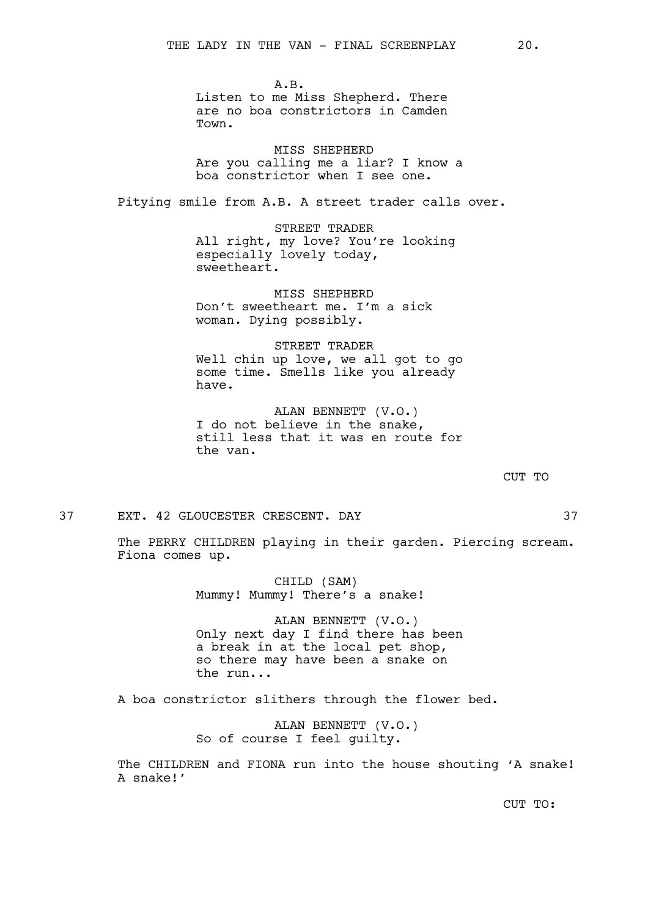A.B. Listen to me Miss Shepherd. There are no boa constrictors in Camden Town.

MISS SHEPHERD Are you calling me a liar? I know a boa constrictor when I see one.

Pitying smile from A.B. A street trader calls over.

STREET TRADER All right, my love? You're looking especially lovely today, sweetheart.

MISS SHEPHERD Don't sweetheart me. I'm a sick woman. Dying possibly.

STREET TRADER Well chin up love, we all got to go some time. Smells like you already have.

ALAN BENNETT (V.O.) I do not believe in the snake, still less that it was en route for the van.

CUT TO

### 37 EXT. 42 GLOUCESTER CRESCENT. DAY 37

The PERRY CHILDREN playing in their garden. Piercing scream. Fiona comes up.

> CHILD (SAM) Mummy! Mummy! There's a snake!

ALAN BENNETT (V.O.) Only next day I find there has been a break in at the local pet shop, so there may have been a snake on the run...

A boa constrictor slithers through the flower bed.

ALAN BENNETT (V.O.) So of course I feel guilty.

The CHILDREN and FIONA run into the house shouting 'A snake! A snake!'

CUT TO: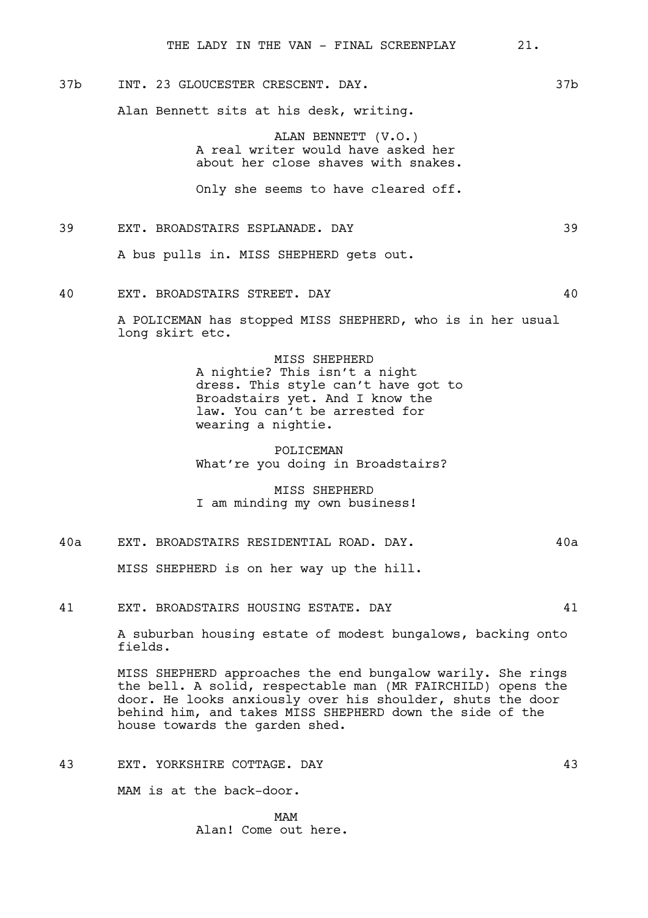37b INT. 23 GLOUCESTER CRESCENT. DAY. 37b

Alan Bennett sits at his desk, writing.

ALAN BENNETT (V.O.) A real writer would have asked her about her close shaves with snakes.

Only she seems to have cleared off.

39 EXT. BROADSTAIRS ESPLANADE. DAY 39

A bus pulls in. MISS SHEPHERD gets out.

40 EXT. BROADSTAIRS STREET. DAY 40

A POLICEMAN has stopped MISS SHEPHERD, who is in her usual long skirt etc.

> MISS SHEPHERD A nightie? This isn't a night dress. This style can't have got to Broadstairs yet. And I know the law. You can't be arrested for wearing a nightie.

POLICEMAN What're you doing in Broadstairs?

MISS SHEPHERD I am minding my own business!

- 40a EXT. BROADSTAIRS RESIDENTIAL ROAD. DAY. 40a MISS SHEPHERD is on her way up the hill.
- 41 EXT. BROADSTAIRS HOUSING ESTATE. DAY 41

A suburban housing estate of modest bungalows, backing onto fields.

MISS SHEPHERD approaches the end bungalow warily. She rings the bell. A solid, respectable man (MR FAIRCHILD) opens the door. He looks anxiously over his shoulder, shuts the door behind him, and takes MISS SHEPHERD down the side of the house towards the garden shed.

43 EXT. YORKSHIRE COTTAGE. DAY 43

MAM is at the back-door.

MAM Alan! Come out here.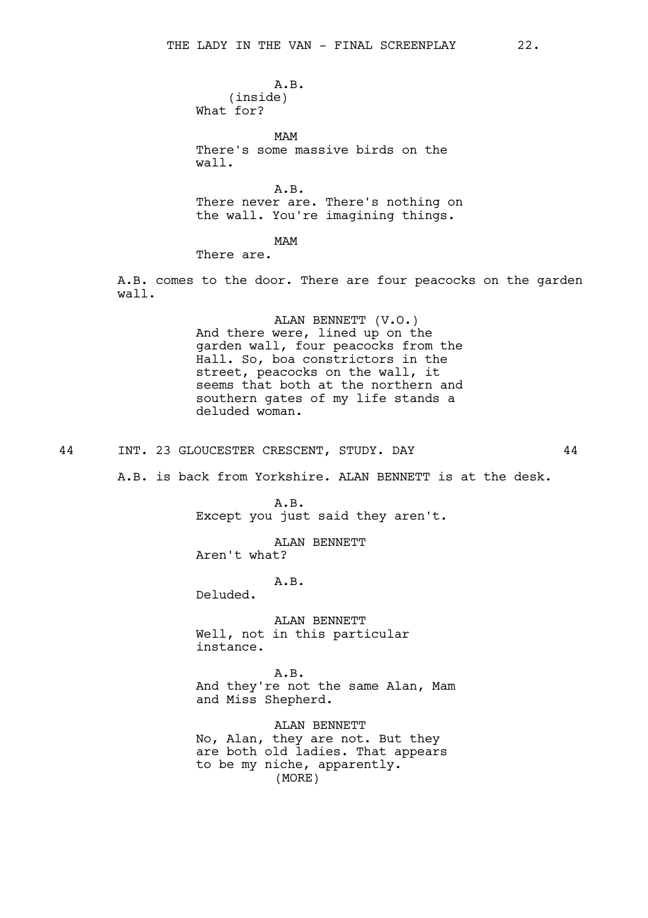A.B. (inside) What for?

MAM There's some massive birds on the wall.

A.B. There never are. There's nothing on the wall. You're imagining things.

MAM

There are.

A.B. comes to the door. There are four peacocks on the garden wall.

> ALAN BENNETT (V.O.) And there were, lined up on the garden wall, four peacocks from the Hall. So, boa constrictors in the street, peacocks on the wall, it seems that both at the northern and southern gates of my life stands a deluded woman.

44 INT. 23 GLOUCESTER CRESCENT, STUDY. DAY 44

A.B. is back from Yorkshire. ALAN BENNETT is at the desk.

A.B. Except you just said they aren't.

ALAN BENNETT Aren't what?

A.B.

Deluded.

ALAN BENNETT Well, not in this particular instance.

A.B. And they're not the same Alan, Mam and Miss Shepherd.

ALAN BENNETT No, Alan, they are not. But they are both old ladies. That appears to be my niche, apparently. (MORE)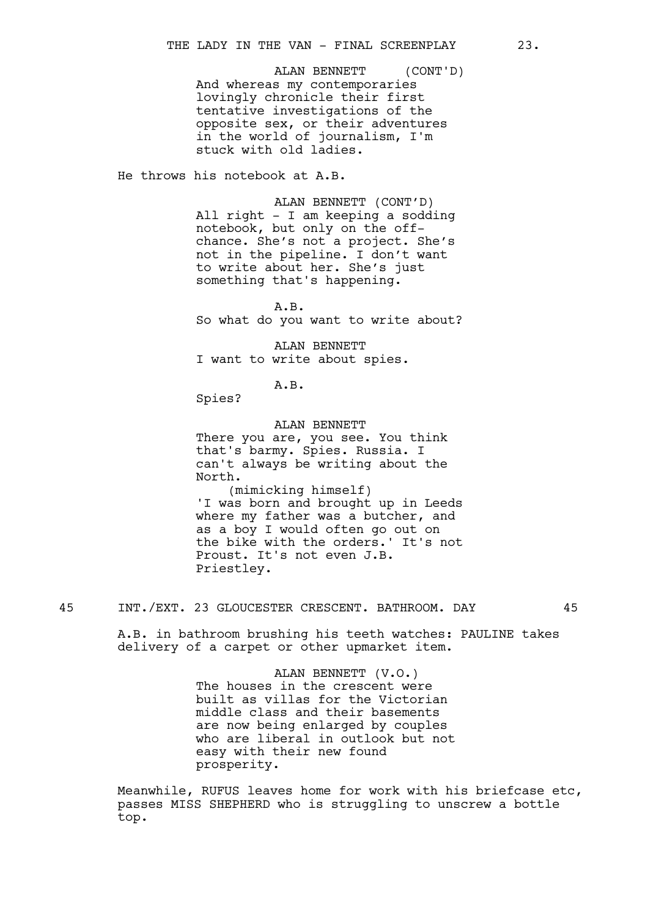And whereas my contemporaries lovingly chronicle their first tentative investigations of the opposite sex, or their adventures in the world of journalism, I'm stuck with old ladies. ALAN BENNETT (CONT'D)

He throws his notebook at A.B.

ALAN BENNETT (CONT'D) All right - I am keeping a sodding notebook, but only on the offchance. She's not a project. She's not in the pipeline. I don't want to write about her. She's just something that's happening.

A.B. So what do you want to write about?

ALAN BENNETT I want to write about spies.

A.B.

Spies?

ALAN BENNETT There you are, you see. You think that's barmy. Spies. Russia. I can't always be writing about the North. (mimicking himself) 'I was born and brought up in Leeds where my father was a butcher, and as a boy I would often go out on the bike with the orders.' It's not

Proust. It's not even J.B.<br>Priestley.

### 45 INT./EXT. 23 GLOUCESTER CRESCENT. BATHROOM. DAY 45

A.B. in bathroom brushing his teeth watches: PAULINE takes delivery of a carpet or other upmarket item.

> ALAN BENNETT (V.O.) The houses in the crescent were built as villas for the Victorian middle class and their basements are now being enlarged by couples who are liberal in outlook but not easy with their new found prosperity.

Meanwhile, RUFUS leaves home for work with his briefcase etc, passes MISS SHEPHERD who is struggling to unscrew a bottle top.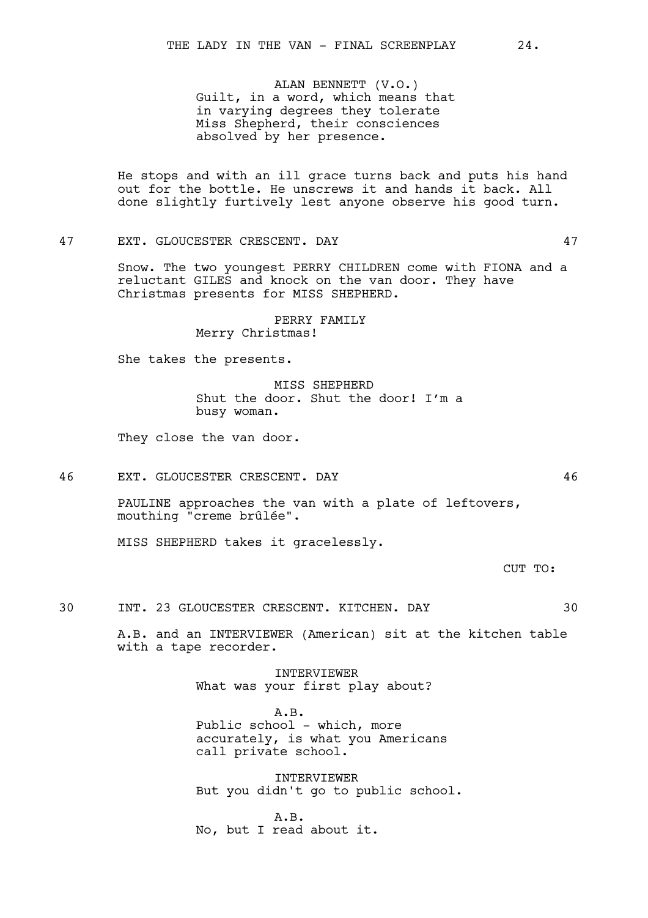ALAN BENNETT (V.O.) Guilt, in a word, which means that in varying degrees they tolerate Miss Shepherd, their consciences absolved by her presence.

He stops and with an ill grace turns back and puts his hand out for the bottle. He unscrews it and hands it back. All done slightly furtively lest anyone observe his good turn.

47 EXT. GLOUCESTER CRESCENT. DAY 47

Snow. The two youngest PERRY CHILDREN come with FIONA and a reluctant GILES and knock on the van door. They have Christmas presents for MISS SHEPHERD.

# PERRY FAMILY Merry Christmas!

She takes the presents.

MISS SHEPHERD Shut the door. Shut the door! I'm a busy woman.

They close the van door.

46 EXT. GLOUCESTER CRESCENT. DAY 46

PAULINE approaches the van with a plate of leftovers, mouthing "creme brûlée".

MISS SHEPHERD takes it gracelessly.

CUT TO:

30 INT. 23 GLOUCESTER CRESCENT. KITCHEN. DAY 30

A.B. and an INTERVIEWER (American) sit at the kitchen table with a tape recorder.

> INTERVIEWER What was your first play about?

A.B. Public school - which, more accurately, is what you Americans call private school.

INTERVIEWER But you didn't go to public school.

A.B. No, but I read about it.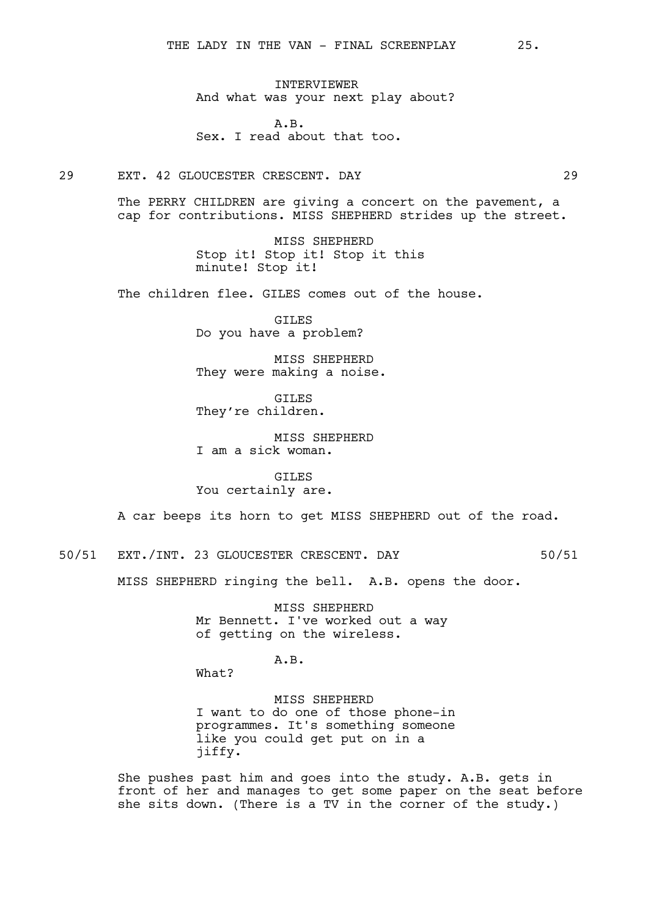INTERVIEWER And what was your next play about?

A.B. Sex. I read about that too.

29 EXT. 42 GLOUCESTER CRESCENT. DAY 29

The PERRY CHILDREN are giving a concert on the pavement, a cap for contributions. MISS SHEPHERD strides up the street.

> MISS SHEPHERD Stop it! Stop it! Stop it this minute! Stop it!

The children flee. GILES comes out of the house.

GILES Do you have a problem?

MISS SHEPHERD They were making a noise.

GILES They're children.

MISS SHEPHERD I am a sick woman.

GILES You certainly are.

A car beeps its horn to get MISS SHEPHERD out of the road.

50/51 EXT./INT. 23 GLOUCESTER CRESCENT. DAY 50/51

MISS SHEPHERD ringing the bell. A.B. opens the door.

MISS SHEPHERD Mr Bennett. I've worked out a way of getting on the wireless.

A.B.

What?

MISS SHEPHERD I want to do one of those phone-in programmes. It's something someone like you could get put on in a jiffy.

She pushes past him and goes into the study. A.B. gets in front of her and manages to get some paper on the seat before she sits down. (There is a TV in the corner of the study.)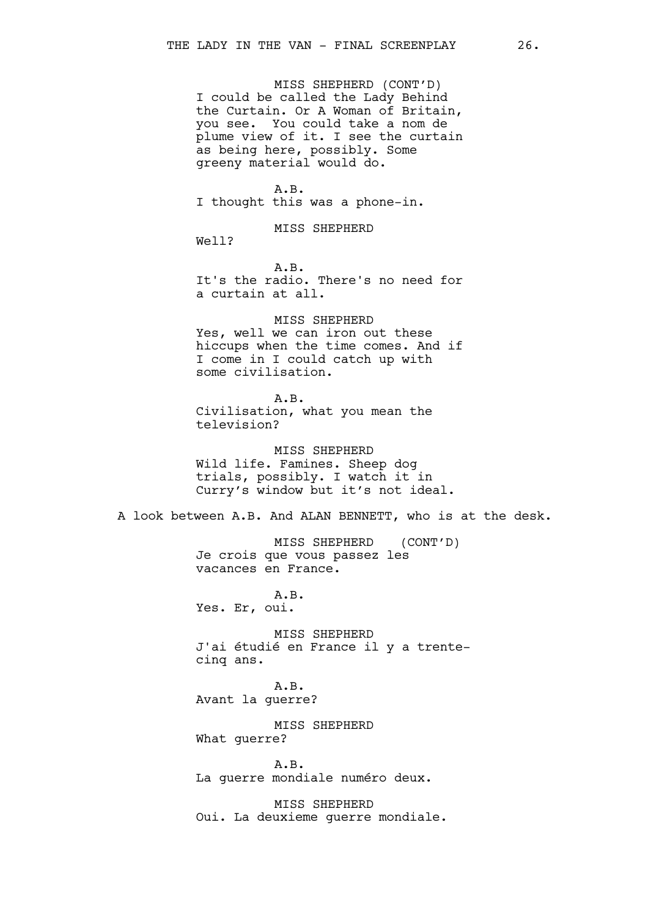MISS SHEPHERD (CONT'D) I could be called the Lady Behind the Curtain. Or A Woman of Britain, you see. You could take a nom de plume view of it. I see the curtain as being here, possibly. Some greeny material would do.

A.B. I thought this was a phone-in.

MISS SHEPHERD

Well?

A.B. It's the radio. There's no need for a curtain at all.

MISS SHEPHERD Yes, well we can iron out these hiccups when the time comes. And if I come in I could catch up with some civilisation.

A.B. Civilisation, what you mean the television?

MISS SHEPHERD Wild life. Famines. Sheep dog trials, possibly. I watch it in Curry's window but it's not ideal.

A look between A.B. And ALAN BENNETT, who is at the desk.

MISS SHEPHERD (CONT'D) Je crois que vous passez les vacances en France.

A.B. Yes. Er, oui.

MISS SHEPHERD J'ai étudié en France il y a trentecinq ans.

A.B. Avant la guerre?

MISS SHEPHERD What guerre?

A.B. La guerre mondiale numéro deux.

MISS SHEPHERD Oui. La deuxieme guerre mondiale.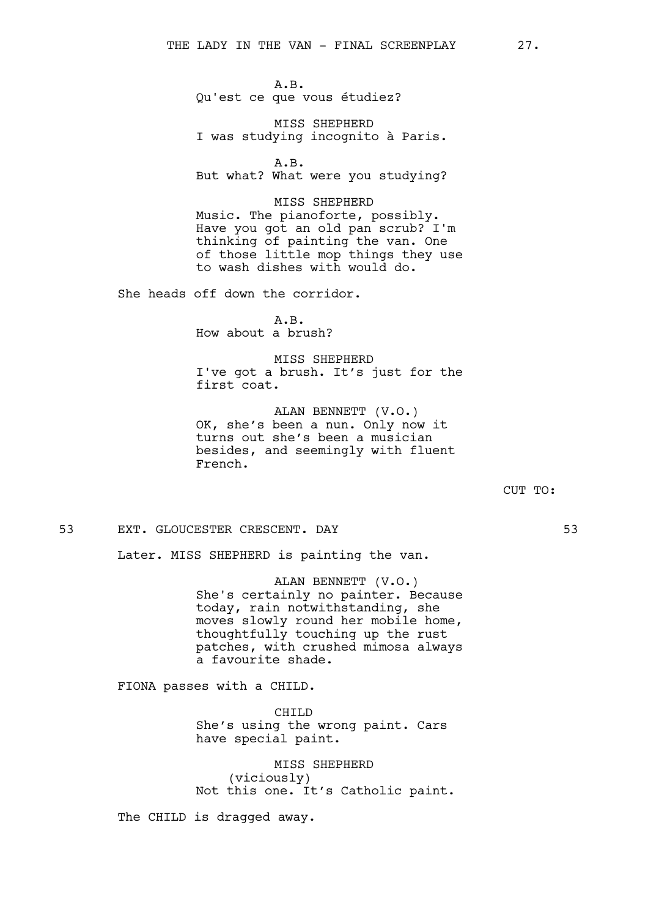A.B. Qu'est ce que vous étudiez?

MISS SHEPHERD I was studying incognito à Paris.

A.B.

But what? What were you studying?

MISS SHEPHERD Music. The pianoforte, possibly. Have you got an old pan scrub? I'm thinking of painting the van. One of those little mop things they use to wash dishes with would do.

She heads off down the corridor.

A.B. How about a brush?

MISS SHEPHERD I've got a brush. It's just for the first coat.

ALAN BENNETT (V.O.) OK, she's been a nun. Only now it turns out she's been a musician besides, and seemingly with fluent French.

CUT TO:

53 EXT. GLOUCESTER CRESCENT. DAY 53

Later. MISS SHEPHERD is painting the van.

ALAN BENNETT (V.O.) She's certainly no painter. Because today, rain notwithstanding, she moves slowly round her mobile home, thoughtfully touching up the rust patches, with crushed mimosa always a favourite shade.

FIONA passes with a CHILD.

CHILD She's using the wrong paint. Cars have special paint.

MISS SHEPHERD (viciously) Not this one. It's Catholic paint.

The CHILD is dragged away.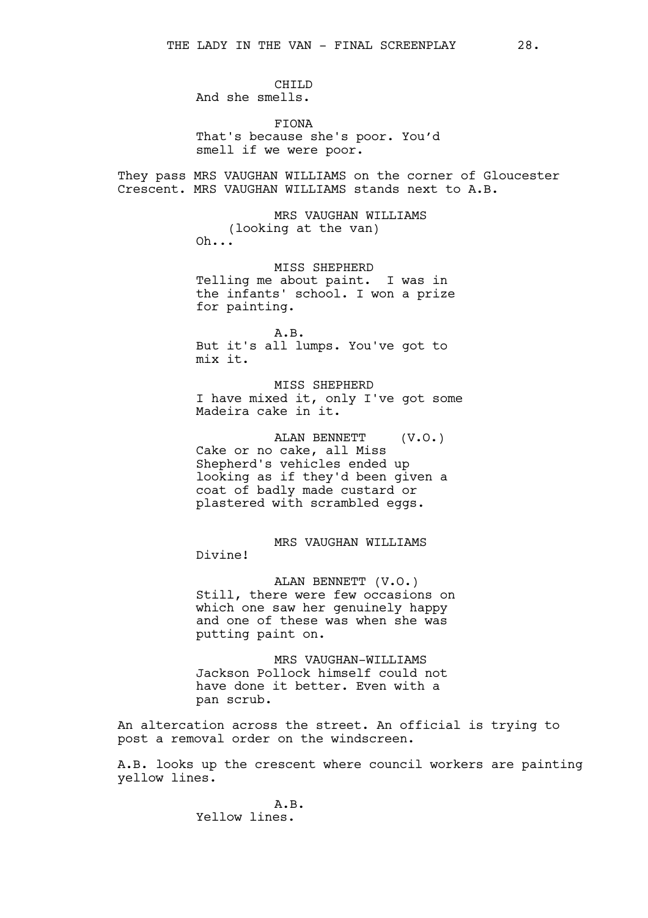CHILD And she smells.

FIONA That's because she's poor. You'd smell if we were poor.

They pass MRS VAUGHAN WILLIAMS on the corner of Gloucester Crescent. MRS VAUGHAN WILLIAMS stands next to A.B.

> MRS VAUGHAN WILLIAMS (looking at the van) Oh...

MISS SHEPHERD Telling me about paint. I was in the infants' school. I won a prize for painting.

A.B. But it's all lumps. You've got to mix it.

MISS SHEPHERD I have mixed it, only I've got some Madeira cake in it.

ALAN BENNETT (V.O.) Cake or no cake, all Miss Shepherd's vehicles ended up looking as if they'd been given a coat of badly made custard or plastered with scrambled eggs.

MRS VAUGHAN WILLIAMS

ALAN BENNETT (V.O.) Still, there were few occasions on which one saw her genuinely happy and one of these was when she was putting paint on.

MRS VAUGHAN-WILLIAMS Jackson Pollock himself could not have done it better. Even with a pan scrub.

An altercation across the street. An official is trying to post a removal order on the windscreen.

A.B. looks up the crescent where council workers are painting yellow lines.

> A.B. Yellow lines.

Divine!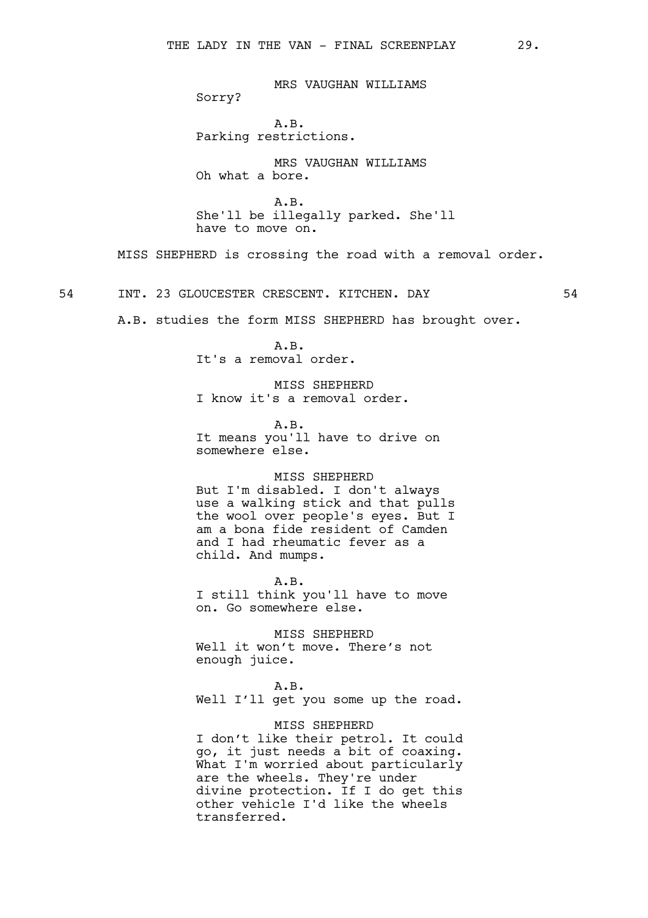MRS VAUGHAN WILLIAMS Sorry? A.B.

Parking restrictions.

MRS VAUGHAN WILLIAMS Oh what a bore.

A.B. She'll be illegally parked. She'll have to move on.

MISS SHEPHERD is crossing the road with a removal order.

54 INT. 23 GLOUCESTER CRESCENT. KITCHEN. DAY 54

A.B. studies the form MISS SHEPHERD has brought over.

A.B. It's a removal order.

MISS SHEPHERD I know it's a removal order.

A.B. It means you'll have to drive on somewhere else.

# MISS SHEPHERD

But I'm disabled. I don't always use a walking stick and that pulls the wool over people's eyes. But I am a bona fide resident of Camden and I had rheumatic fever as a child. And mumps.

A.B. I still think you'll have to move on. Go somewhere else.

MISS SHEPHERD Well it won't move. There's not enough juice.

A.B. Well I'll get you some up the road.

MISS SHEPHERD I don't like their petrol. It could go, it just needs a bit of coaxing. What I'm worried about particularly are the wheels. They're under divine protection. If I do get this other vehicle I'd like the wheels transferred.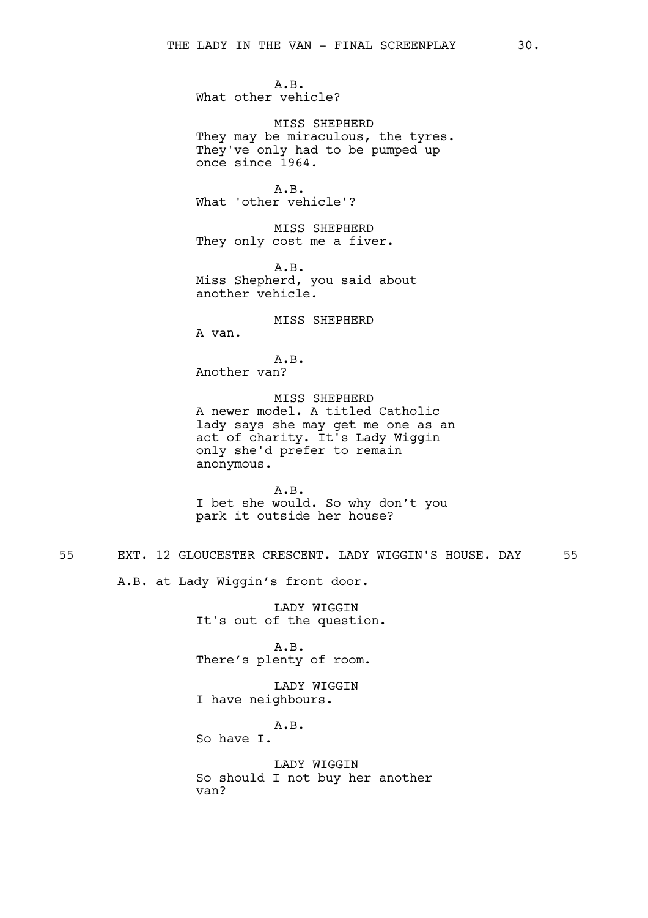A.B. What other vehicle?

MISS SHEPHERD They may be miraculous, the tyres. They've only had to be pumped up once since 1964.

A.B. What 'other vehicle'?

MISS SHEPHERD They only cost me a fiver.

A.B. Miss Shepherd, you said about another vehicle.

MISS SHEPHERD

A van.

A.B. Another van?

MISS SHEPHERD A newer model. A titled Catholic lady says she may get me one as an act of charity. It's Lady Wiggin only she'd prefer to remain anonymous.

A.B. I bet she would. So why don't you park it outside her house?

55 EXT. 12 GLOUCESTER CRESCENT. LADY WIGGIN'S HOUSE. DAY 55

A.B. at Lady Wiggin's front door.

LADY WIGGIN It's out of the question.

A.B. There's plenty of room.

LADY WIGGIN I have neighbours.

A.B. So have I.

LADY WIGGIN So should I not buy her another van?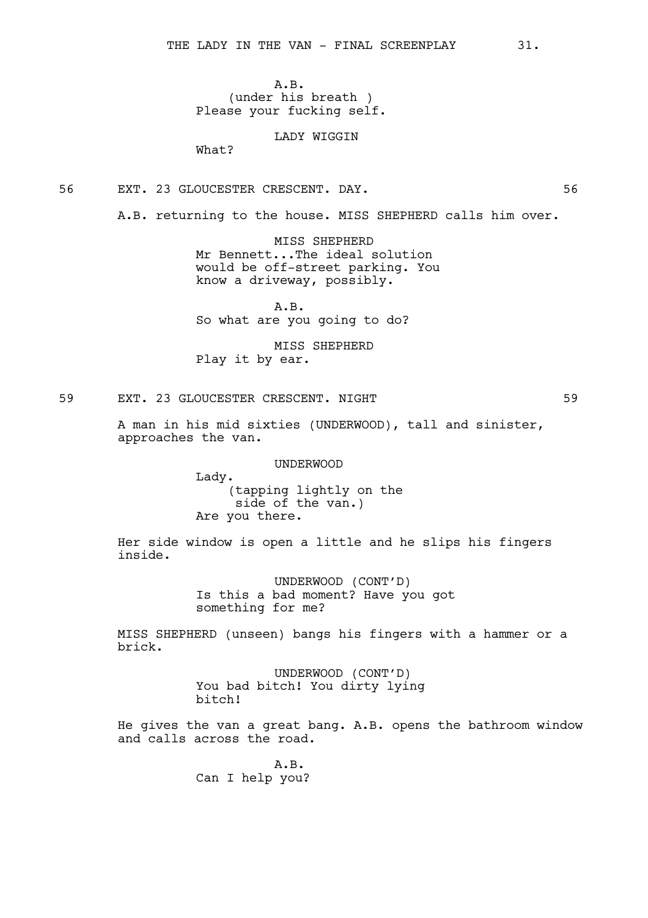A.B. (under his breath ) Please your fucking self.

LADY WIGGIN

What?

56 EXT. 23 GLOUCESTER CRESCENT. DAY. 56

A.B. returning to the house. MISS SHEPHERD calls him over.

MISS SHEPHERD Mr Bennett...The ideal solution would be off-street parking. You know a driveway, possibly.

A.B. So what are you going to do?

MISS SHEPHERD Play it by ear.

59 EXT. 23 GLOUCESTER CRESCENT. NIGHT 59

A man in his mid sixties (UNDERWOOD), tall and sinister, approaches the van.

UNDERWOOD

Lady. (tapping lightly on the side of the van.) Are you there.

Her side window is open a little and he slips his fingers inside.

> UNDERWOOD (CONT'D) Is this a bad moment? Have you got something for me?

MISS SHEPHERD (unseen) bangs his fingers with a hammer or a brick.

> UNDERWOOD (CONT'D) You bad bitch! You dirty lying bitch!

He gives the van a great bang. A.B. opens the bathroom window and calls across the road.

> A.B. Can I help you?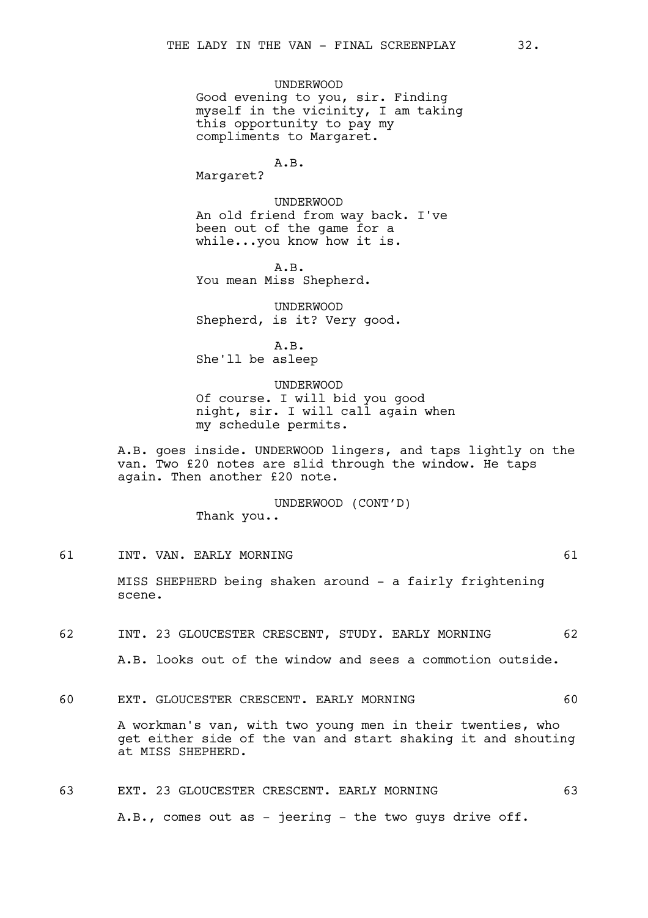UNDERWOOD Good evening to you, sir. Finding myself in the vicinity, I am taking this opportunity to pay my compliments to Margaret.

A.B.

Margaret?

UNDERWOOD An old friend from way back. I've been out of the game for a while...you know how it is.

A.B. You mean Miss Shepherd.

UNDERWOOD Shepherd, is it? Very good.

A.B. She'll be asleep

UNDERWOOD Of course. I will bid you good night, sir. I will call again when my schedule permits.

A.B. goes inside. UNDERWOOD lingers, and taps lightly on the van. Two £20 notes are slid through the window. He taps again. Then another £20 note.

> UNDERWOOD (CONT'D) Thank you..

61 INT. VAN. EARLY MORNING 61

scene.

MISS SHEPHERD being shaken around - a fairly frightening

62 INT. 23 GLOUCESTER CRESCENT, STUDY. EARLY MORNING 62

A.B. looks out of the window and sees a commotion outside.

60 EXT. GLOUCESTER CRESCENT. EARLY MORNING 60

A workman's van, with two young men in their twenties, who get either side of the van and start shaking it and shouting at MISS SHEPHERD.

63 EXT. 23 GLOUCESTER CRESCENT. EARLY MORNING 63 A.B., comes out as - jeering - the two quys drive off.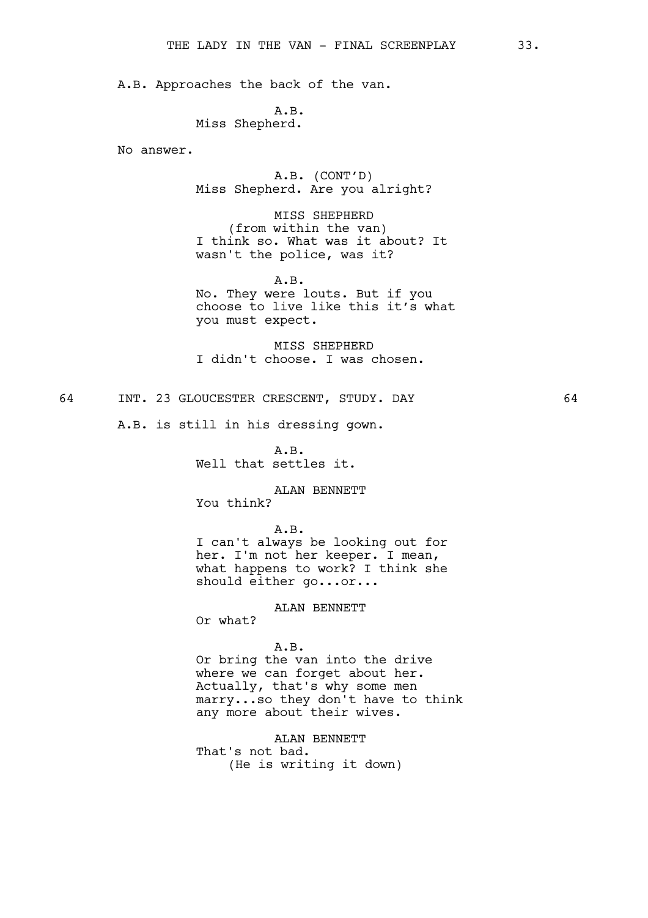A.B. Approaches the back of the van.

A.B. Miss Shepherd.

No answer.

A.B. (CONT'D) Miss Shepherd. Are you alright?

MISS SHEPHERD (from within the van) I think so. What was it about? It wasn't the police, was it?

A.B. No. They were louts. But if you choose to live like this it's what you must expect.

MISS SHEPHERD I didn't choose. I was chosen.

64 INT. 23 GLOUCESTER CRESCENT, STUDY. DAY 64

A.B. is still in his dressing gown.

A.B. Well that settles it.

ALAN BENNETT

You think?

A.B.

I can't always be looking out for her. I'm not her keeper. I mean, what happens to work? I think she should either go...or...

ALAN BENNETT

Or what?

A.B.

Or bring the van into the drive where we can forget about her. Actually, that's why some men marry...so they don't have to think any more about their wives.

ALAN BENNETT That's not bad. (He is writing it down)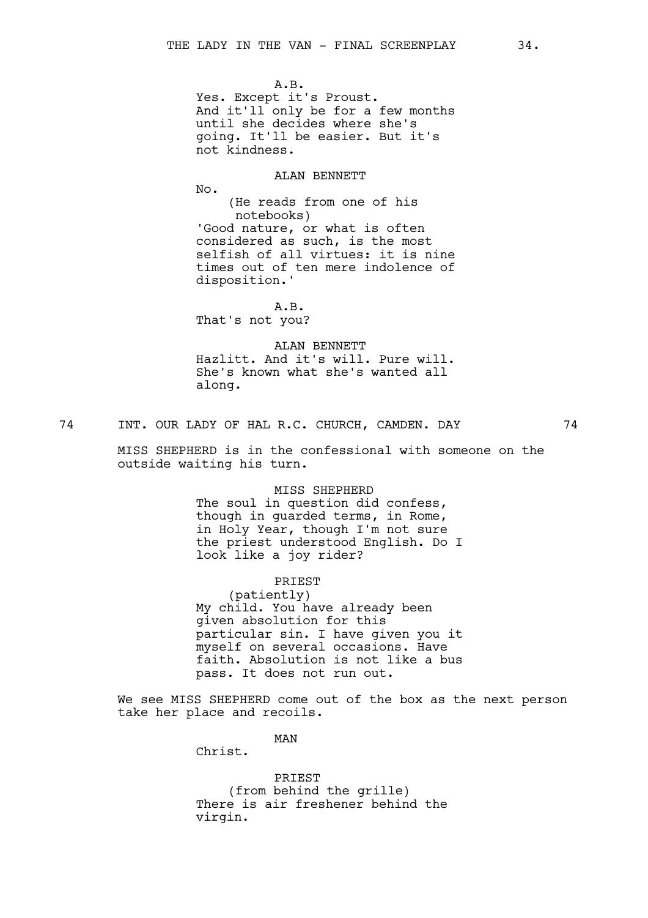A.B. Yes. Except it's Proust. And it'll only be for a few months until she decides where she's going. It'll be easier. But it's not kindness.

### ALAN BENNETT

No. (He reads from one of his notebooks) 'Good nature, or what is often considered as such, is the most selfish of all virtues: it is nine times out of ten mere indolence of disposition.'

A.B. That's not you?

ALAN BENNETT Hazlitt. And it's will. Pure will. She's known what she's wanted all along.

74 INT. OUR LADY OF HAL R.C. CHURCH, CAMDEN. DAY 74

MISS SHEPHERD is in the confessional with someone on the outside waiting his turn.

> MISS SHEPHERD The soul in question did confess, though in guarded terms, in Rome, in Holy Year, though I'm not sure the priest understood English. Do I look like a joy rider?

# PRIEST

(patiently) My child. You have already been given absolution for this particular sin. I have given you it myself on several occasions. Have faith. Absolution is not like a bus pass. It does not run out.

We see MISS SHEPHERD come out of the box as the next person take her place and recoils.

MAN

Christ.

PRIEST (from behind the grille) There is air freshener behind the virgin.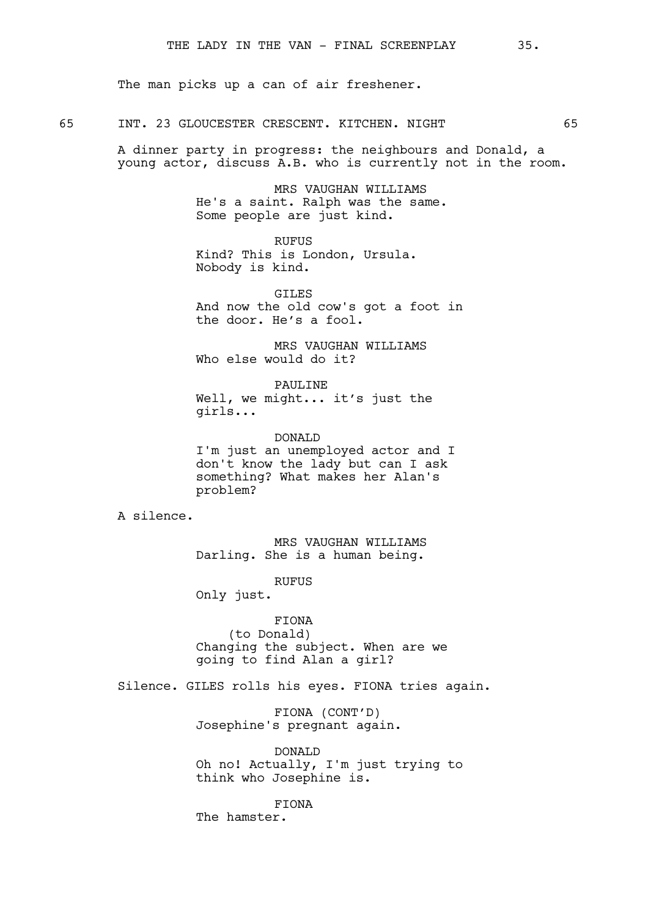The man picks up a can of air freshener.

#### 65 INT. 23 GLOUCESTER CRESCENT. KITCHEN. NIGHT 65

A dinner party in progress: the neighbours and Donald, a young actor, discuss A.B. who is currently not in the room.

> MRS VAUGHAN WILLIAMS He's a saint. Ralph was the same. Some people are just kind.

RUFUS Kind? This is London, Ursula. Nobody is kind.

GILES And now the old cow's got a foot in the door. He's a fool.

MRS VAUGHAN WILLIAMS Who else would do it?

PAULINE Well, we might... it's just the girls...

DONALD I'm just an unemployed actor and I don't know the lady but can I ask something? What makes her Alan's problem?

A silence.

MRS VAUGHAN WILLIAMS Darling. She is a human being.

RUFUS

Only just.

FIONA (to Donald) Changing the subject. When are we going to find Alan a girl?

Silence. GILES rolls his eyes. FIONA tries again.

FIONA (CONT'D) Josephine's pregnant again.

DONALD Oh no! Actually, I'm just trying to think who Josephine is.

FIONA The hamster.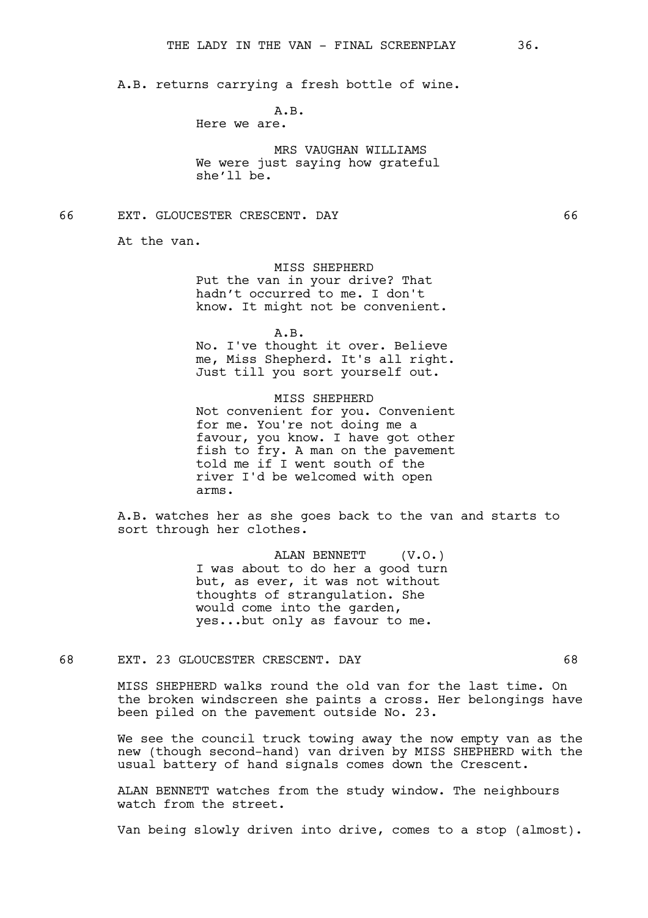A.B. returns carrying a fresh bottle of wine.

A.B.

Here we are.

MRS VAUGHAN WILLIAMS We were just saying how grateful she'll be.

66 EXT. GLOUCESTER CRESCENT. DAY 66

At the van.

MISS SHEPHERD Put the van in your drive? That hadn't occurred to me. I don't know. It might not be convenient.

A.B. No. I've thought it over. Believe me, Miss Shepherd. It's all right. Just till you sort yourself out.

MISS SHEPHERD Not convenient for you. Convenient for me. You're not doing me a favour, you know. I have got other fish to fry. A man on the pavement told me if I went south of the river I'd be welcomed with open arms.

A.B. watches her as she goes back to the van and starts to sort through her clothes.

> ALAN BENNETT (V.O.) I was about to do her a good turn but, as ever, it was not without thoughts of strangulation. She would come into the garden, yes...but only as favour to me.

#### 68 EXT. 23 GLOUCESTER CRESCENT. DAY 68

MISS SHEPHERD walks round the old van for the last time. On the broken windscreen she paints a cross. Her belongings have been piled on the pavement outside No. 23.

We see the council truck towing away the now empty van as the new (though second-hand) van driven by MISS SHEPHERD with the usual battery of hand signals comes down the Crescent.

ALAN BENNETT watches from the study window. The neighbours watch from the street.

Van being slowly driven into drive, comes to a stop (almost).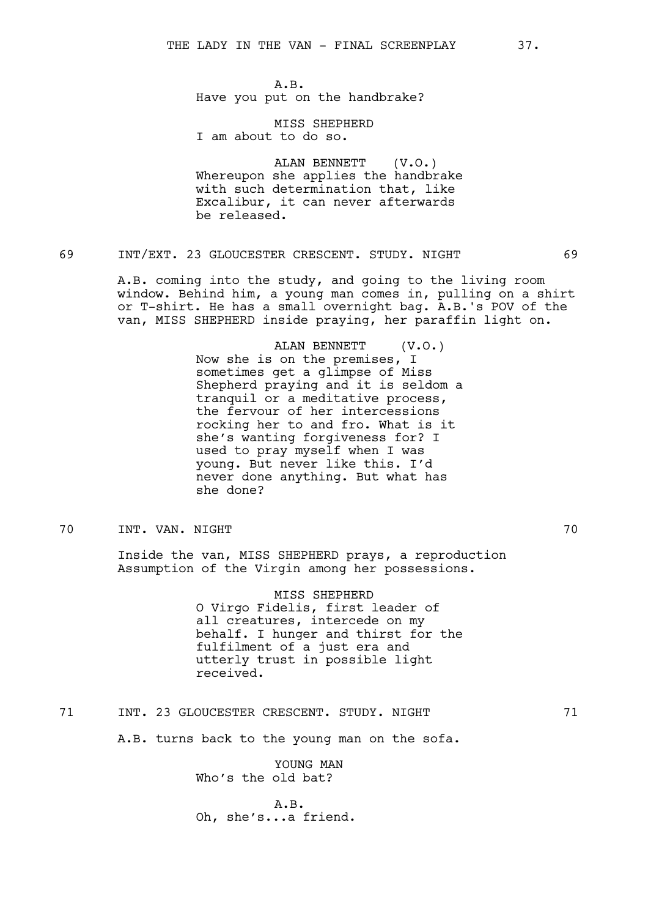A.B. Have you put on the handbrake?

MISS SHEPHERD I am about to do so.

ALAN BENNETT (V.O.) Whereupon she applies the handbrake with such determination that, like Excalibur, it can never afterwards be released.

### 69 INT/EXT. 23 GLOUCESTER CRESCENT. STUDY. NIGHT 69

A.B. coming into the study, and going to the living room window. Behind him, a young man comes in, pulling on a shirt or T-shirt. He has a small overnight bag. A.B.'s POV of the van, MISS SHEPHERD inside praying, her paraffin light on.

> ALAN BENNETT (V.O.) Now she is on the premises, I sometimes get a glimpse of Miss Shepherd praying and it is seldom a tranquil or a meditative process, the fervour of her intercessions rocking her to and fro. What is it she's wanting forgiveness for? I used to pray myself when I was young. But never like this. I'd never done anything. But what has she done?

70 INT. VAN. NIGHT 70

Inside the van, MISS SHEPHERD prays, a reproduction Assumption of the Virgin among her possessions.

> MISS SHEPHERD O Virgo Fidelis, first leader of all creatures, intercede on my behalf. I hunger and thirst for the fulfilment of a just era and utterly trust in possible light received.

71 INT. 23 GLOUCESTER CRESCENT. STUDY. NIGHT 71

A.B. turns back to the young man on the sofa.

YOUNG MAN Who's the old bat?

A.B. Oh, she's...a friend.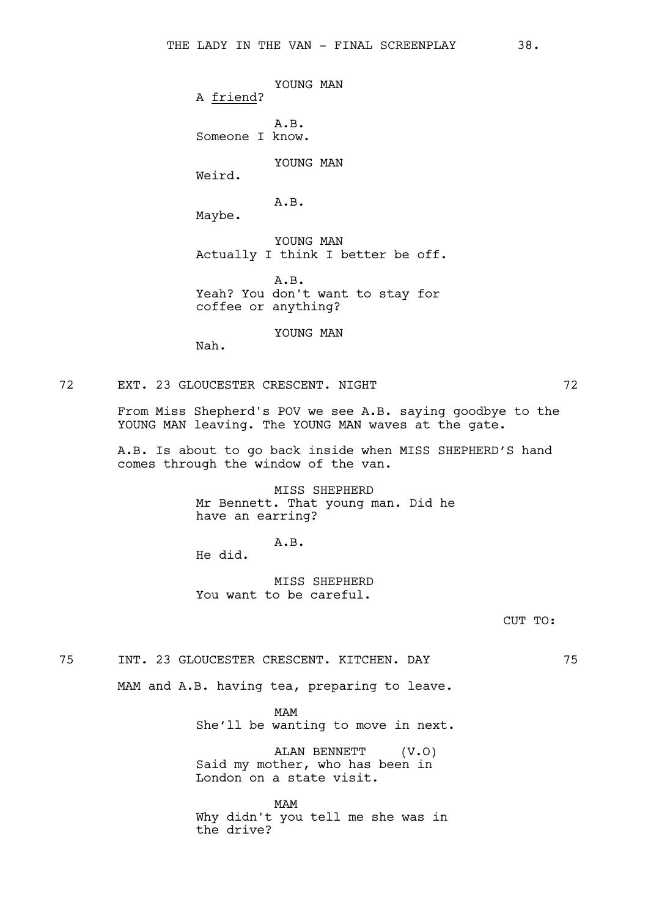YOUNG MAN A friend? A.B. Someone I know. YOUNG MAN Weird. A.B. Maybe. YOUNG MAN Actually I think I better be off. A.B. Yeah? You don't want to stay for coffee or anything? YOUNG MAN Nah.

72 EXT. 23 GLOUCESTER CRESCENT. NIGHT 72

From Miss Shepherd's POV we see A.B. saying goodbye to the YOUNG MAN leaving. The YOUNG MAN waves at the gate.

A.B. Is about to go back inside when MISS SHEPHERD'S hand comes through the window of the van.

> MISS SHEPHERD Mr Bennett. That young man. Did he have an earring?

> > A.B.

He did.

MISS SHEPHERD You want to be careful.

CUT TO:

75 INT. 23 GLOUCESTER CRESCENT. KITCHEN. DAY 75

MAM and A.B. having tea, preparing to leave.

MAM

She'll be wanting to move in next.

ALAN BENNETT (V.O) Said my mother, who has been in London on a state visit.

MAM Why didn't you tell me she was in the drive?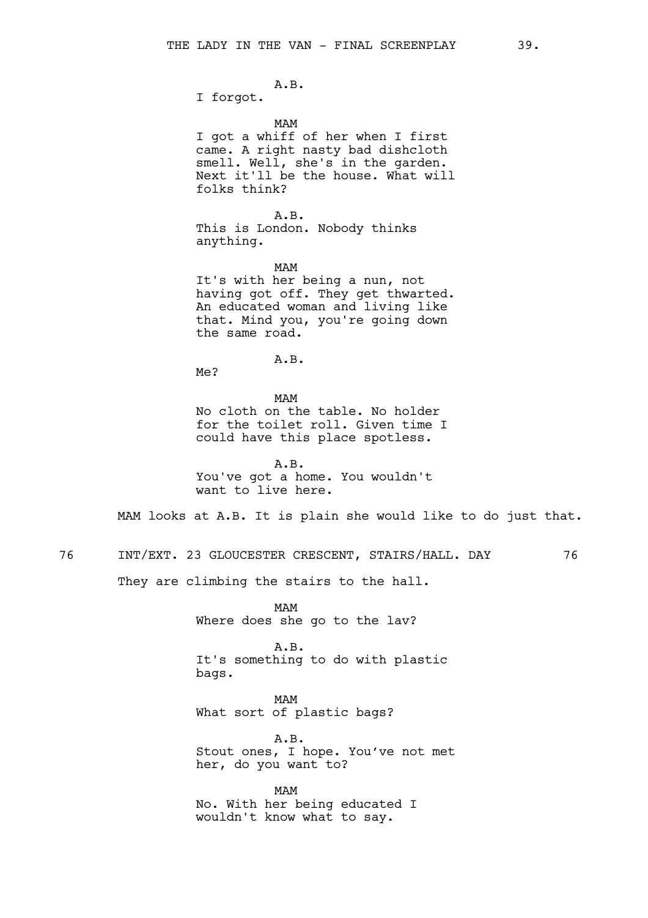# A.B.

I forgot.

MAM

I got a whiff of her when I first came. A right nasty bad dishcloth smell. Well, she's in the garden. Next it'll be the house. What will folks think?

A.B. This is London. Nobody thinks anything.

MAM

It's with her being a nun, not having got off. They get thwarted. An educated woman and living like that. Mind you, you're going down the same road.

A.B.

Me?

MAM No cloth on the table. No holder for the toilet roll. Given time I could have this place spotless.

A.B. You've got a home. You wouldn't want to live here.

MAM looks at A.B. It is plain she would like to do just that.

76 INT/EXT. 23 GLOUCESTER CRESCENT, STAIRS/HALL. DAY 76

They are climbing the stairs to the hall.

MAM Where does she go to the lav?

A.B. It's something to do with plastic bags.

MAM What sort of plastic bags?

A.B. Stout ones, I hope. You've not met her, do you want to?

MAM No. With her being educated I wouldn't know what to say.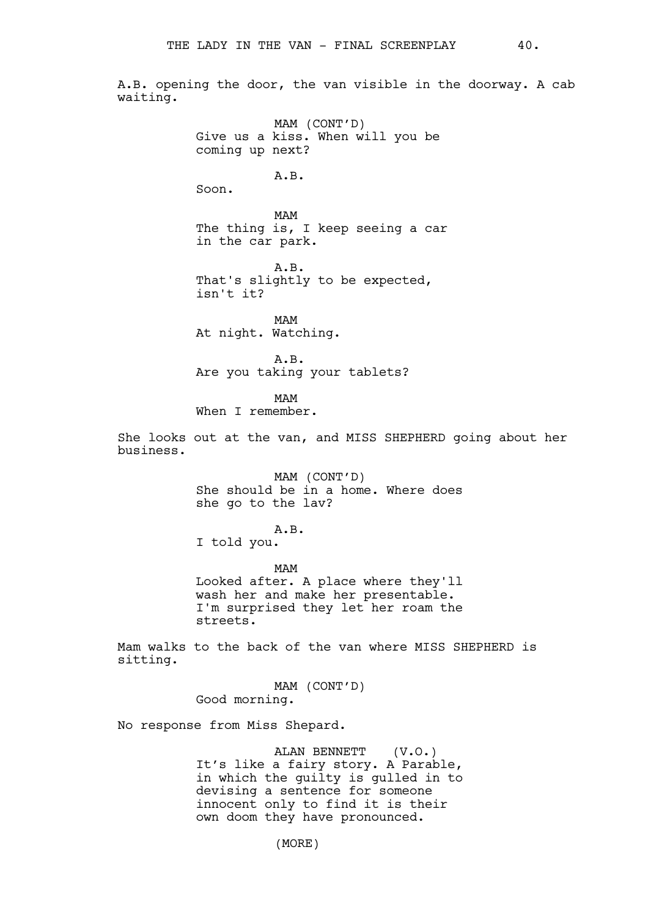A.B. opening the door, the van visible in the doorway. A cab waiting.

> MAM (CONT'D) Give us a kiss. When will you be coming up next?

> > A.B.

Soon.

MAM The thing is, I keep seeing a car in the car park.

A.B. That's slightly to be expected, isn't it?

MAM At night. Watching.

A.B. Are you taking your tablets?

MAM

When I remember.

She looks out at the van, and MISS SHEPHERD going about her business.

> MAM (CONT'D) She should be in a home. Where does she go to the lav?

> > A.B.

I told you.

MAM Looked after. A place where they'll wash her and make her presentable. I'm surprised they let her roam the streets.

Mam walks to the back of the van where MISS SHEPHERD is sitting.

> MAM (CONT'D) Good morning.

No response from Miss Shepard.

ALAN BENNETT (V.O.) It's like a fairy story. A Parable, in which the guilty is gulled in to devising a sentence for someone innocent only to find it is their own doom they have pronounced.

(MORE)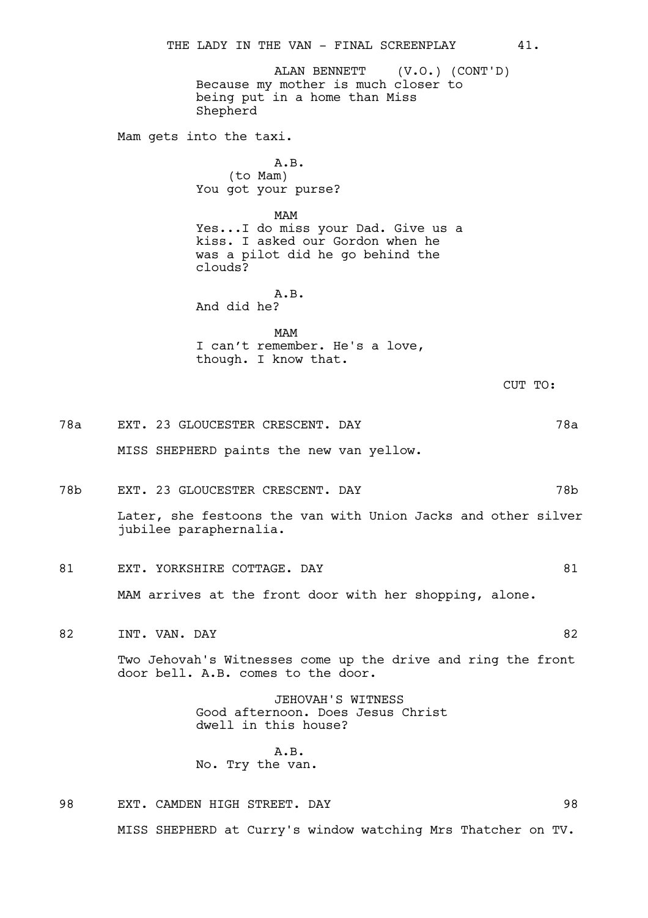Because my mother is much closer to being put in a home than Miss Shepherd Mam gets into the taxi. A.B. (to Mam) You got your purse? MAM Yes...I do miss your Dad. Give us a kiss. I asked our Gordon when he was a pilot did he go behind the clouds? A.B. And did he? MAM I can't remember. He's a love, though. I know that. CUT TO: 78a EXT. 23 GLOUCESTER CRESCENT. DAY 78a MISS SHEPHERD paints the new van yellow. 78b EXT. 23 GLOUCESTER CRESCENT. DAY 78b Later, she festoons the van with Union Jacks and other silver jubilee paraphernalia. 81 EXT. YORKSHIRE COTTAGE. DAY 61 MAM arrives at the front door with her shopping, alone. 82 INT. VAN. DAY 82 Two Jehovah's Witnesses come up the drive and ring the front door bell. A.B. comes to the door. JEHOVAH'S WITNESS Good afternoon. Does Jesus Christ dwell in this house? A.B. No. Try the van. 98 EXT. CAMDEN HIGH STREET. DAY 98 MISS SHEPHERD at Curry's window watching Mrs Thatcher on TV. ALAN BENNETT (V.O.) (CONT'D) THE LADY IN THE VAN - FINAL SCREENPLAY 41.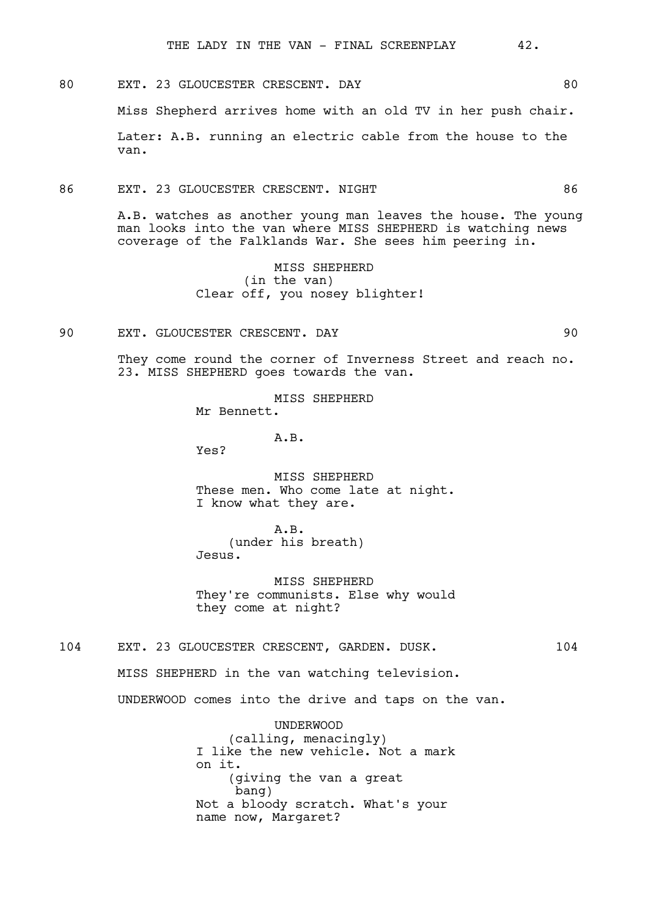- 80 EXT. 23 GLOUCESTER CRESCENT. DAY 80 Miss Shepherd arrives home with an old TV in her push chair. Later: A.B. running an electric cable from the house to the
- 86 EXT. 23 GLOUCESTER CRESCENT. NIGHT 86

van.

A.B. watches as another young man leaves the house. The young man looks into the van where MISS SHEPHERD is watching news coverage of the Falklands War. She sees him peering in.

> MISS SHEPHERD (in the van) Clear off, you nosey blighter!

90 EXT. GLOUCESTER CRESCENT. DAY 90

They come round the corner of Inverness Street and reach no. 23. MISS SHEPHERD goes towards the van.

> MISS SHEPHERD Mr Bennett.

> > A.B.

Yes?

MISS SHEPHERD These men. Who come late at night. I know what they are.

A.B. (under his breath) Jesus.

MISS SHEPHERD They're communists. Else why would they come at night?

104 EXT. 23 GLOUCESTER CRESCENT, GARDEN. DUSK. 104

MISS SHEPHERD in the van watching television.

UNDERWOOD comes into the drive and taps on the van.

UNDERWOOD (calling, menacingly) I like the new vehicle. Not a mark on it. (giving the van a great bang) Not a bloody scratch. What's your name now, Margaret?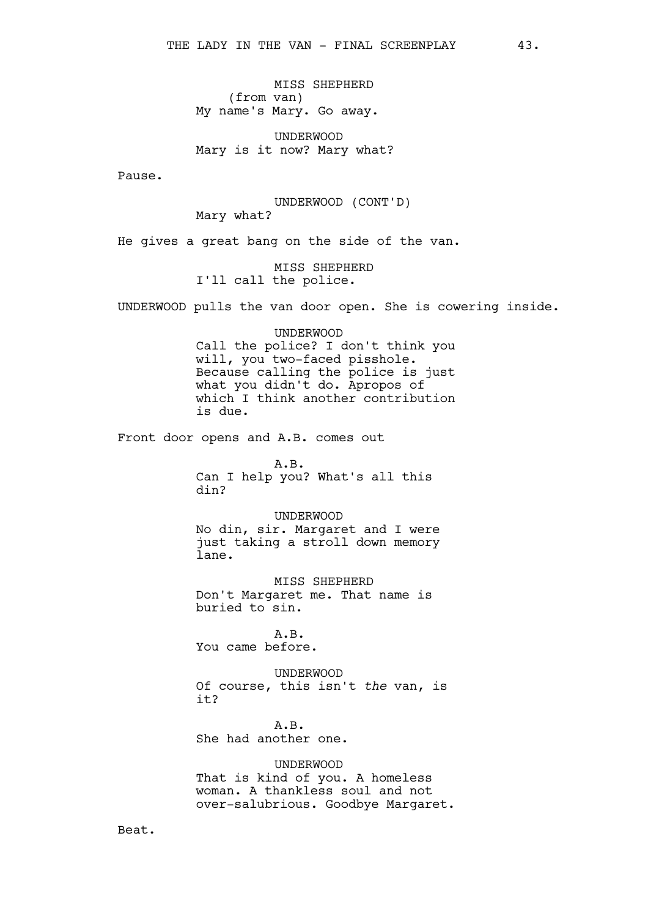MISS SHEPHERD (from van) My name's Mary. Go away.

UNDERWOOD Mary is it now? Mary what?

Pause.

UNDERWOOD (CONT'D) Mary what?

He gives a great bang on the side of the van.

MISS SHEPHERD I'll call the police.

UNDERWOOD pulls the van door open. She is cowering inside.

UNDERWOOD Call the police? I don't think you will, you two-faced pisshole. Because calling the police is just what you didn't do. Apropos of which I think another contribution is due.

Front door opens and A.B. comes out

A.B. Can I help you? What's all this din?

UNDERWOOD No din, sir. Margaret and I were just taking a stroll down memory lane.

MISS SHEPHERD Don't Margaret me. That name is buried to sin.

A.B. You came before.

UNDERWOOD Of course, this isn't *the* van, is it?

A.B. She had another one.

### UNDERWOOD

That is kind of you. A homeless woman. A thankless soul and not over-salubrious. Goodbye Margaret.

Beat.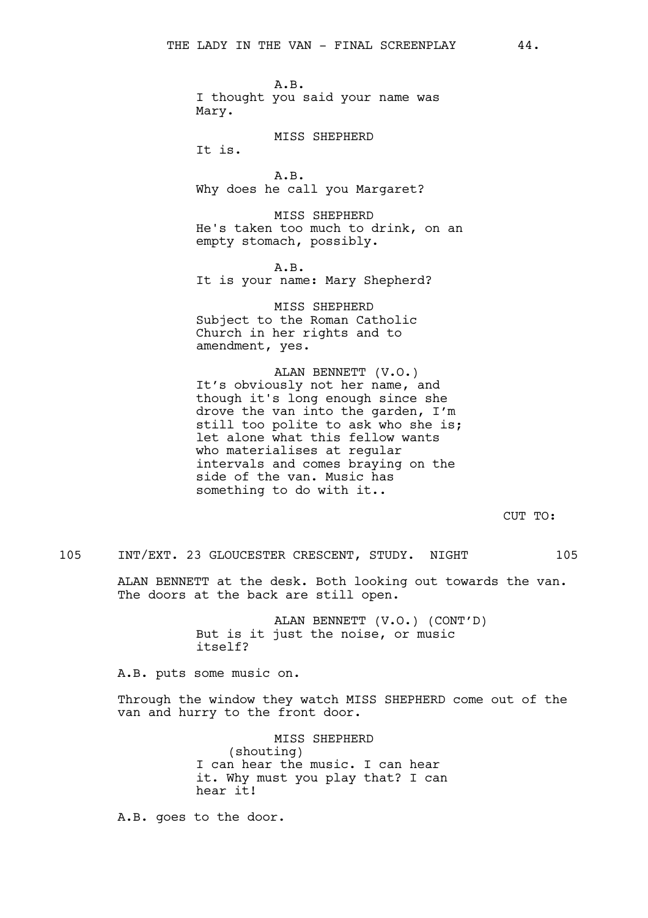A.B. I thought you said your name was Mary.

MISS SHEPHERD

It is.

A.B. Why does he call you Margaret?

MISS SHEPHERD He's taken too much to drink, on an empty stomach, possibly.

A.B. It is your name: Mary Shepherd?

MISS SHEPHERD Subject to the Roman Catholic Church in her rights and to amendment, yes.

ALAN BENNETT (V.O.) It's obviously not her name, and though it's long enough since she drove the van into the garden, I'm still too polite to ask who she is; let alone what this fellow wants who materialises at regular intervals and comes braying on the side of the van. Music has something to do with it..

CUT TO:

### 105 INT/EXT. 23 GLOUCESTER CRESCENT, STUDY. NIGHT 105

ALAN BENNETT at the desk. Both looking out towards the van. The doors at the back are still open.

> ALAN BENNETT (V.O.) (CONT'D) But is it just the noise, or music itself?

A.B. puts some music on.

Through the window they watch MISS SHEPHERD come out of the van and hurry to the front door.

> MISS SHEPHERD (shouting) I can hear the music. I can hear it. Why must you play that? I can hear it!

A.B. goes to the door.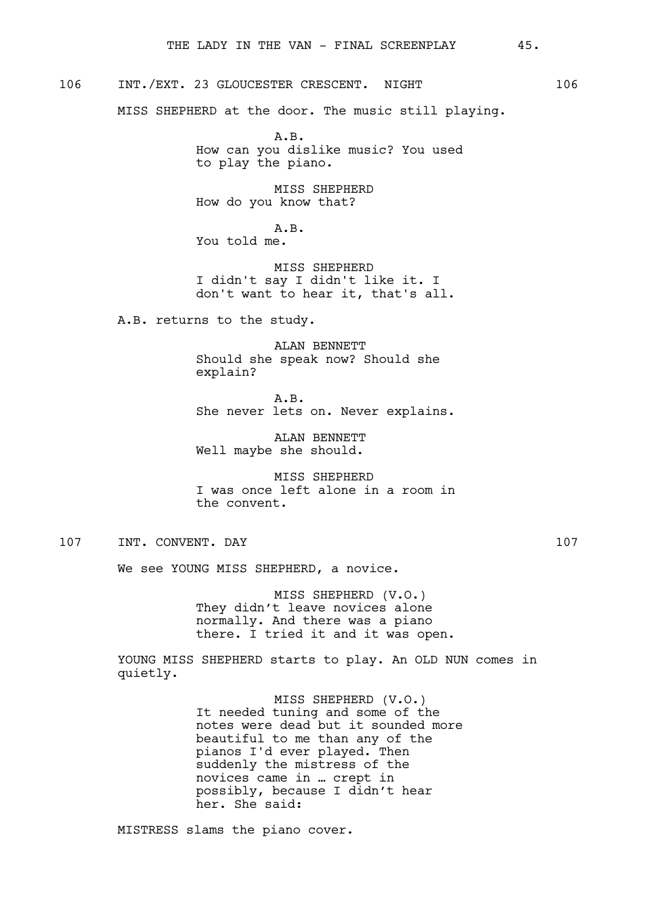# 106 INT./EXT. 23 GLOUCESTER CRESCENT. NIGHT 106

MISS SHEPHERD at the door. The music still playing.

A.B. How can you dislike music? You used to play the piano.

MISS SHEPHERD How do you know that?

A.B. You told me.

MISS SHEPHERD I didn't say I didn't like it. I don't want to hear it, that's all.

A.B. returns to the study.

ALAN BENNETT Should she speak now? Should she explain?

A.B. She never lets on. Never explains.

ALAN BENNETT Well maybe she should.

MISS SHEPHERD I was once left alone in a room in the convent.

### 107 INT. CONVENT. DAY 107

We see YOUNG MISS SHEPHERD, a novice.

MISS SHEPHERD (V.O.) They didn't leave novices alone normally. And there was a piano there. I tried it and it was open.

YOUNG MISS SHEPHERD starts to play. An OLD NUN comes in quietly.

> MISS SHEPHERD (V.O.) It needed tuning and some of the notes were dead but it sounded more beautiful to me than any of the pianos I'd ever played. Then suddenly the mistress of the novices came in … crept in possibly, because I didn't hear her. She said:

MISTRESS slams the piano cover.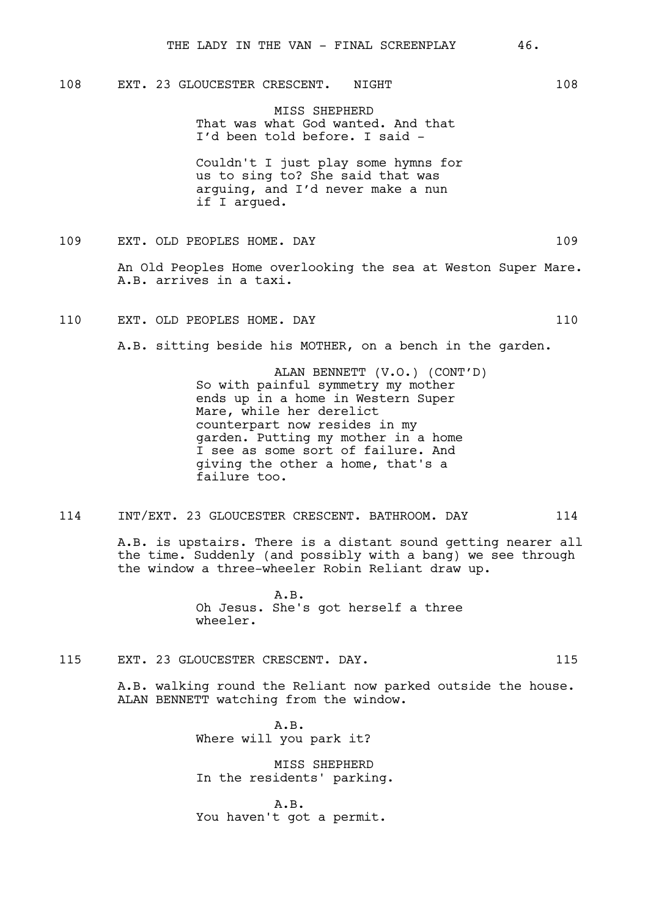# 108 EXT. 23 GLOUCESTER CRESCENT. NIGHT 108

MISS SHEPHERD That was what God wanted. And that I'd been told before. I said –

Couldn't I just play some hymns for us to sing to? She said that was arguing, and I'd never make a nun if I argued.

# 109 EXT. OLD PEOPLES HOME. DAY 109 An Old Peoples Home overlooking the sea at Weston Super Mare. A.B. arrives in a taxi.

110 EXT. OLD PEOPLES HOME. DAY 110

A.B. sitting beside his MOTHER, on a bench in the garden.

ALAN BENNETT (V.O.) (CONT'D) So with painful symmetry my mother ends up in a home in Western Super Mare, while her derelict counterpart now resides in my garden. Putting my mother in a home I see as some sort of failure. And giving the other a home, that's a failure too.

# 114 INT/EXT. 23 GLOUCESTER CRESCENT. BATHROOM. DAY 114

A.B. is upstairs. There is a distant sound getting nearer all the time. Suddenly (and possibly with a bang) we see through the window a three-wheeler Robin Reliant draw up.

> A.B. Oh Jesus. She's got herself a three wheeler.

115 EXT. 23 GLOUCESTER CRESCENT. DAY. 115

A.B. walking round the Reliant now parked outside the house. ALAN BENNETT watching from the window.

> A.B. Where will you park it?

MISS SHEPHERD In the residents' parking.

A.B. You haven't got a permit.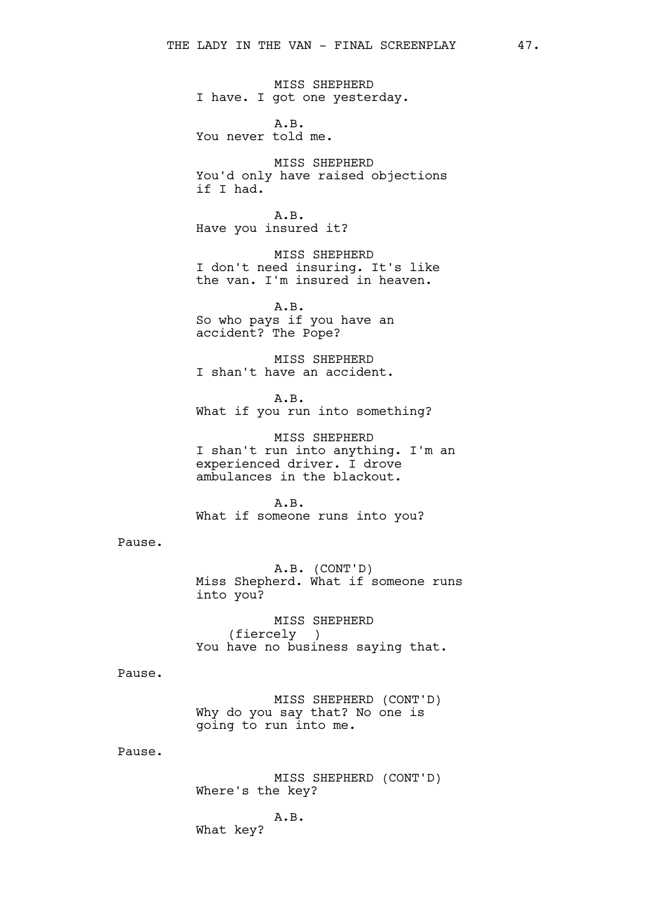MISS SHEPHERD I have. I got one yesterday.

A.B. You never told me.

MISS SHEPHERD You'd only have raised objections if I had.

A.B. Have you insured it?

MISS SHEPHERD I don't need insuring. It's like the van. I'm insured in heaven.

A.B. So who pays if you have an accident? The Pope?

MISS SHEPHERD I shan't have an accident.

A.B. What if you run into something?

MISS SHEPHERD I shan't run into anything. I'm an experienced driver. I drove ambulances in the blackout.

A.B. What if someone runs into you?

Pause.

A.B. (CONT'D) Miss Shepherd. What if someone runs into you?

MISS SHEPHERD (fiercely ) You have no business saying that.

Pause.

MISS SHEPHERD (CONT'D) Why do you say that? No one is going to run into me.

Pause.

MISS SHEPHERD (CONT'D) Where's the key?

A.B.

What key?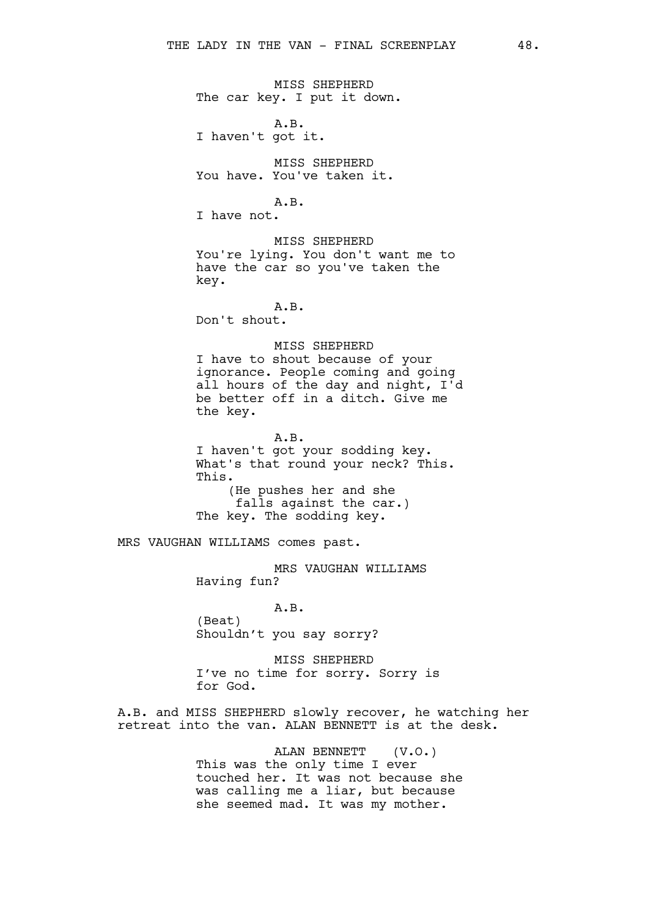MISS SHEPHERD The car key. I put it down. A.B. I haven't got it. MISS SHEPHERD You have. You've taken it. A.B. I have not. MISS SHEPHERD You're lying. You don't want me to have the car so you've taken the key. A.B. Don't shout. MISS SHEPHERD I have to shout because of your ignorance. People coming and going all hours of the day and night, I'd be better off in a ditch. Give me the key. A.B. I haven't got your sodding key. What's that round your neck? This. This. (He pushes her and she falls against the car.) The key. The sodding key.

MRS VAUGHAN WILLIAMS comes past.

MRS VAUGHAN WILLIAMS Having fun?

A.B. (Beat) Shouldn't you say sorry?

MISS SHEPHERD I've no time for sorry. Sorry is for God.

A.B. and MISS SHEPHERD slowly recover, he watching her retreat into the van. ALAN BENNETT is at the desk.

> ALAN BENNETT (V.O.) This was the only time I ever touched her. It was not because she was calling me a liar, but because she seemed mad. It was my mother.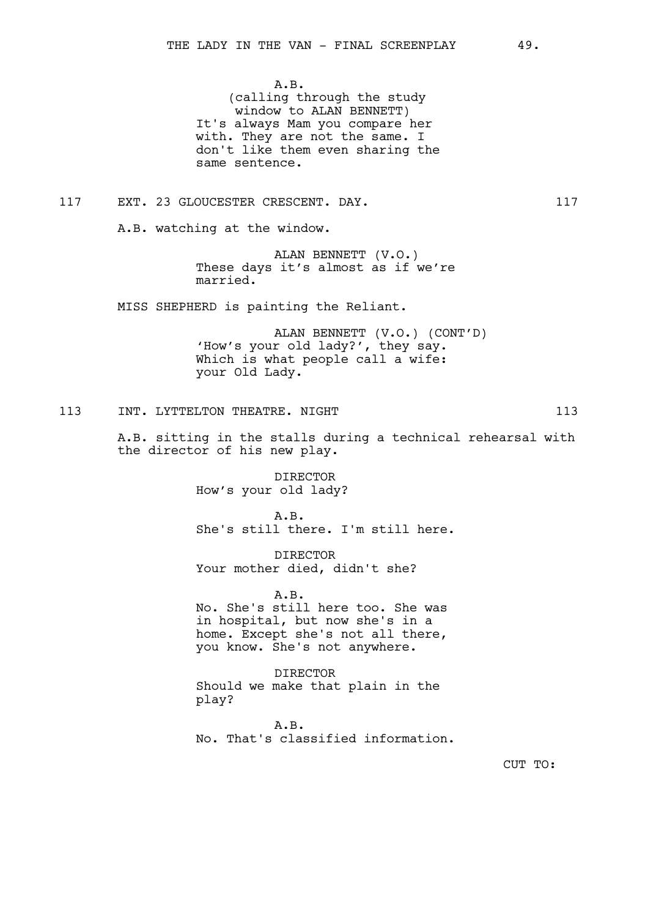A.B. (calling through the study window to ALAN BENNETT) It's always Mam you compare her with. They are not the same. I don't like them even sharing the same sentence.

117 EXT. 23 GLOUCESTER CRESCENT. DAY. 117

A.B. watching at the window.

ALAN BENNETT (V.O.) These days it's almost as if we're married.

MISS SHEPHERD is painting the Reliant.

ALAN BENNETT (V.O.) (CONT'D) 'How's your old lady?', they say. Which is what people call a wife: your Old Lady.

### 113 INT. LYTTELTON THEATRE. NIGHT 113 113

A.B. sitting in the stalls during a technical rehearsal with the director of his new play.

> DIRECTOR How's your old lady?

A.B. She's still there. I'm still here.

DIRECTOR Your mother died, didn't she?

A.B. No. She's still here too. She was in hospital, but now she's in a home. Except she's not all there, you know. She's not anywhere.

DIRECTOR Should we make that plain in the play?

A.B. No. That's classified information.

CUT TO: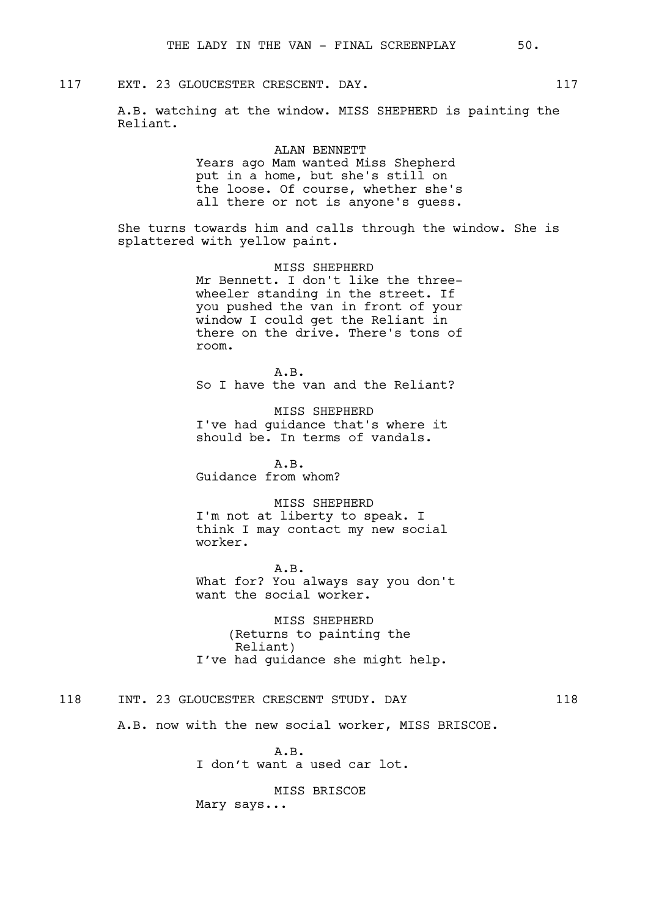### 117 EXT. 23 GLOUCESTER CRESCENT. DAY. 117

A.B. watching at the window. MISS SHEPHERD is painting the Reliant.

#### ALAN BENNETT

Years ago Mam wanted Miss Shepherd put in a home, but she's still on the loose. Of course, whether she's all there or not is anyone's quess.

She turns towards him and calls through the window. She is splattered with yellow paint.

> MISS SHEPHERD Mr Bennett. I don't like the threewheeler standing in the street. If you pushed the van in front of your window I could get the Reliant in there on the drive. There's tons of room.

A.B. So I have the van and the Reliant?

MISS SHEPHERD I've had guidance that's where it should be. In terms of vandals.

A.B. Guidance from whom?

MISS SHEPHERD I'm not at liberty to speak. I think I may contact my new social worker.

A.B. What for? You always say you don't want the social worker.

MISS SHEPHERD (Returns to painting the Reliant) I've had guidance she might help.

# 118 INT. 23 GLOUCESTER CRESCENT STUDY. DAY 118

A.B. now with the new social worker, MISS BRISCOE.

A.B. I don't want a used car lot.

MISS BRISCOE Mary says...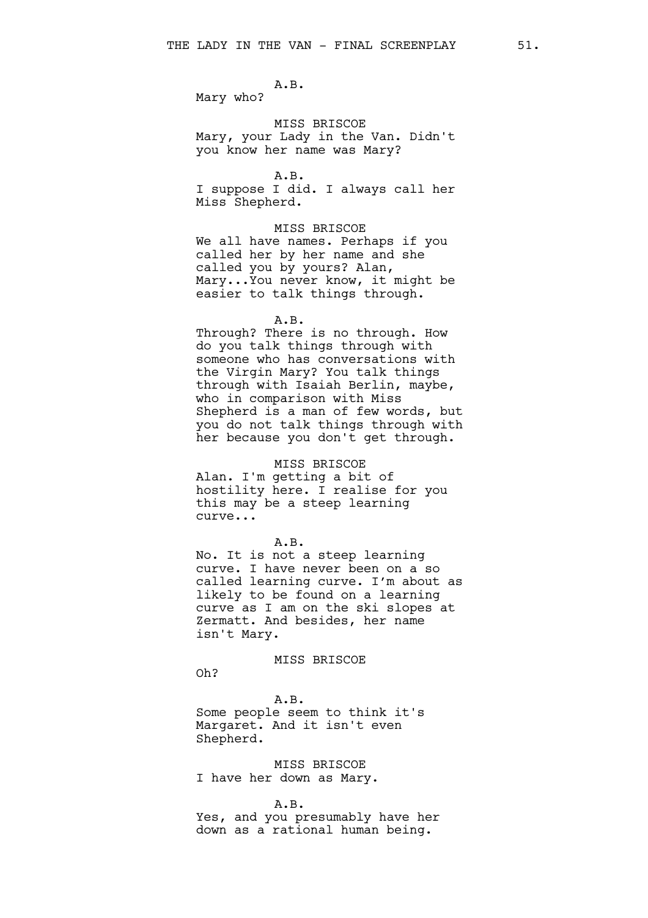# A.B.

Mary who?

MISS BRISCOE Mary, your Lady in the Van. Didn't you know her name was Mary?

# A.B.

I suppose I did. I always call her Miss Shepherd.

### MISS BRISCOE

We all have names. Perhaps if you called her by her name and she called you by yours? Alan, Mary...You never know, it might be easier to talk things through.

#### A.B.

Through? There is no through. How do you talk things through with someone who has conversations with the Virgin Mary? You talk things through with Isaiah Berlin, maybe, who in comparison with Miss Shepherd is a man of few words, but you do not talk things through with her because you don't get through.

### MISS BRISCOE

Alan. I'm getting a bit of hostility here. I realise for you this may be a steep learning curve...

### A.B.

No. It is not a steep learning curve. I have never been on a so called learning curve. I'm about as likely to be found on a learning curve as I am on the ski slopes at Zermatt. And besides, her name isn't Mary.

### MISS BRISCOE

Oh?

A.B. Some people seem to think it's Margaret. And it isn't even Shepherd.

MISS BRISCOE I have her down as Mary.

A.B.

Yes, and you presumably have her down as a rational human being.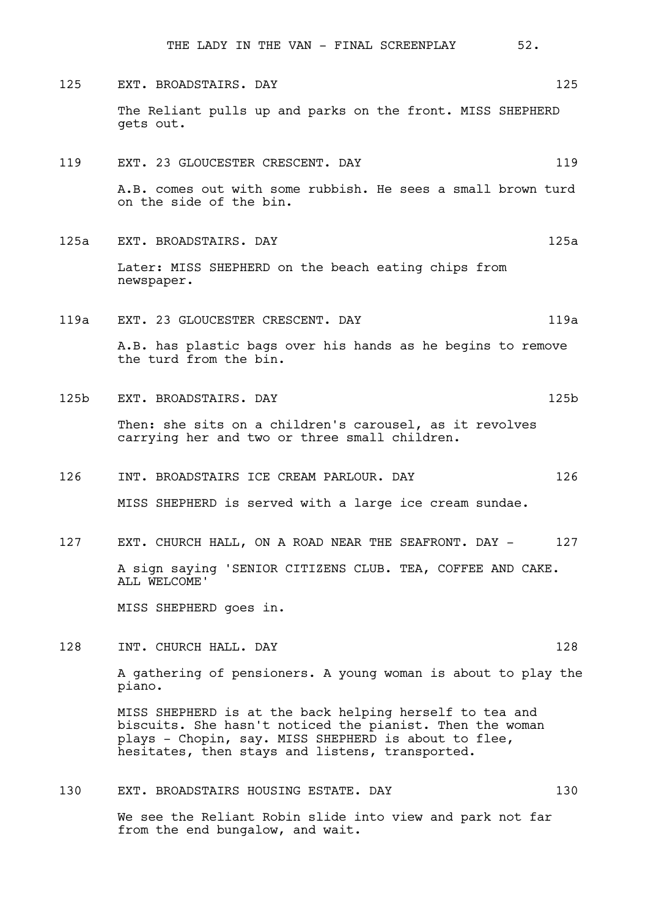125 EXT. BROADSTAIRS. DAY 125 The Reliant pulls up and parks on the front. MISS SHEPHERD gets out. 119 EXT. 23 GLOUCESTER CRESCENT. DAY 119 A.B. comes out with some rubbish. He sees a small brown turd on the side of the bin. 125a EXT. BROADSTAIRS. DAY 125a Later: MISS SHEPHERD on the beach eating chips from newspaper. 119a EXT. 23 GLOUCESTER CRESCENT. DAY 119a A.B. has plastic bags over his hands as he begins to remove the turd from the bin. 125b EXT. BROADSTAIRS. DAY 125b Then: she sits on a children's carousel, as it revolves carrying her and two or three small children. 126 INT. BROADSTAIRS ICE CREAM PARLOUR. DAY 126 MISS SHEPHERD is served with a large ice cream sundae. 127 EXT. CHURCH HALL, ON A ROAD NEAR THE SEAFRONT. DAY - 127 A sign saying 'SENIOR CITIZENS CLUB. TEA, COFFEE AND CAKE. ALL WELCOME' MISS SHEPHERD goes in. 128 INT. CHURCH HALL. DAY 128 A gathering of pensioners. A young woman is about to play the piano. MISS SHEPHERD is at the back helping herself to tea and biscuits. She hasn't noticed the pianist. Then the woman plays - Chopin, say. MISS SHEPHERD is about to flee, hesitates, then stays and listens, transported. 130 EXT. BROADSTAIRS HOUSING ESTATE. DAY 130

We see the Reliant Robin slide into view and park not far from the end bungalow, and wait.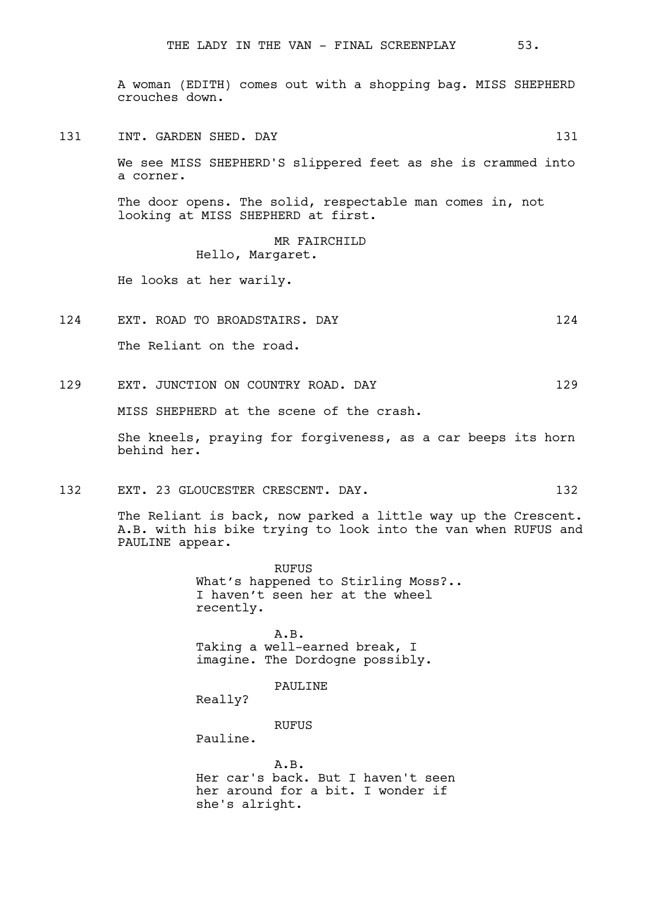A woman (EDITH) comes out with a shopping bag. MISS SHEPHERD crouches down.

131 INT. GARDEN SHED. DAY 131

We see MISS SHEPHERD'S slippered feet as she is crammed into a corner.

The door opens. The solid, respectable man comes in, not looking at MISS SHEPHERD at first.

> MR FAIRCHILD Hello, Margaret.

He looks at her warily.

124 EXT. ROAD TO BROADSTAIRS. DAY 124

The Reliant on the road.

129 EXT. JUNCTION ON COUNTRY ROAD. DAY 129

MISS SHEPHERD at the scene of the crash.

She kneels, praying for forgiveness, as a car beeps its horn behind her.

132 EXT. 23 GLOUCESTER CRESCENT. DAY. 132

The Reliant is back, now parked a little way up the Crescent. A.B. with his bike trying to look into the van when RUFUS and PAULINE appear.

> RUFUS What's happened to Stirling Moss?.. I haven't seen her at the wheel recently.

A.B. Taking a well-earned break, I imagine. The Dordogne possibly.

PAULTNE

Really?

RUFUS

Pauline.

A.B. Her car's back. But I haven't seen her around for a bit. I wonder if she's alright.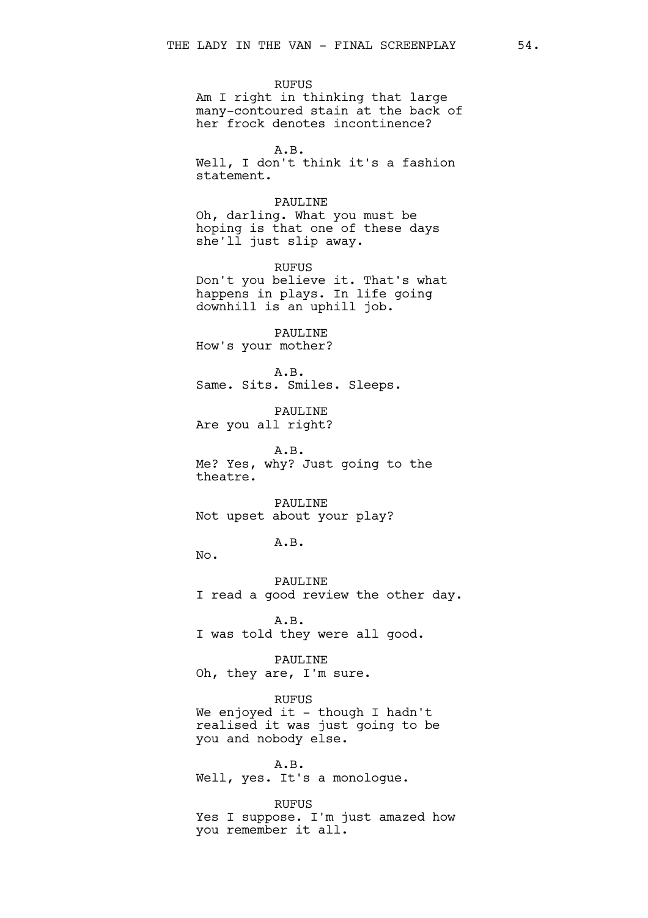RUFUS Am I right in thinking that large many-contoured stain at the back of her frock denotes incontinence?

A.B. Well, I don't think it's a fashion statement.

#### PAULINE

Oh, darling. What you must be hoping is that one of these days she'll just slip away.

RUFUS

Don't you believe it. That's what happens in plays. In life going downhill is an uphill job.

PAULINE How's your mother?

A.B. Same. Sits. Smiles. Sleeps.

PAULINE Are you all right?

A.B. Me? Yes, why? Just going to the theatre.

PAULINE Not upset about your play?

A.B.

No.

PAULINE I read a good review the other day.

A.B. I was told they were all good.

PAULINE Oh, they are, I'm sure.

RUFUS We enjoyed it - though I hadn't realised it was just going to be you and nobody else.

A.B. Well, yes. It's a monologue.

RUFUS Yes I suppose. I'm just amazed how you remember it all.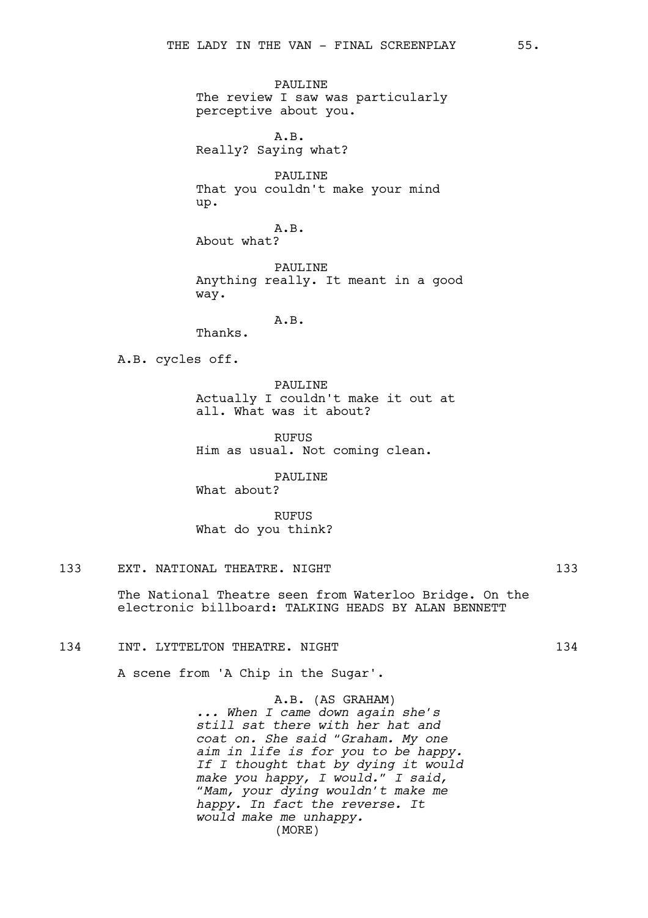PAULINE The review I saw was particularly perceptive about you.

A.B. Really? Saying what?

PAULINE That you couldn't make your mind up.

A.B. About what?

PAULINE Anything really. It meant in a good way.

A.B.

Thanks.

A.B. cycles off.

PAULINE Actually I couldn't make it out at all. What was it about?

RUFUS Him as usual. Not coming clean.

PAULINE What about?

RUFUS What do you think?

# 133 EXT. NATIONAL THEATRE. NIGHT 133

The National Theatre seen from Waterloo Bridge. On the electronic billboard: TALKING HEADS BY ALAN BENNETT

134 INT. LYTTELTON THEATRE. NIGHT 134 134

A scene from 'A Chip in the Sugar'.

A.B. (AS GRAHAM) *... When I came down again she's still sat there with her hat and coat on. She said "Graham. My one aim in life is for you to be happy. If I thought that by dying it would make you happy, I would." I said, "Mam, your dying wouldn't make me happy. In fact the reverse. It would make me unhappy.*  (MORE)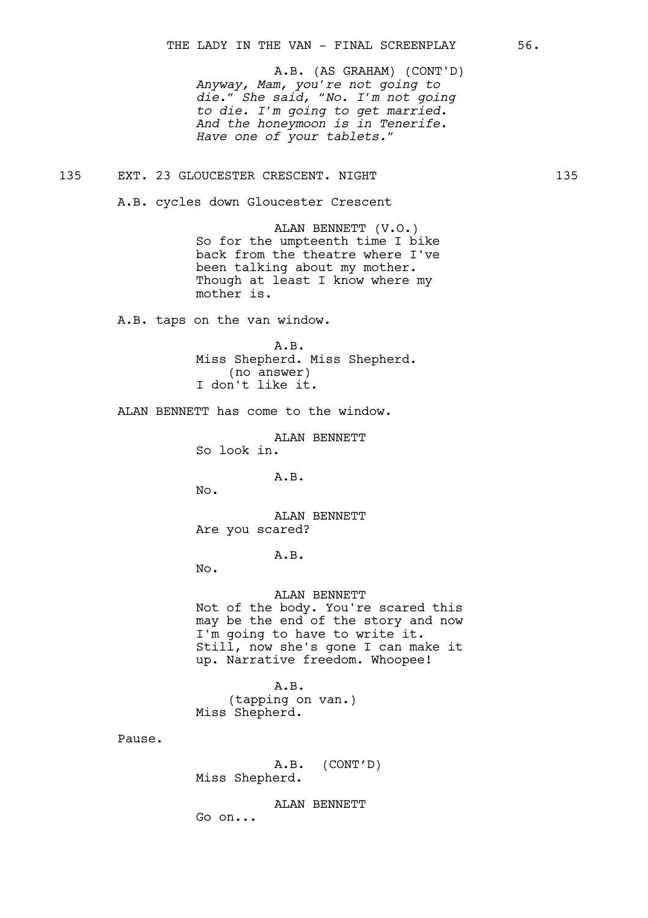*Anyway, Mam, you're not going to die." She said, "No. I'm not going to die. I'm going to get married. And the honeymoon is in Tenerife. Have one of your tablets."* A.B. (AS GRAHAM) (CONT'D)

# 135 EXT. 23 GLOUCESTER CRESCENT. NIGHT 135

A.B. cycles down Gloucester Crescent

ALAN BENNETT (V.O.) So for the umpteenth time I bike back from the theatre where I've been talking about my mother. Though at least I know where my mother is.

A.B. taps on the van window.

A.B. Miss Shepherd. Miss Shepherd. (no answer) I don't like it.

ALAN BENNETT has come to the window.

ALAN BENNETT So look in.

A.B.

No.

ALAN BENNETT Are you scared?

# A.B.

No.

ALAN BENNETT

Not of the body. You're scared this may be the end of the story and now I'm going to have to write it. Still, now she's gone I can make it up. Narrative freedom. Whoopee!

A.B. (tapping on van.) Miss Shepherd.

Pause.

A.B. (CONT'D) Miss Shepherd.

ALAN BENNETT

Go on...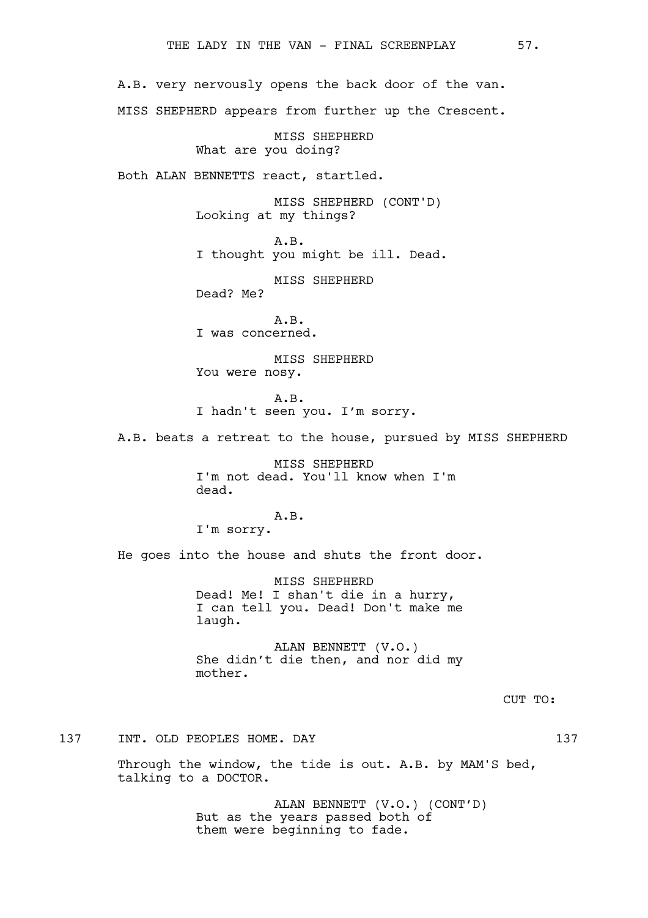A.B. very nervously opens the back door of the van. MISS SHEPHERD appears from further up the Crescent.

> MISS SHEPHERD What are you doing?

Both ALAN BENNETTS react, startled.

MISS SHEPHERD (CONT'D) Looking at my things?

A.B. I thought you might be ill. Dead.

MISS SHEPHERD Dead? Me?

A.B. I was concerned.

MISS SHEPHERD You were nosy.

A.B. I hadn't seen you. I'm sorry.

A.B. beats a retreat to the house, pursued by MISS SHEPHERD

MISS SHEPHERD I'm not dead. You'll know when I'm dead.

A.B. I'm sorry.

He goes into the house and shuts the front door.

MISS SHEPHERD Dead! Me! I shan't die in a hurry, I can tell you. Dead! Don't make me laugh.

ALAN BENNETT (V.O.) She didn't die then, and nor did my mother.

CUT TO:

137 INT. OLD PEOPLES HOME. DAY 137

Through the window, the tide is out. A.B. by MAM'S bed, talking to a DOCTOR.

> ALAN BENNETT (V.O.) (CONT'D) But as the years passed both of them were beginning to fade.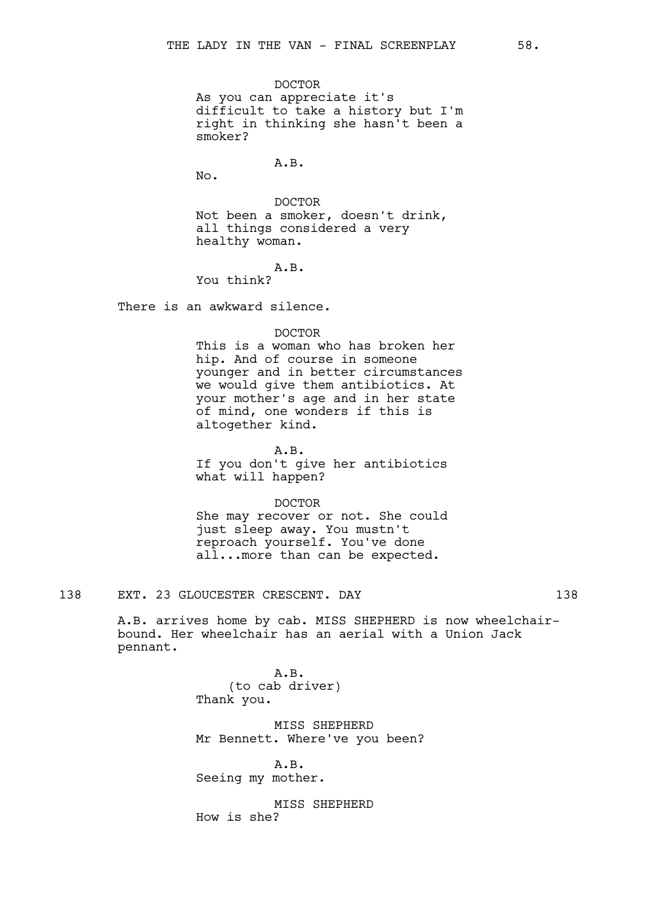DOCTOR As you can appreciate it's difficult to take a history but I'm right in thinking she hasn't been a smoker?

A.B.

No.

DOCTOR Not been a smoker, doesn't drink, all things considered a very healthy woman.

A.B. You think?

There is an awkward silence.

#### DOCTOR

This is a woman who has broken her hip. And of course in someone younger and in better circumstances we would give them antibiotics. At your mother's age and in her state of mind, one wonders if this is altogether kind.

A.B. If you don't give her antibiotics what will happen?

#### DOCTOR

She may recover or not. She could just sleep away. You mustn't reproach yourself. You've done all...more than can be expected.

# 138 EXT. 23 GLOUCESTER CRESCENT. DAY 138

A.B. arrives home by cab. MISS SHEPHERD is now wheelchairbound. Her wheelchair has an aerial with a Union Jack pennant.

> A.B. (to cab driver) Thank you.

MISS SHEPHERD Mr Bennett. Where've you been?

A.B. Seeing my mother.

MISS SHEPHERD How is she?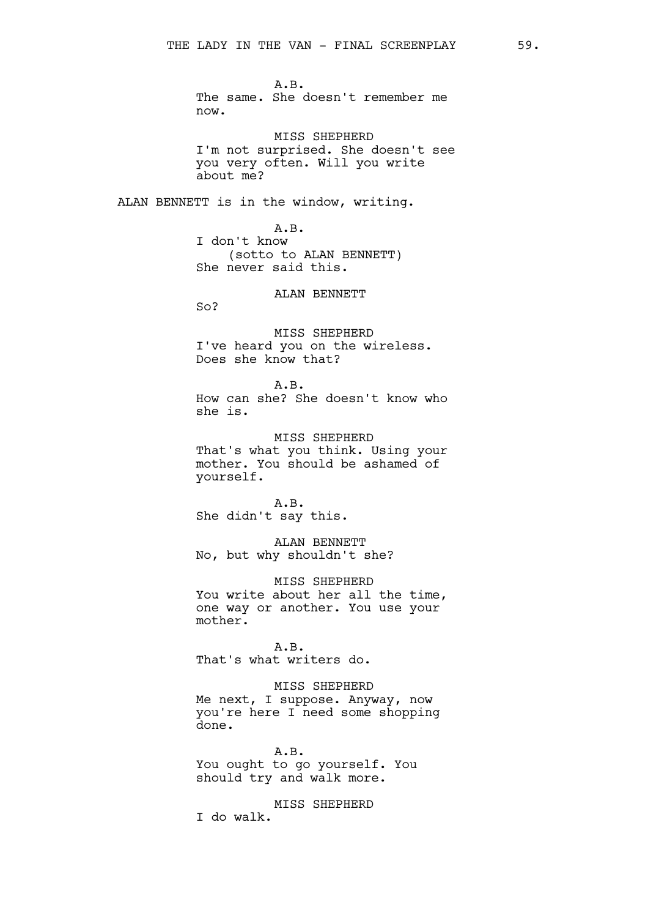A.B. The same. She doesn't remember me now.

MISS SHEPHERD I'm not surprised. She doesn't see you very often. Will you write about me?

ALAN BENNETT is in the window, writing.

A.B. I don't know (sotto to ALAN BENNETT) She never said this.

ALAN BENNETT

 $SO<sub>2</sub>$ 

MISS SHEPHERD I've heard you on the wireless. Does she know that?

A.B. How can she? She doesn't know who she is.

MISS SHEPHERD That's what you think. Using your mother. You should be ashamed of yourself.

A.B. She didn't say this.

ALAN BENNETT No, but why shouldn't she?

MISS SHEPHERD You write about her all the time, one way or another. You use your mother.

A.B. That's what writers do.

MISS SHEPHERD Me next, I suppose. Anyway, now you're here I need some shopping done.

A.B. You ought to go yourself. You should try and walk more.

MISS SHEPHERD I do walk.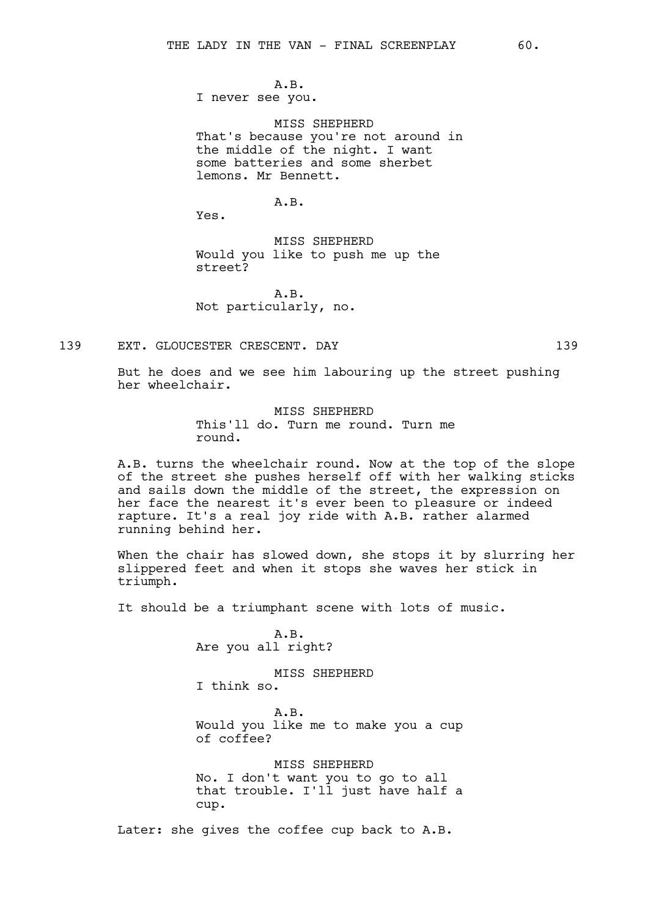A.B. I never see you.

MISS SHEPHERD That's because you're not around in the middle of the night. I want some batteries and some sherbet lemons. Mr Bennett.

A.B.

Yes.

MISS SHEPHERD Would you like to push me up the street?

A.B. Not particularly, no.

### 139 EXT. GLOUCESTER CRESCENT. DAY 139

But he does and we see him labouring up the street pushing her wheelchair.

> MISS SHEPHERD This'll do. Turn me round. Turn me round.

A.B. turns the wheelchair round. Now at the top of the slope of the street she pushes herself off with her walking sticks and sails down the middle of the street, the expression on her face the nearest it's ever been to pleasure or indeed rapture. It's a real joy ride with A.B. rather alarmed running behind her.

When the chair has slowed down, she stops it by slurring her slippered feet and when it stops she waves her stick in triumph.

It should be a triumphant scene with lots of music.

A.B. Are you all right?

MISS SHEPHERD I think so.

A.B. Would you like me to make you a cup of coffee?

MISS SHEPHERD No. I don't want you to go to all that trouble. I'll just have half a cup.

Later: she gives the coffee cup back to A.B.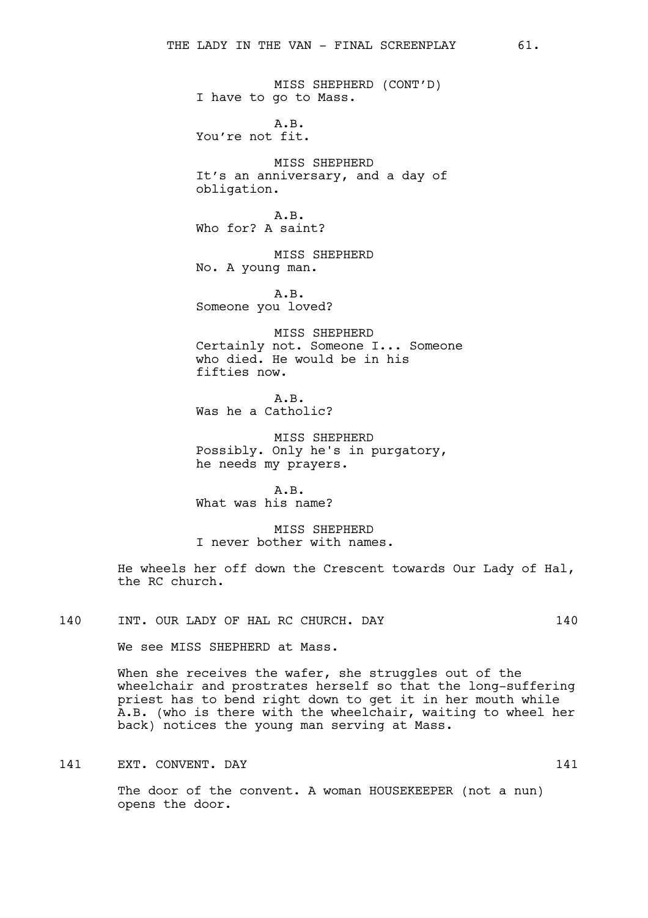MISS SHEPHERD (CONT'D) I have to go to Mass.

A.B. You're not fit.

MISS SHEPHERD It's an anniversary, and a day of obligation.

A.B. Who for? A saint?

MISS SHEPHERD No. A young man.

A.B. Someone you loved?

MISS SHEPHERD Certainly not. Someone I... Someone who died. He would be in his fifties now.

A.B. Was he a Catholic?

MISS SHEPHERD Possibly. Only he's in purgatory, he needs my prayers.

A.B. What was his name?

MISS SHEPHERD I never bother with names.

He wheels her off down the Crescent towards Our Lady of Hal, the RC church.

140 INT. OUR LADY OF HAL RC CHURCH. DAY 140

We see MISS SHEPHERD at Mass.

When she receives the wafer, she struggles out of the wheelchair and prostrates herself so that the long-suffering priest has to bend right down to get it in her mouth while A.B. (who is there with the wheelchair, waiting to wheel her back) notices the young man serving at Mass.

# 141 EXT. CONVENT. DAY 141

The door of the convent. A woman HOUSEKEEPER (not a nun) opens the door.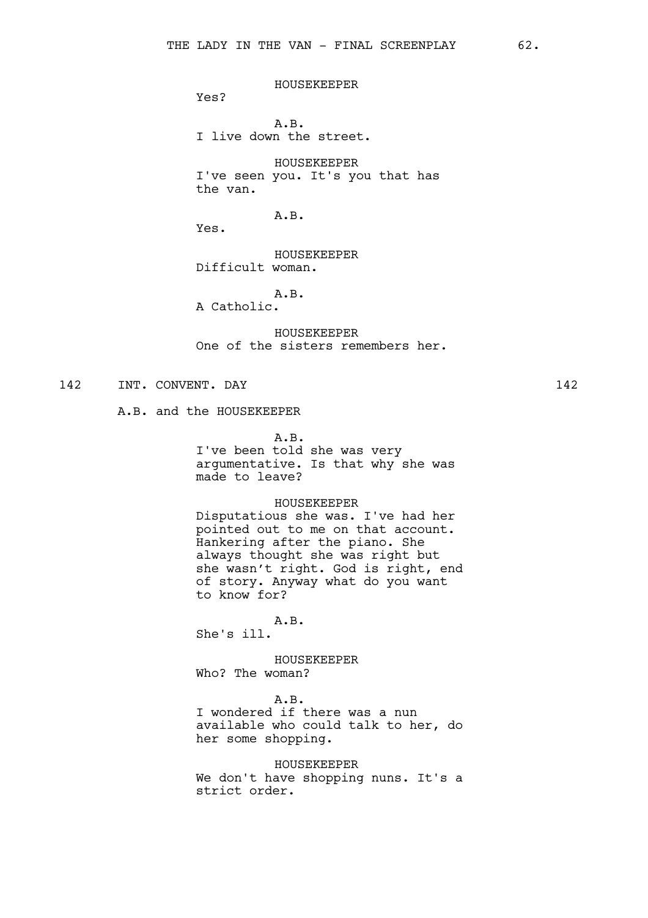HOUSEKEEPER

Yes?

A.B. I live down the street.

HOUSEKEEPER I've seen you. It's you that has the van.

A.B.

Yes.

HOUSEKEEPER Difficult woman.

A.B. A Catholic.

HOUSEKEEPER One of the sisters remembers her.

# 142 INT. CONVENT. DAY 142

## A.B. and the HOUSEKEEPER

A.B.

I've been told she was very argumentative. Is that why she was made to leave?

#### HOUSEKEEPER

Disputatious she was. I've had her pointed out to me on that account. Hankering after the piano. She always thought she was right but she wasn't right. God is right, end of story. Anyway what do you want to know for?

# A.B.

She's ill.

HOUSEKEEPER

Who? The woman?

### A.B.

I wondered if there was a nun available who could talk to her, do her some shopping.

#### HOUSEKEEPER

We don't have shopping nuns. It's a strict order.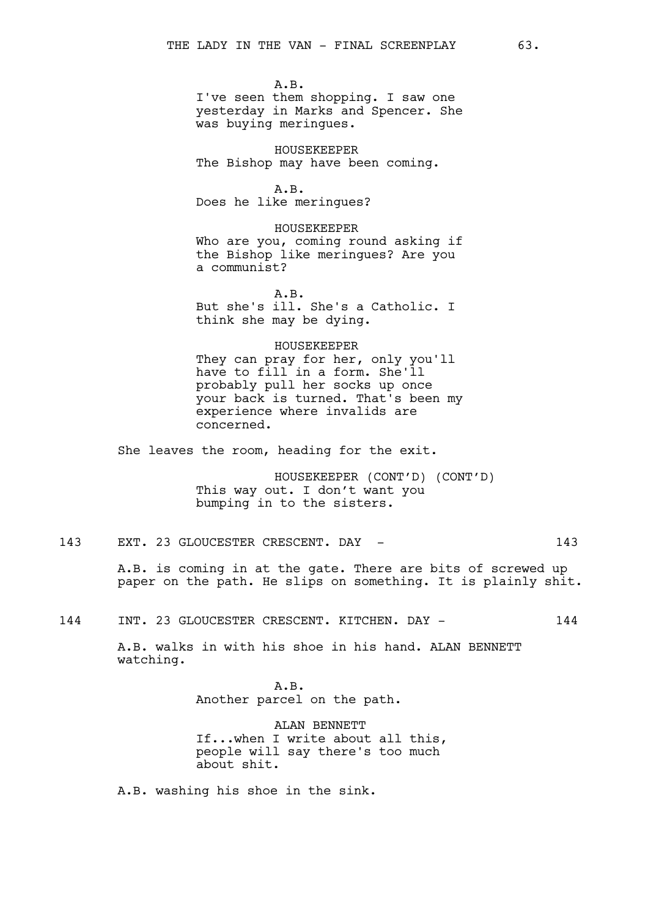A.B. I've seen them shopping. I saw one yesterday in Marks and Spencer. She was buying meringues.

HOUSEKEEPER The Bishop may have been coming.

A.B. Does he like meringues?

HOUSEKEEPER Who are you, coming round asking if the Bishop like meringues? Are you a communist?

A.B. But she's ill. She's a Catholic. I think she may be dying.

### HOUSEKEEPER

They can pray for her, only you'll have to fill in a form. She'll probably pull her socks up once your back is turned. That's been my experience where invalids are concerned.

She leaves the room, heading for the exit.

HOUSEKEEPER (CONT'D) (CONT'D) This way out. I don't want you bumping in to the sisters.

# 143 EXT. 23 GLOUCESTER CRESCENT. DAY - 143

A.B. is coming in at the gate. There are bits of screwed up paper on the path. He slips on something. It is plainly shit.

#### 144 INT. 23 GLOUCESTER CRESCENT. KITCHEN. DAY - 144

A.B. walks in with his shoe in his hand. ALAN BENNETT watching.

> A.B. Another parcel on the path.

ALAN BENNETT If...when I write about all this, people will say there's too much about shit.

A.B. washing his shoe in the sink.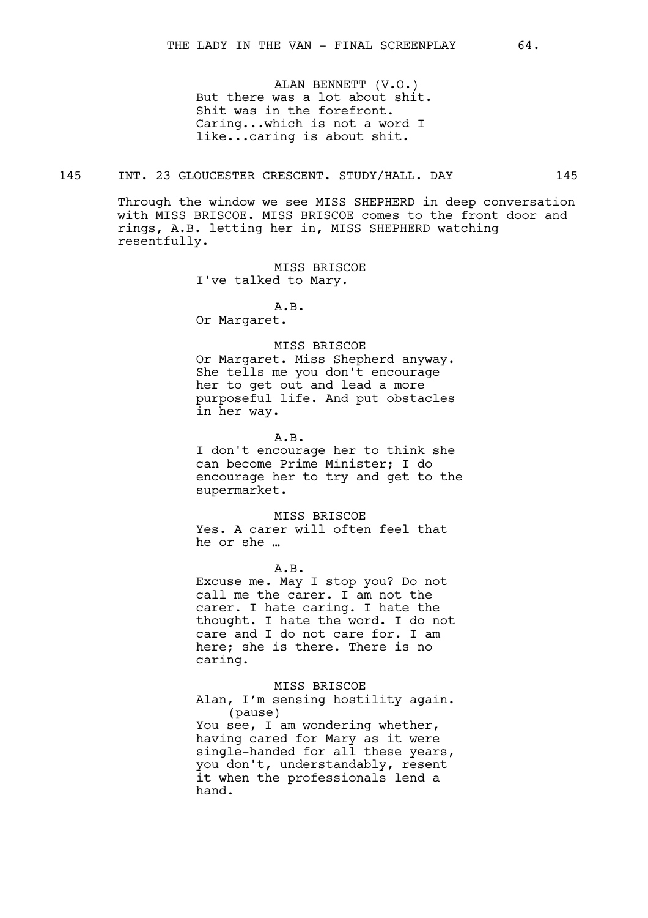ALAN BENNETT (V.O.) But there was a lot about shit. Shit was in the forefront. Caring...which is not a word I like...caring is about shit.

# 145 INT. 23 GLOUCESTER CRESCENT. STUDY/HALL. DAY 145

Through the window we see MISS SHEPHERD in deep conversation with MISS BRISCOE. MISS BRISCOE comes to the front door and rings, A.B. letting her in, MISS SHEPHERD watching resentfully.

> MISS BRISCOE I've talked to Mary.

A.B. Or Margaret.

#### MISS BRISCOE

Or Margaret. Miss Shepherd anyway. She tells me you don't encourage her to get out and lead a more purposeful life. And put obstacles in her way.

A.B.

I don't encourage her to think she can become Prime Minister; I do encourage her to try and get to the supermarket.

MISS BRISCOE

Yes. A carer will often feel that he or she …

A.B.

Excuse me. May I stop you? Do not call me the carer. I am not the carer. I hate caring. I hate the thought. I hate the word. I do not care and I do not care for. I am here; she is there. There is no caring.

#### MISS BRISCOE

Alan, I'm sensing hostility again. (pause)

You see, I am wondering whether, having cared for Mary as it were single-handed for all these years, you don't, understandably, resent it when the professionals lend a hand.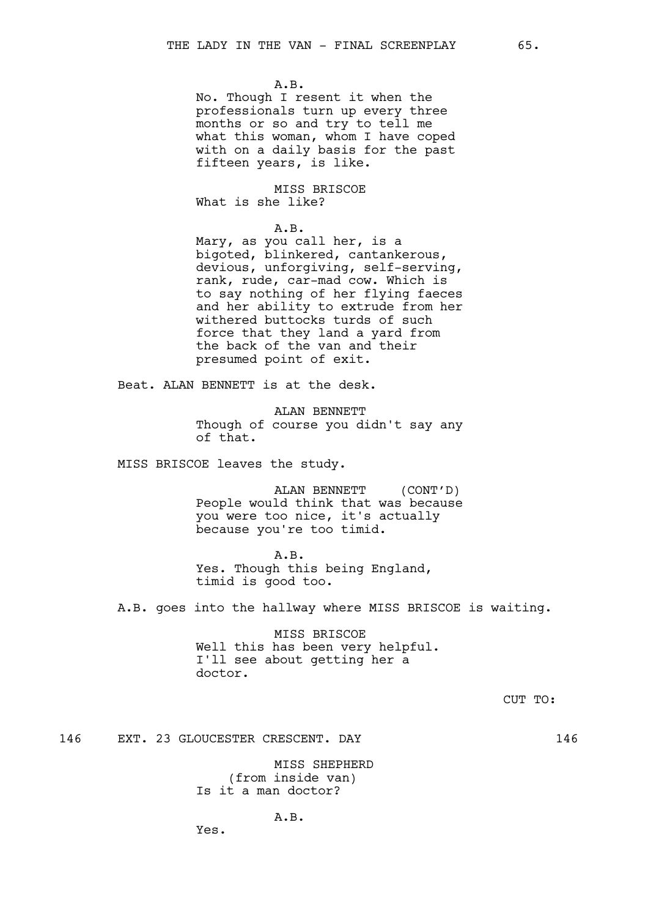A.B. No. Though I resent it when the professionals turn up every three months or so and try to tell me what this woman, whom I have coped with on a daily basis for the past fifteen years, is like.

MISS BRISCOE What is she like?

A.B.

Mary, as you call her, is a bigoted, blinkered, cantankerous, devious, unforgiving, self-serving, rank, rude, car-mad cow. Which is to say nothing of her flying faeces and her ability to extrude from her withered buttocks turds of such force that they land a yard from the back of the van and their presumed point of exit.

Beat. ALAN BENNETT is at the desk.

ALAN BENNETT Though of course you didn't say any of that.

MISS BRISCOE leaves the study.

ALAN BENNETT (CONT'D) People would think that was because you were too nice, it's actually because you're too timid.

A.B. Yes. Though this being England, timid is good too.

A.B. goes into the hallway where MISS BRISCOE is waiting.

MISS BRISCOE Well this has been very helpful. I'll see about getting her a doctor.

CUT TO:

146 EXT. 23 GLOUCESTER CRESCENT. DAY 146

MISS SHEPHERD (from inside van) Is it a man doctor?

A.B.

Yes.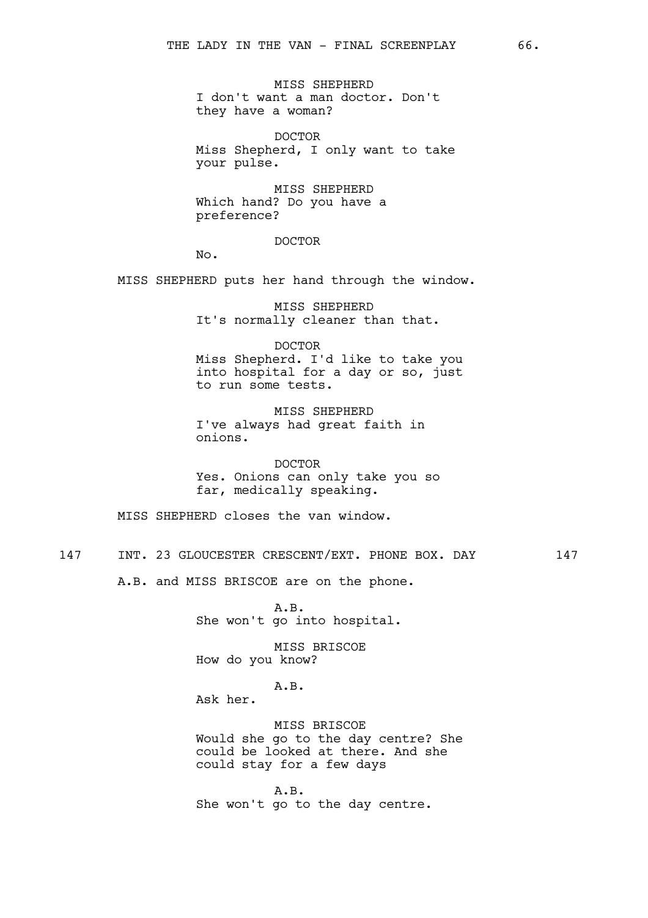MISS SHEPHERD I don't want a man doctor. Don't they have a woman?

DOCTOR Miss Shepherd, I only want to take your pulse.

MISS SHEPHERD Which hand? Do you have a preference?

DOCTOR

No.

MISS SHEPHERD puts her hand through the window.

MISS SHEPHERD It's normally cleaner than that.

DOCTOR Miss Shepherd. I'd like to take you into hospital for a day or so, just to run some tests.

MISS SHEPHERD I've always had great faith in onions.

DOCTOR Yes. Onions can only take you so far, medically speaking.

MISS SHEPHERD closes the van window.

147 INT. 23 GLOUCESTER CRESCENT/EXT. PHONE BOX. DAY 147

A.B. and MISS BRISCOE are on the phone.

A.B. She won't go into hospital.

MISS BRISCOE How do you know?

A.B.

Ask her.

MISS BRISCOE Would she go to the day centre? She could be looked at there. And she could stay for a few days

A.B. She won't go to the day centre.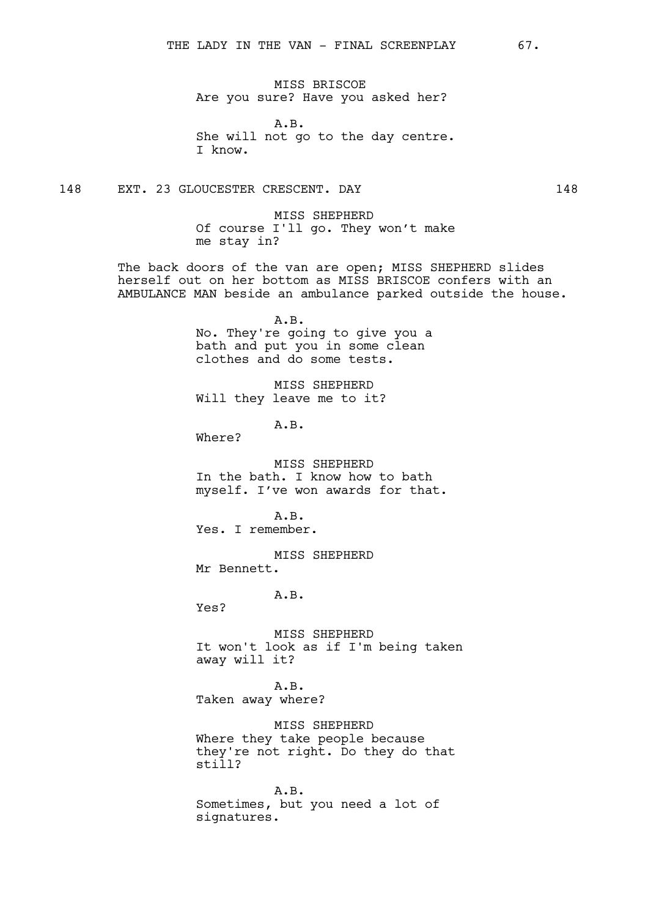MISS BRISCOE Are you sure? Have you asked her?

A.B. She will not go to the day centre. I know.

148 EXT. 23 GLOUCESTER CRESCENT. DAY 148

MISS SHEPHERD Of course I'll go. They won't make me stay in?

The back doors of the van are open; MISS SHEPHERD slides herself out on her bottom as MISS BRISCOE confers with an AMBULANCE MAN beside an ambulance parked outside the house.

> A.B. No. They're going to give you a bath and put you in some clean clothes and do some tests.

MISS SHEPHERD Will they leave me to it?

A.B.

Where?

MISS SHEPHERD In the bath. I know how to bath myself. I've won awards for that.

A.B. Yes. I remember.

MISS SHEPHERD Mr Bennett.

A.B.

Yes?

MISS SHEPHERD It won't look as if I'm being taken away will it?

A.B. Taken away where?

MISS SHEPHERD Where they take people because they're not right. Do they do that still?

A.B. Sometimes, but you need a lot of signatures.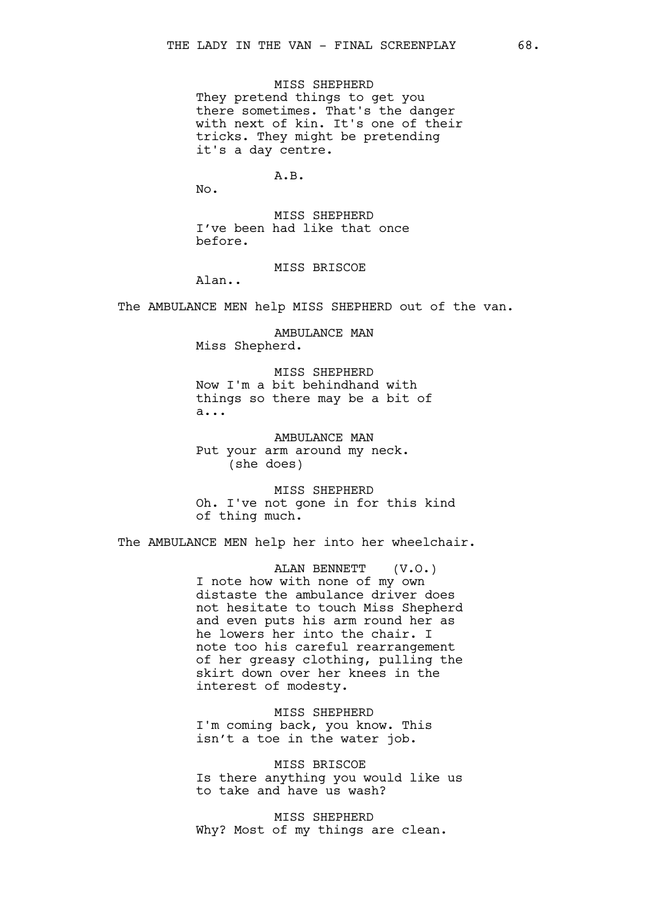MISS SHEPHERD They pretend things to get you there sometimes. That's the danger with next of kin. It's one of their tricks. They might be pretending it's a day centre.

A.B.

No.

MISS SHEPHERD I've been had like that once before.

MISS BRISCOE

Alan..

The AMBULANCE MEN help MISS SHEPHERD out of the van.

AMBULANCE MAN Miss Shepherd.

MISS SHEPHERD Now I'm a bit behindhand with things so there may be a bit of a...

AMBULANCE MAN Put your arm around my neck. (she does)

MISS SHEPHERD Oh. I've not gone in for this kind of thing much.

The AMBULANCE MEN help her into her wheelchair.

ALAN BENNETT (V.O.) I note how with none of my own distaste the ambulance driver does not hesitate to touch Miss Shepherd and even puts his arm round her as he lowers her into the chair. I note too his careful rearrangement of her greasy clothing, pulling the skirt down over her knees in the interest of modesty.

MISS SHEPHERD I'm coming back, you know. This isn't a toe in the water job.

MISS BRISCOE Is there anything you would like us to take and have us wash?

MISS SHEPHERD Why? Most of my things are clean.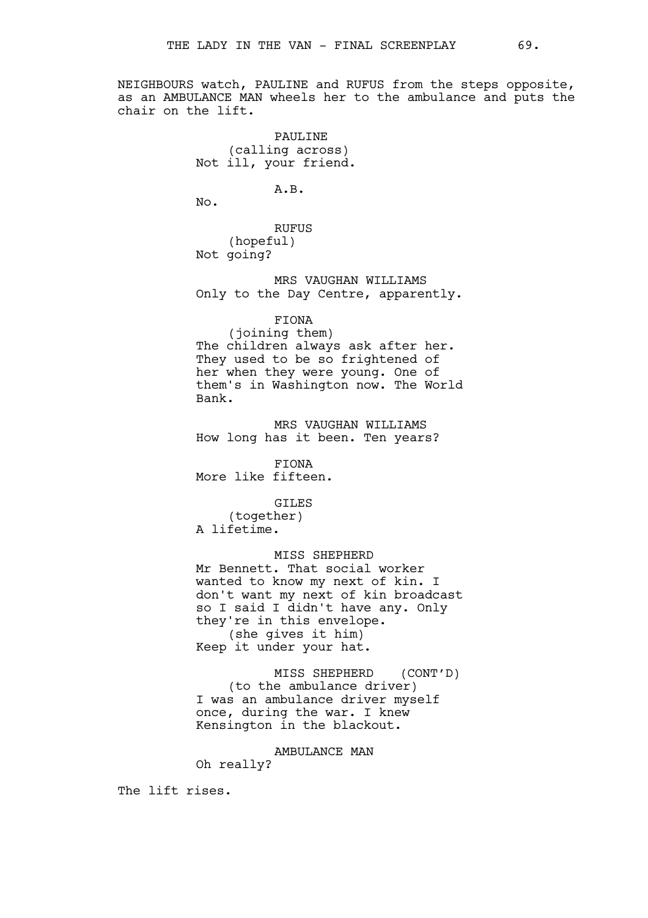NEIGHBOURS watch, PAULINE and RUFUS from the steps opposite, as an AMBULANCE MAN wheels her to the ambulance and puts the chair on the lift.

> PAULINE (calling across) Not ill, your friend.

> > A.B.

No.

RUFUS (hopeful) Not going?

MRS VAUGHAN WILLIAMS Only to the Day Centre, apparently.

FIONA

(joining them) The children always ask after her. They used to be so frightened of her when they were young. One of them's in Washington now. The World Bank.

MRS VAUGHAN WILLIAMS How long has it been. Ten years?

FIONA More like fifteen.

GILES (together) A lifetime.

MISS SHEPHERD Mr Bennett. That social worker wanted to know my next of kin. I don't want my next of kin broadcast so I said I didn't have any. Only they're in this envelope. (she gives it him)

Keep it under your hat.

MISS SHEPHERD (CONT'D) (to the ambulance driver) I was an ambulance driver myself once, during the war. I knew Kensington in the blackout.

AMBULANCE MAN

Oh really?

The lift rises.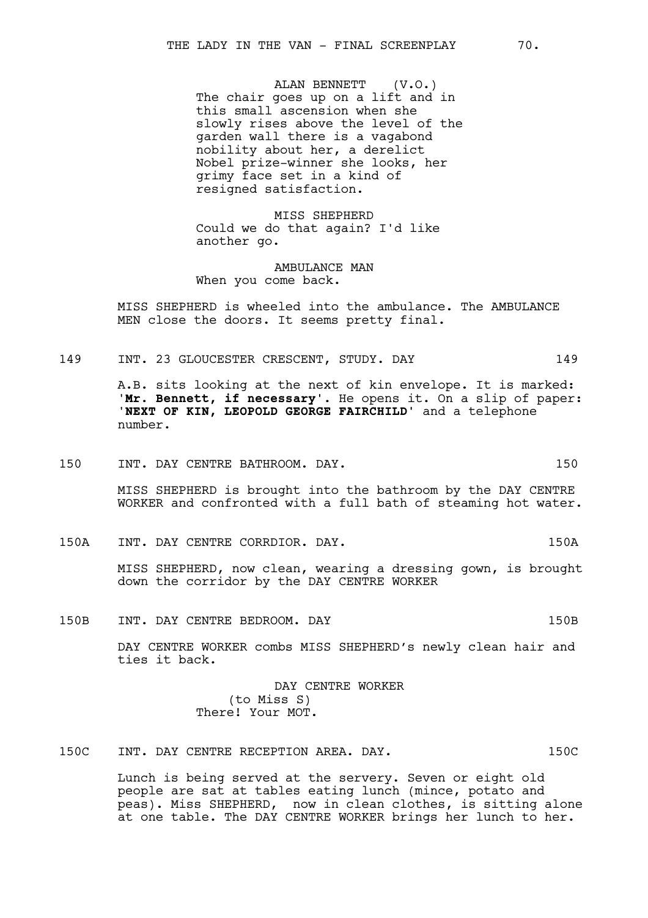ALAN BENNETT (V.O.) The chair goes up on a lift and in this small ascension when she slowly rises above the level of the garden wall there is a vagabond nobility about her, a derelict Nobel prize-winner she looks, her grimy face set in a kind of resigned satisfaction.

MISS SHEPHERD Could we do that again? I'd like another go.

AMBULANCE MAN When you come back.

MISS SHEPHERD is wheeled into the ambulance. The AMBULANCE MEN close the doors. It seems pretty final.

#### 149 INT. 23 GLOUCESTER CRESCENT, STUDY. DAY 149

A.B. sits looking at the next of kin envelope. It is marked: '**Mr. Bennett, if necessary'**. He opens it. On a slip of paper: '**NEXT OF KIN, LEOPOLD GEORGE FAIRCHILD'** and a telephone number.

150 INT. DAY CENTRE BATHROOM. DAY. 150

MISS SHEPHERD is brought into the bathroom by the DAY CENTRE WORKER and confronted with a full bath of steaming hot water.

- 150A INT. DAY CENTRE CORRDIOR. DAY. 150A MISS SHEPHERD, now clean, wearing a dressing gown, is brought down the corridor by the DAY CENTRE WORKER
- 150B INT. DAY CENTRE BEDROOM. DAY 150B

DAY CENTRE WORKER combs MISS SHEPHERD's newly clean hair and ties it back.

> DAY CENTRE WORKER (to Miss S) There! Your MOT.

150C INT. DAY CENTRE RECEPTION AREA. DAY. 150C

Lunch is being served at the servery. Seven or eight old people are sat at tables eating lunch (mince, potato and peas). Miss SHEPHERD, now in clean clothes, is sitting alone at one table. The DAY CENTRE WORKER brings her lunch to her.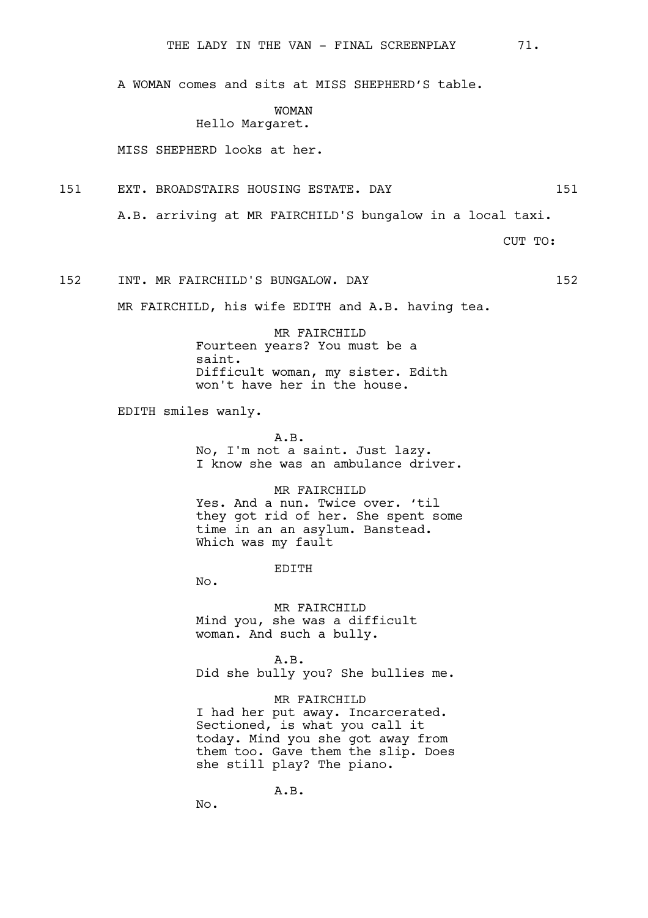A WOMAN comes and sits at MISS SHEPHERD'S table.

### WOMAN

# Hello Margaret.

MISS SHEPHERD looks at her.

151 EXT. BROADSTAIRS HOUSING ESTATE. DAY 151

A.B. arriving at MR FAIRCHILD'S bungalow in a local taxi.

CUT TO:

# 152 INT. MR FAIRCHILD'S BUNGALOW. DAY 152

MR FAIRCHILD, his wife EDITH and A.B. having tea.

MR FAIRCHILD Fourteen years? You must be a saint. Difficult woman, my sister. Edith won't have her in the house.

EDITH smiles wanly.

A.B.

No, I'm not a saint. Just lazy. I know she was an ambulance driver.

MR FAIRCHILD Yes. And a nun. Twice over. 'til they got rid of her. She spent some time in an an asylum. Banstead. Which was my fault

EDITH

No.

MR FAIRCHILD Mind you, she was a difficult woman. And such a bully.

A.B. Did she bully you? She bullies me.

MR FAIRCHILD I had her put away. Incarcerated. Sectioned, is what you call it today. Mind you she got away from them too. Gave them the slip. Does she still play? The piano.

A.B.

No.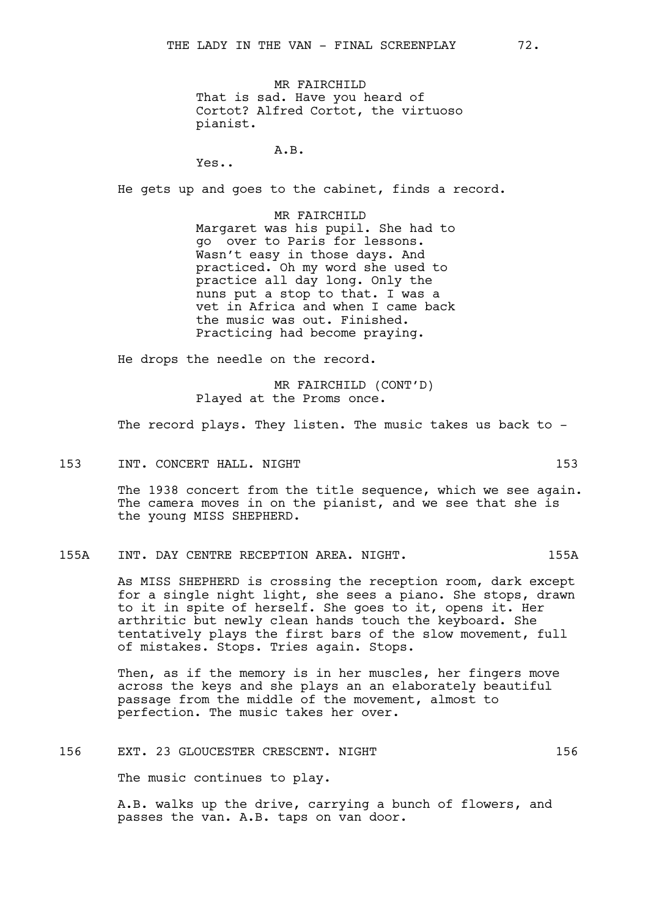MR FAIRCHILD That is sad. Have you heard of Cortot? Alfred Cortot, the virtuoso pianist.

A.B.

Yes..

He gets up and goes to the cabinet, finds a record.

MR FAIRCHILD Margaret was his pupil. She had to go over to Paris for lessons. Wasn't easy in those days. And practiced. Oh my word she used to practice all day long. Only the nuns put a stop to that. I was a vet in Africa and when I came back the music was out. Finished. Practicing had become praying.

He drops the needle on the record.

MR FAIRCHILD (CONT'D) Played at the Proms once.

The record plays. They listen. The music takes us back to -

153 INT. CONCERT HALL. NIGHT 153

The 1938 concert from the title sequence, which we see again. The camera moves in on the pianist, and we see that she is the young MISS SHEPHERD.

## 155A INT. DAY CENTRE RECEPTION AREA. NIGHT. 155A

As MISS SHEPHERD is crossing the reception room, dark except for a single night light, she sees a piano. She stops, drawn to it in spite of herself. She goes to it, opens it. Her arthritic but newly clean hands touch the keyboard. She tentatively plays the first bars of the slow movement, full of mistakes. Stops. Tries again. Stops.

Then, as if the memory is in her muscles, her fingers move across the keys and she plays an an elaborately beautiful passage from the middle of the movement, almost to perfection. The music takes her over.

# 156 EXT. 23 GLOUCESTER CRESCENT. NIGHT 156

The music continues to play.

A.B. walks up the drive, carrying a bunch of flowers, and passes the van. A.B. taps on van door.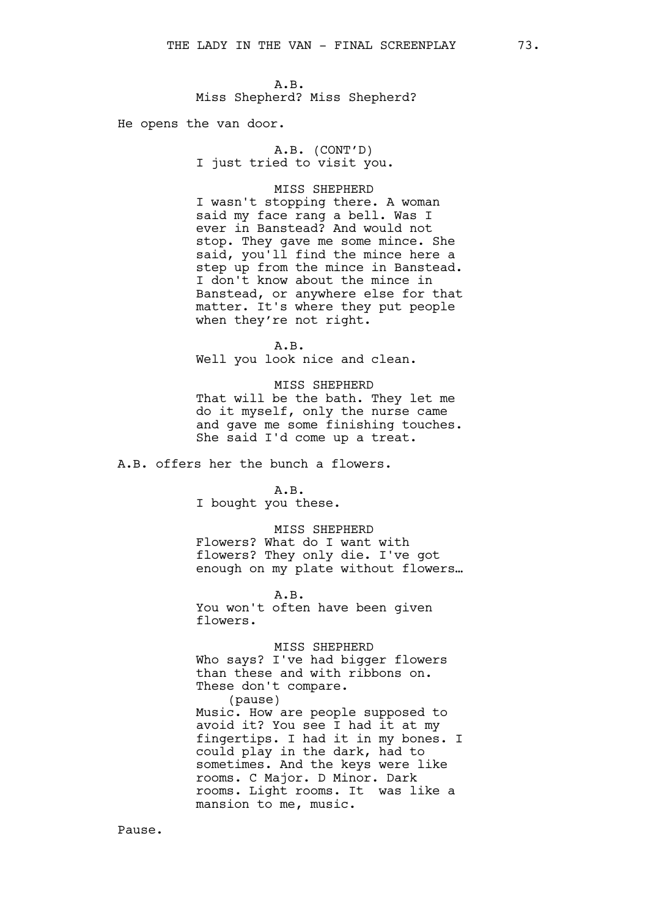He opens the van door.

A.B. (CONT'D) I just tried to visit you.

#### MISS SHEPHERD

I wasn't stopping there. A woman said my face rang a bell. Was I ever in Banstead? And would not stop. They gave me some mince. She said, you'll find the mince here a step up from the mince in Banstead. I don't know about the mince in Banstead, or anywhere else for that matter. It's where they put people when they're not right.

A.B.

Well you look nice and clean.

#### MISS SHEPHERD

That will be the bath. They let me do it myself, only the nurse came and gave me some finishing touches. She said I'd come up a treat.

A.B. offers her the bunch a flowers.

#### A.B.

I bought you these.

MISS SHEPHERD Flowers? What do I want with flowers? They only die. I've got enough on my plate without flowers…

A.B. You won't often have been given flowers.

MISS SHEPHERD Who says? I've had bigger flowers than these and with ribbons on. These don't compare. (pause) Music. How are people supposed to avoid it? You see I had it at my fingertips. I had it in my bones. I could play in the dark, had to sometimes. And the keys were like rooms. C Major. D Minor. Dark rooms. Light rooms. It was like a mansion to me, music.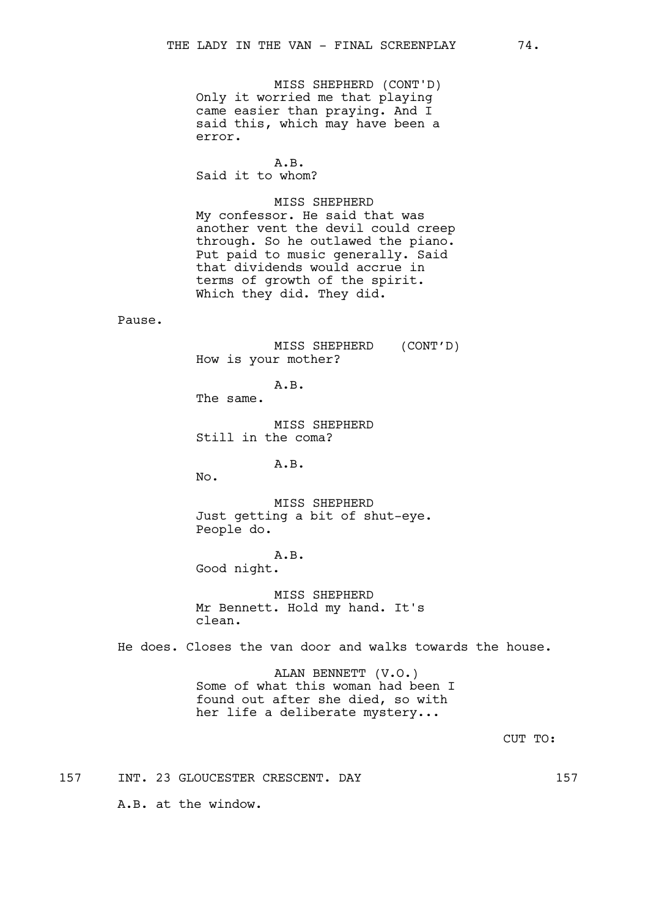MISS SHEPHERD (CONT'D) Only it worried me that playing came easier than praying. And I said this, which may have been a error.

A.B.

Said it to whom?

MISS SHEPHERD My confessor. He said that was another vent the devil could creep through. So he outlawed the piano. Put paid to music generally. Said that dividends would accrue in terms of growth of the spirit. Which they did. They did.

Pause.

|  |                     | MISS SHEPHERD |  | (CONT'D) |  |
|--|---------------------|---------------|--|----------|--|
|  | How is your mother? |               |  |          |  |

A.B.

The same.

MISS SHEPHERD Still in the coma?

A.B.

No.

MISS SHEPHERD Just getting a bit of shut-eye. People do.

A.B. Good night.

MISS SHEPHERD Mr Bennett. Hold my hand. It's clean.

He does. Closes the van door and walks towards the house.

ALAN BENNETT (V.O.) Some of what this woman had been I found out after she died, so with her life a deliberate mystery...

CUT TO:

157 INT. 23 GLOUCESTER CRESCENT. DAY 157

A.B. at the window.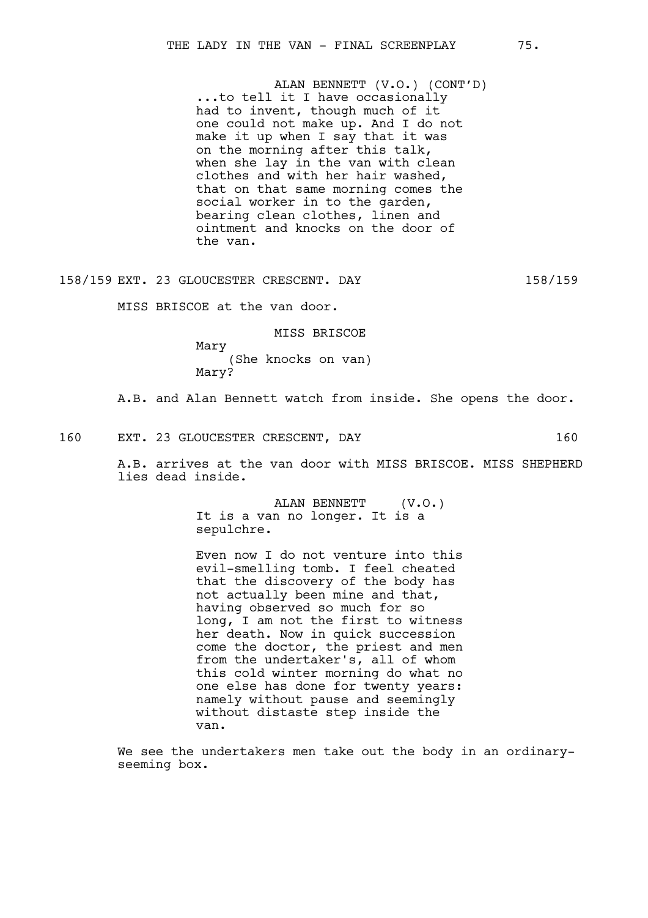ALAN BENNETT (V.O.) (CONT'D) ...to tell it I have occasionally had to invent, though much of it one could not make up. And I do not make it up when I say that it was on the morning after this talk, when she lay in the van with clean clothes and with her hair washed, that on that same morning comes the social worker in to the garden, bearing clean clothes, linen and ointment and knocks on the door of the van.

158/159 EXT. 23 GLOUCESTER CRESCENT. DAY 158/159

MISS BRISCOE at the van door.

MISS BRISCOE Mary (She knocks on van) Mary?

A.B. and Alan Bennett watch from inside. She opens the door.

160 EXT. 23 GLOUCESTER CRESCENT, DAY 160

A.B. arrives at the van door with MISS BRISCOE. MISS SHEPHERD lies dead inside.

> ALAN BENNETT (V.O.) It is a van no longer. It is a sepulchre.

Even now I do not venture into this evil-smelling tomb. I feel cheated that the discovery of the body has not actually been mine and that, having observed so much for so long, I am not the first to witness her death. Now in quick succession come the doctor, the priest and men from the undertaker's, all of whom this cold winter morning do what no one else has done for twenty years: namely without pause and seemingly without distaste step inside the van.

We see the undertakers men take out the body in an ordinaryseeming box.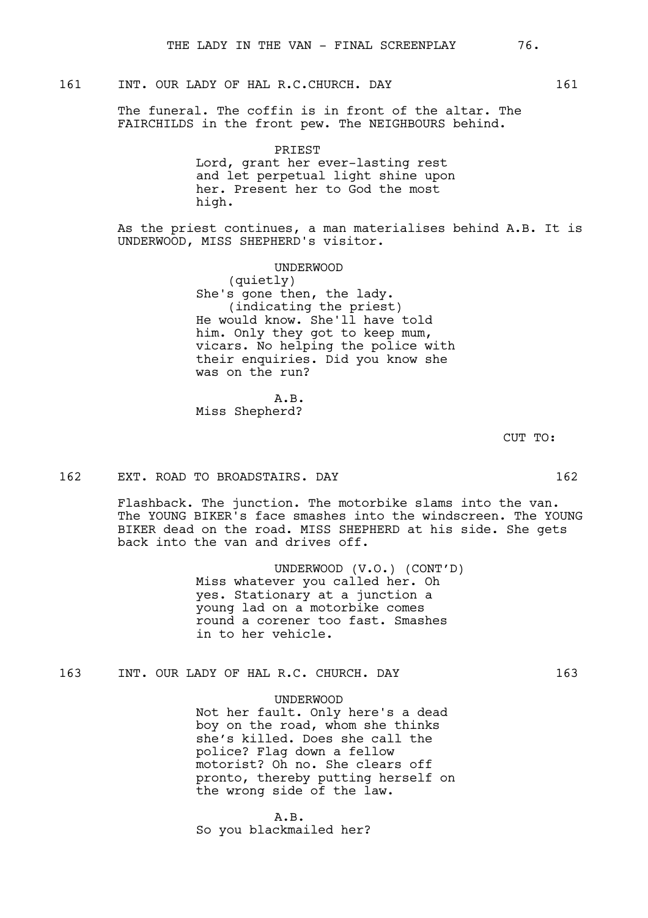# 161 INT. OUR LADY OF HAL R.C.CHURCH. DAY 161

The funeral. The coffin is in front of the altar. The FAIRCHILDS in the front pew. The NEIGHBOURS behind.

#### PRIEST

Lord, grant her ever-lasting rest and let perpetual light shine upon her. Present her to God the most high.

As the priest continues, a man materialises behind A.B. It is UNDERWOOD, MISS SHEPHERD's visitor.

UNDERWOOD

(quietly) She's gone then, the lady. (indicating the priest) He would know. She'll have told him. Only they got to keep mum, vicars. No helping the police with their enquiries. Did you know she was on the run?

A.B. Miss Shepherd?

CUT TO:

#### 162 EXT. ROAD TO BROADSTAIRS. DAY 162

Flashback. The junction. The motorbike slams into the van. The YOUNG BIKER's face smashes into the windscreen. The YOUNG BIKER dead on the road. MISS SHEPHERD at his side. She gets back into the van and drives off.

> UNDERWOOD (V.O.) (CONT'D) Miss whatever you called her. Oh yes. Stationary at a junction a young lad on a motorbike comes round a corener too fast. Smashes in to her vehicle.

163 INT. OUR LADY OF HAL R.C. CHURCH. DAY 163

#### UNDERWOOD

Not her fault. Only here's a dead boy on the road, whom she thinks she's killed. Does she call the police? Flag down a fellow motorist? Oh no. She clears off pronto, thereby putting herself on the wrong side of the law.

A.B. So you blackmailed her?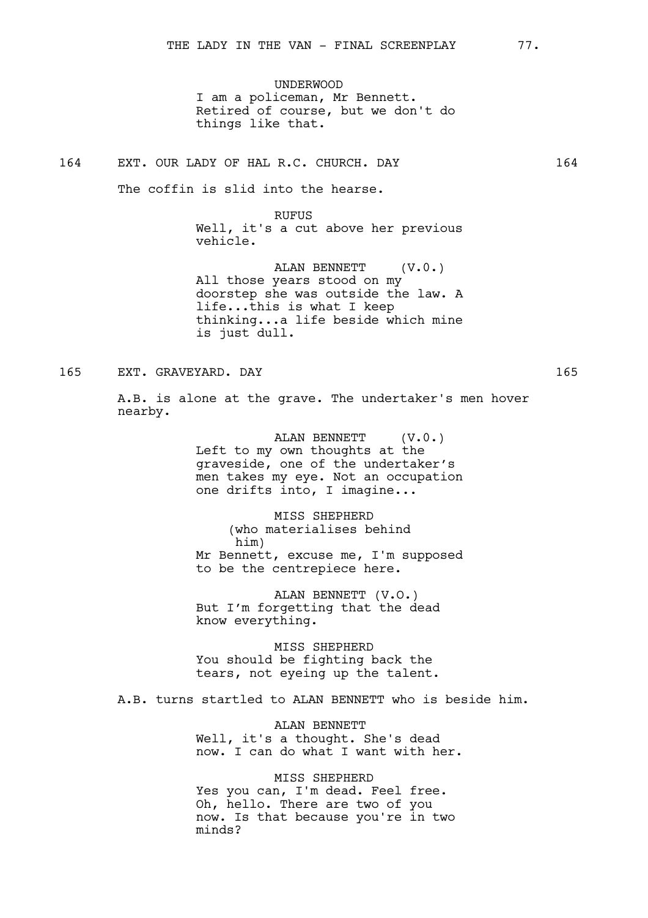UNDERWOOD I am a policeman, Mr Bennett. Retired of course, but we don't do things like that.

## 164 EXT. OUR LADY OF HAL R.C. CHURCH. DAY 164

The coffin is slid into the hearse.

RUFUS Well, it's a cut above her previous vehicle.

ALAN BENNETT (V.0.) All those years stood on my doorstep she was outside the law. A life...this is what I keep thinking...a life beside which mine is just dull.

165 EXT. GRAVEYARD. DAY 165

A.B. is alone at the grave. The undertaker's men hover nearby.

> ALAN BENNETT (V.0.) Left to my own thoughts at the graveside, one of the undertaker's men takes my eye. Not an occupation one drifts into, I imagine...

MISS SHEPHERD (who materialises behind him) Mr Bennett, excuse me, I'm supposed to be the centrepiece here.

ALAN BENNETT (V.O.) But I'm forgetting that the dead know everything.

MISS SHEPHERD You should be fighting back the tears, not eyeing up the talent.

A.B. turns startled to ALAN BENNETT who is beside him.

ALAN BENNETT Well, it's a thought. She's dead now. I can do what I want with her.

MISS SHEPHERD Yes you can, I'm dead. Feel free. Oh, hello. There are two of you now. Is that because you're in two minds?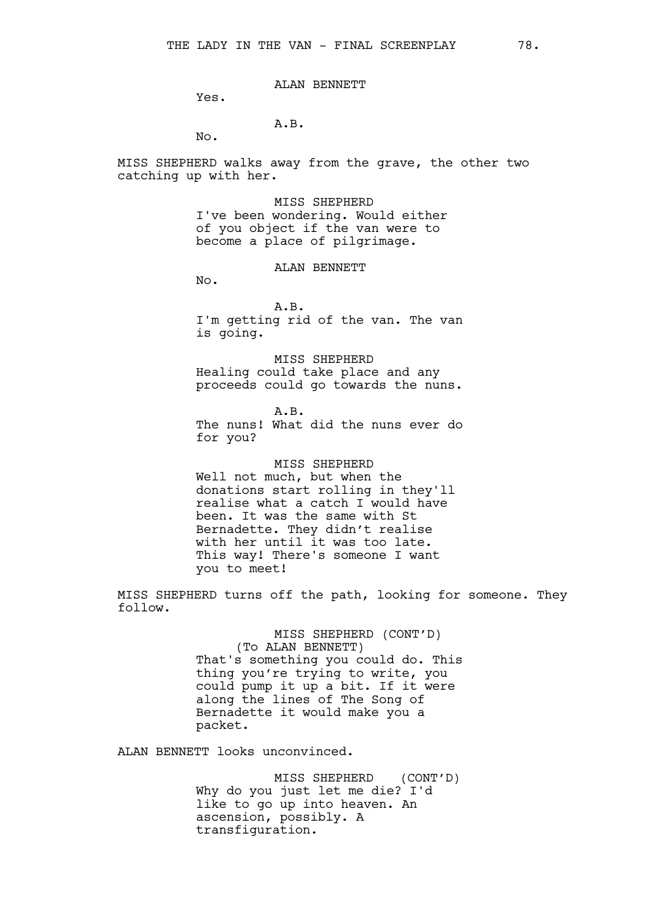ALAN BENNETT

Yes.

# A.B.

No.

MISS SHEPHERD walks away from the grave, the other two catching up with her.

> MISS SHEPHERD I've been wondering. Would either of you object if the van were to become a place of pilgrimage.

> > ALAN BENNETT

No.

A.B. I'm getting rid of the van. The van is going.

MISS SHEPHERD Healing could take place and any proceeds could go towards the nuns.

A.B. The nuns! What did the nuns ever do for you?

MISS SHEPHERD Well not much, but when the donations start rolling in they'll realise what a catch I would have been. It was the same with St Bernadette. They didn't realise with her until it was too late. This way! There's someone I want you to meet!

MISS SHEPHERD turns off the path, looking for someone. They follow.

> MISS SHEPHERD (CONT'D) (To ALAN BENNETT) That's something you could do. This thing you're trying to write, you could pump it up a bit. If it were along the lines of The Song of Bernadette it would make you a packet.

ALAN BENNETT looks unconvinced.

MISS SHEPHERD (CONT'D) Why do you just let me die? I'd like to go up into heaven. An ascension, possibly. A transfiguration.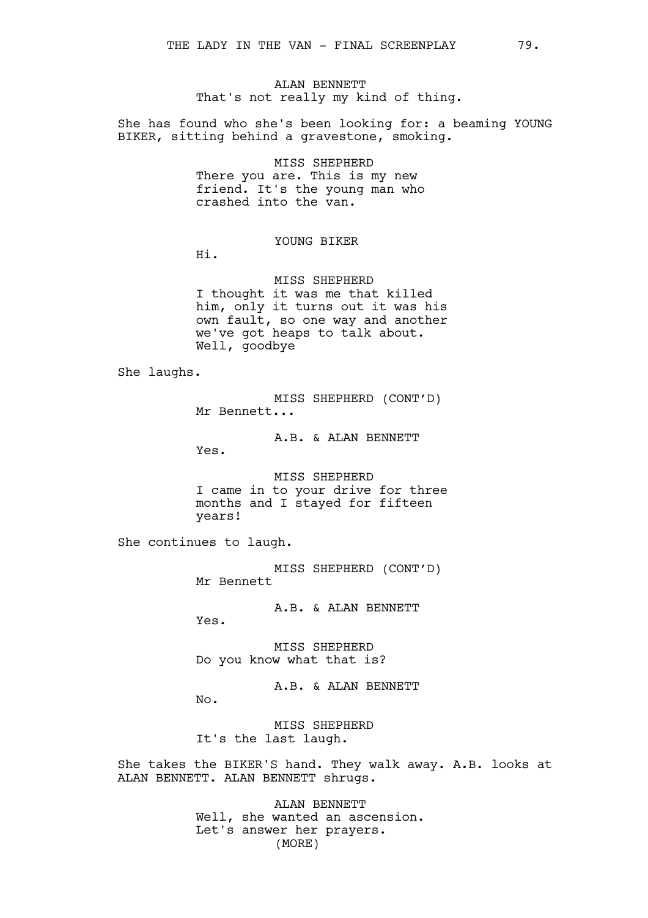ALAN BENNETT That's not really my kind of thing.

She has found who she's been looking for: a beaming YOUNG BIKER, sitting behind a gravestone, smoking.

> MISS SHEPHERD There you are. This is my new friend. It's the young man who crashed into the van.

#### YOUNG BIKER

Hi.

MISS SHEPHERD I thought it was me that killed him, only it turns out it was his own fault, so one way and another we've got heaps to talk about. Well, goodbye

She laughs.

MISS SHEPHERD (CONT'D) Mr Bennett...

A.B. & ALAN BENNETT Yes.

MISS SHEPHERD I came in to your drive for three months and I stayed for fifteen years!

She continues to laugh.

MISS SHEPHERD (CONT'D) Mr Bennett

A.B. & ALAN BENNETT

Yes.

MISS SHEPHERD Do you know what that is?

A.B. & ALAN BENNETT

No.

MISS SHEPHERD It's the last laugh.

She takes the BIKER'S hand. They walk away. A.B. looks at ALAN BENNETT. ALAN BENNETT shrugs.

> ALAN BENNETT Well, she wanted an ascension. Let's answer her prayers. (MORE)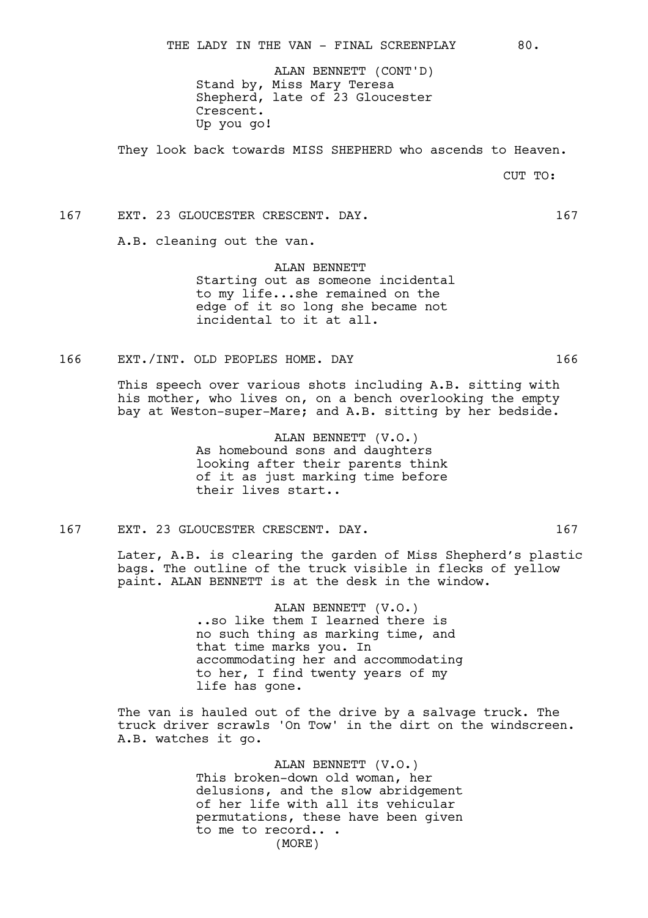Stand by, Miss Mary Teresa Shepherd, late of 23 Gloucester Crescent. Up you go! ALAN BENNETT (CONT'D)

They look back towards MISS SHEPHERD who ascends to Heaven.

CUT TO:

167 EXT. 23 GLOUCESTER CRESCENT. DAY. 167

A.B. cleaning out the van.

ALAN BENNETT Starting out as someone incidental to my life...she remained on the edge of it so long she became not incidental to it at all.

166 EXT./INT. OLD PEOPLES HOME. DAY 166

This speech over various shots including A.B. sitting with his mother, who lives on, on a bench overlooking the empty bay at Weston-super-Mare; and A.B. sitting by her bedside.

> ALAN BENNETT (V.O.) As homebound sons and daughters looking after their parents think of it as just marking time before their lives start..

167 EXT. 23 GLOUCESTER CRESCENT. DAY. 167

Later, A.B. is clearing the garden of Miss Shepherd's plastic bags. The outline of the truck visible in flecks of yellow paint. ALAN BENNETT is at the desk in the window.

> ALAN BENNETT (V.O.) ..so like them I learned there is no such thing as marking time, and that time marks you. In accommodating her and accommodating to her, I find twenty years of my life has gone.

The van is hauled out of the drive by a salvage truck. The truck driver scrawls 'On Tow' in the dirt on the windscreen. A.B. watches it go.

> ALAN BENNETT (V.O.) This broken-down old woman, her delusions, and the slow abridgement of her life with all its vehicular permutations, these have been given to me to record.. . (MORE)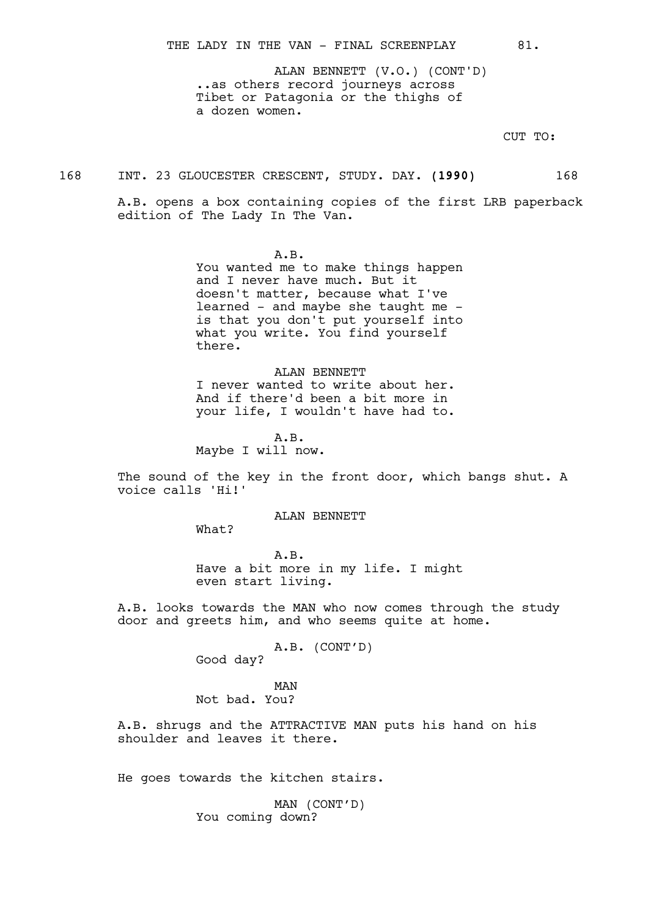THE LADY IN THE VAN - FINAL SCREENPLAY 81.

..as others record journeys across Tibet or Patagonia or the thighs of a dozen women. ALAN BENNETT (V.O.) (CONT'D)

CUT TO:

## 168 INT. 23 GLOUCESTER CRESCENT, STUDY. DAY. **(1990)** 168

A.B. opens a box containing copies of the first LRB paperback edition of The Lady In The Van.

> A.B. You wanted me to make things happen and I never have much. But it doesn't matter, because what I've learned - and maybe she taught me is that you don't put yourself into what you write. You find yourself there.

ALAN BENNETT I never wanted to write about her. And if there'd been a bit more in your life, I wouldn't have had to.

A.B. Maybe I will now.

The sound of the key in the front door, which bangs shut. A voice calls 'Hi!'

ALAN BENNETT

What?

A.B. Have a bit more in my life. I might even start living.

A.B. looks towards the MAN who now comes through the study door and greets him, and who seems quite at home.

A.B. (CONT'D)

Good day?

MAN Not bad. You?

A.B. shrugs and the ATTRACTIVE MAN puts his hand on his shoulder and leaves it there.

He goes towards the kitchen stairs.

MAN (CONT'D) You coming down?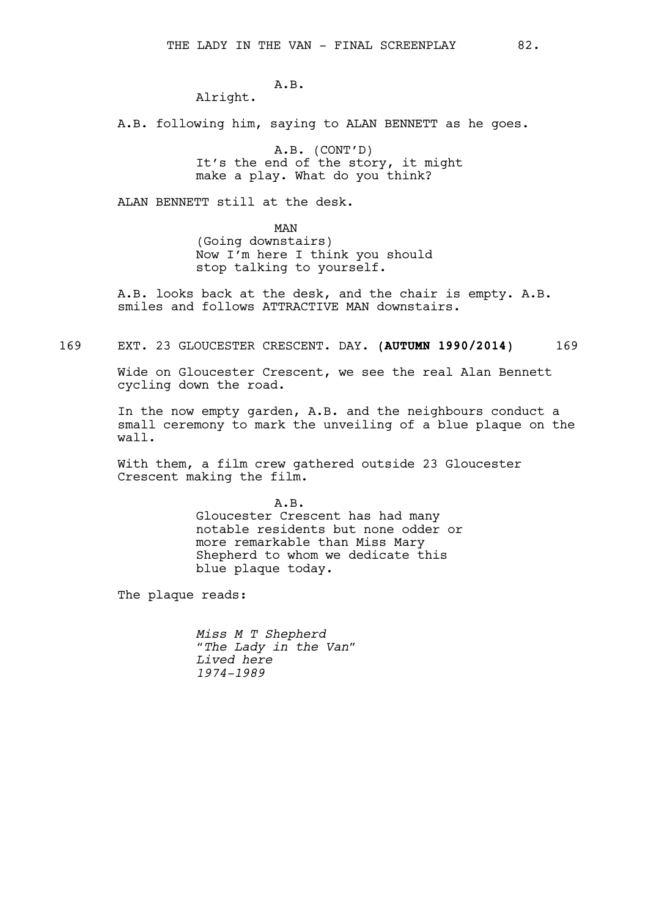# A.B.

Alright.

A.B. following him, saying to ALAN BENNETT as he goes.

A.B. (CONT'D) It's the end of the story, it might make a play. What do you think?

ALAN BENNETT still at the desk.

MAN (Going downstairs) Now I'm here I think you should stop talking to yourself.

A.B. looks back at the desk, and the chair is empty. A.B. smiles and follows ATTRACTIVE MAN downstairs.

169 EXT. 23 GLOUCESTER CRESCENT. DAY. **(AUTUMN 1990/2014)** 169

Wide on Gloucester Crescent, we see the real Alan Bennett cycling down the road.

In the now empty garden, A.B. and the neighbours conduct a small ceremony to mark the unveiling of a blue plaque on the wall.

With them, a film crew gathered outside 23 Gloucester Crescent making the film.

> A.B. Gloucester Crescent has had many notable residents but none odder or more remarkable than Miss Mary Shepherd to whom we dedicate this blue plaque today.

The plaque reads:

*Miss M T Shepherd "The Lady in the Van" Lived here 1974-1989*